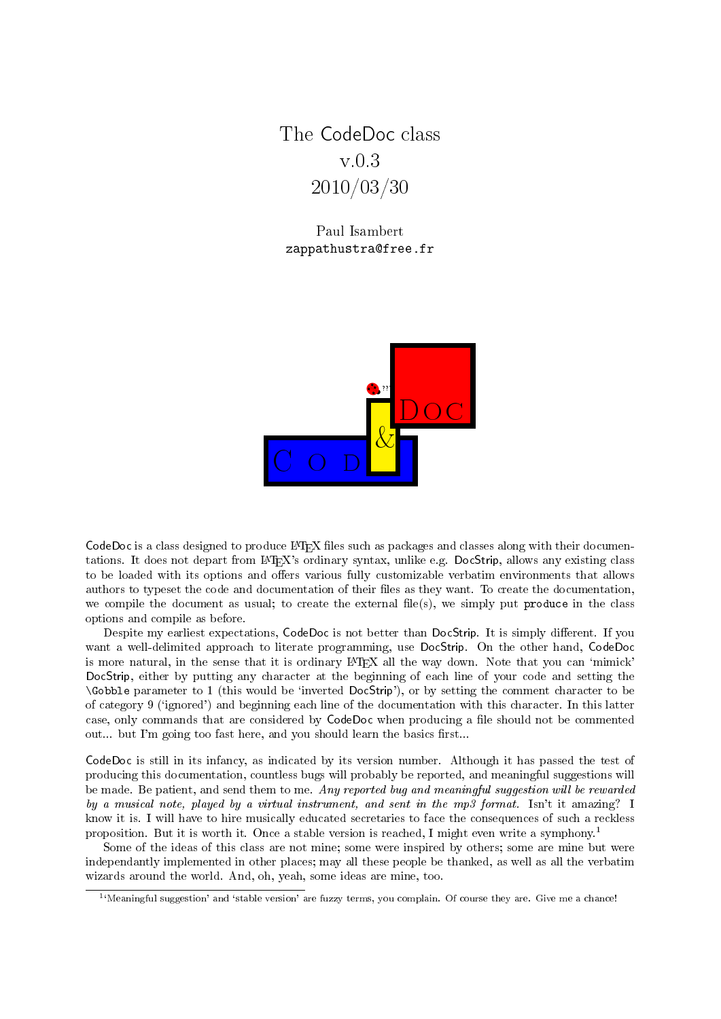<span id="page-0-1"></span>The CodeDoc class v.0.3 2010/03/30

Paul Isambert zappathustra@free.fr



CodeDoc is a class designed to produce  $\text{LTr}X$  files such as packages and classes along with their documentations. It does not depart from L<sup>A</sup>TEX's ordinary syntax, unlike e.g. DocStrip, allows any existing class to be loaded with its options and offers various fully customizable verbatim environments that allows authors to typeset the code and documentation of their files as they want. To create the documentation, we compile the document as usual; to create the external file(s), we simply put produce in the class options and compile as before.

Despite my earliest expectations, CodeDoc is not better than DocStrip. It is simply different. If you want a well-delimited approach to literate programming, use DocStrip. On the other hand, CodeDoc is more natural, in the sense that it is ordinary LAT<sub>EX</sub> all the way down. Note that you can 'mimick' DocStrip, either by putting any character at the beginning of each line of your code and setting the \Gobble parameter to 1 (this would be `inverted DocStrip'), or by setting the comment character to be of category 9 (`ignored') and beginning each line of the documentation with this character. In this latter case, only commands that are considered by CodeDoc when producing a file should not be commented out... but I'm going too fast here, and you should learn the basics first...

CodeDoc is still in its infancy, as indicated by its version number. Although it has passed the test of producing this documentation, countless bugs will probably be reported, and meaningful suggestions will be made. Be patient, and send them to me. Any reported bug and meaningful suggestion will be rewarded by a musical note, played by a virtual instrument, and sent in the mp3 format. Isn't it amazing? I know it is. I will have to hire musically educated secretaries to face the consequences of such a reckless proposition. But it is worth it. Once a stable version is reached, I might even write a symphony.[1](#page-0-0)

Some of the ideas of this class are not mine; some were inspired by others; some are mine but were independantly implemented in other places; may all these people be thanked, as well as all the verbatim wizards around the world. And, oh, yeah, some ideas are mine, too.

<span id="page-0-0"></span><sup>&</sup>lt;sup>1</sup>'Meaningful suggestion' and 'stable version' are fuzzy terms, you complain. Of course they are. Give me a chance!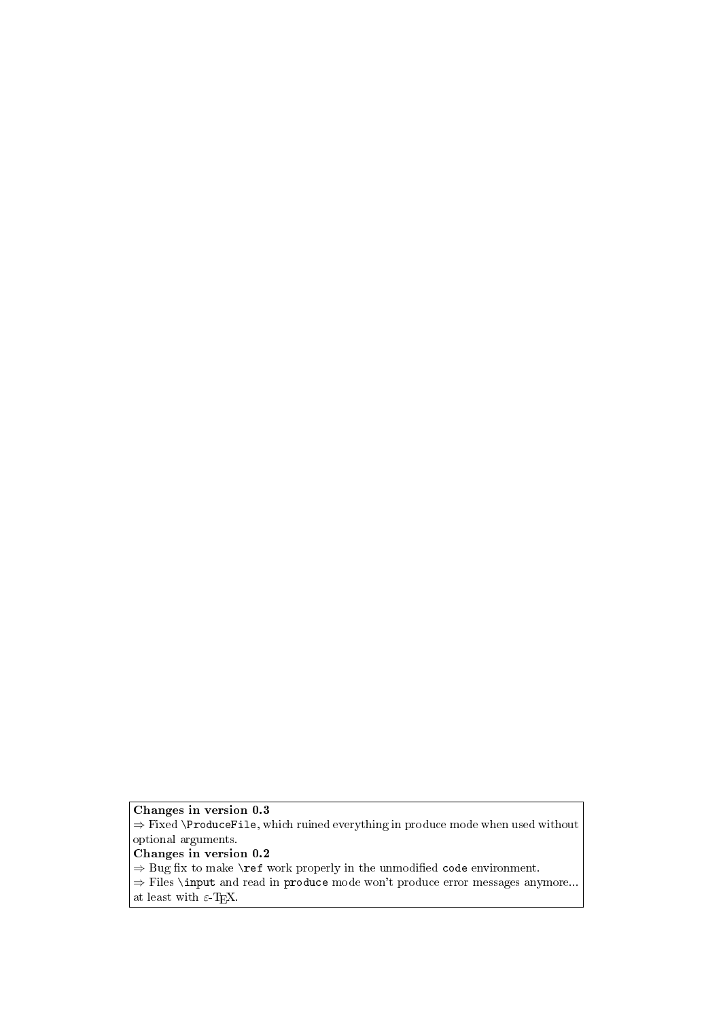# Changes in version 0.3

 $\Rightarrow$  Fixed **\ProduceFile**, which ruined everything in produce mode when used without optional arguments.

# Changes in version 0.2

 $\Rightarrow$  Bug fix to make \ref work properly in the unmodified code environment.

⇒ Files \input and read in produce mode won't produce error messages anymore... at least with  $\varepsilon$ -T<sub>E</sub>X.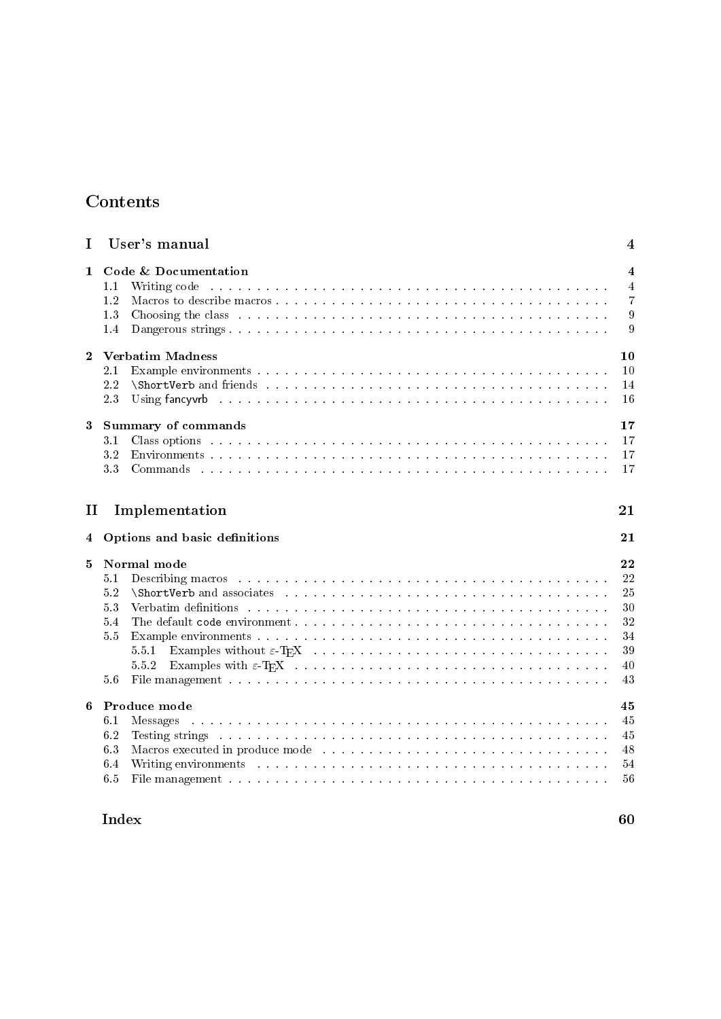# Contents

| I                         | User's manual                                                                                                                                                                                                                                                                                                                                                                                                                                                                                                                                                                                                                                                                                                                                                                     | 4                                                  |  |
|---------------------------|-----------------------------------------------------------------------------------------------------------------------------------------------------------------------------------------------------------------------------------------------------------------------------------------------------------------------------------------------------------------------------------------------------------------------------------------------------------------------------------------------------------------------------------------------------------------------------------------------------------------------------------------------------------------------------------------------------------------------------------------------------------------------------------|----------------------------------------------------|--|
| 1.                        | Code & Documentation<br>Writing code the second contract of the second contract of the second contract of the second contract of the second contract of the second contract of the second contract of the second contract of the second contract of th<br>1.1<br>1.2<br>1.3<br>Choosing the class entering the class of the contract of the contract of the contract of the class of the contract of the contract of the contract of the contract of the contract of the contract of the contract of the cont<br>1.4                                                                                                                                                                                                                                                              | 4<br>4<br>7<br>9<br>9                              |  |
| $\mathbf{2}$              | <b>Verbatim Madness</b><br>2.1<br>2.2<br><b>ShortVerb</b> and friends research research research research research and the search research research research in the search research research in the search research research in the search research research research resear<br>2.3                                                                                                                                                                                                                                                                                                                                                                                                                                                                                               | 10<br>10<br>14<br>16                               |  |
| 3                         | <b>Summary of commands</b><br>3.1<br>3.2<br>3.3                                                                                                                                                                                                                                                                                                                                                                                                                                                                                                                                                                                                                                                                                                                                   | 17<br>17<br>17<br>17                               |  |
| Implementation<br>П<br>21 |                                                                                                                                                                                                                                                                                                                                                                                                                                                                                                                                                                                                                                                                                                                                                                                   |                                                    |  |
| 4                         | Options and basic definitions                                                                                                                                                                                                                                                                                                                                                                                                                                                                                                                                                                                                                                                                                                                                                     | 21                                                 |  |
| 5                         | Normal mode<br>Describing macros with a subsequently and a subsequently and a subsequently and a subsequently and a subsequently a subsequently and a subsequently and a subsequently and a subsequently and a subsequently and a subsequentl<br>5.1<br>5.2<br><b>ShortVerb</b> and associates entering the series of the series of the series of the series of the series of the series of the series of the series of the series of the series of the series of the series of the series of the<br>5.3<br>5.4<br>5.5<br>5.5.1<br>5.5.2<br>5.6<br>File management but the contract of the contract of the contract of the contract of the contract of the contract of the contract of the contract of the contract of the contract of the contract of the contract of the contra | 22<br>22<br>25<br>30<br>32<br>34<br>39<br>40<br>43 |  |
| 6                         | Produce mode<br>6.1<br><b>Messages</b><br>6.2<br>Testing strings and a construction of the construction of the construction of the construction of the construction of the construction of the construction of the construction of the construction of the construction of the<br>63<br>Macros executed in produce mode enterprised by a series of the series of the series of the series of the series of the series of the series of the series of the series of the series of the series of the series of the serie<br>6.4<br>6.5<br>File management and an announce and an announce and an announce and an announcement of the state of the state of the state of the state of the state of the state of the state of the state of the state of the state of the s            | 45<br>45<br>45<br>48<br>54<br>56                   |  |

# $\lambda = 60$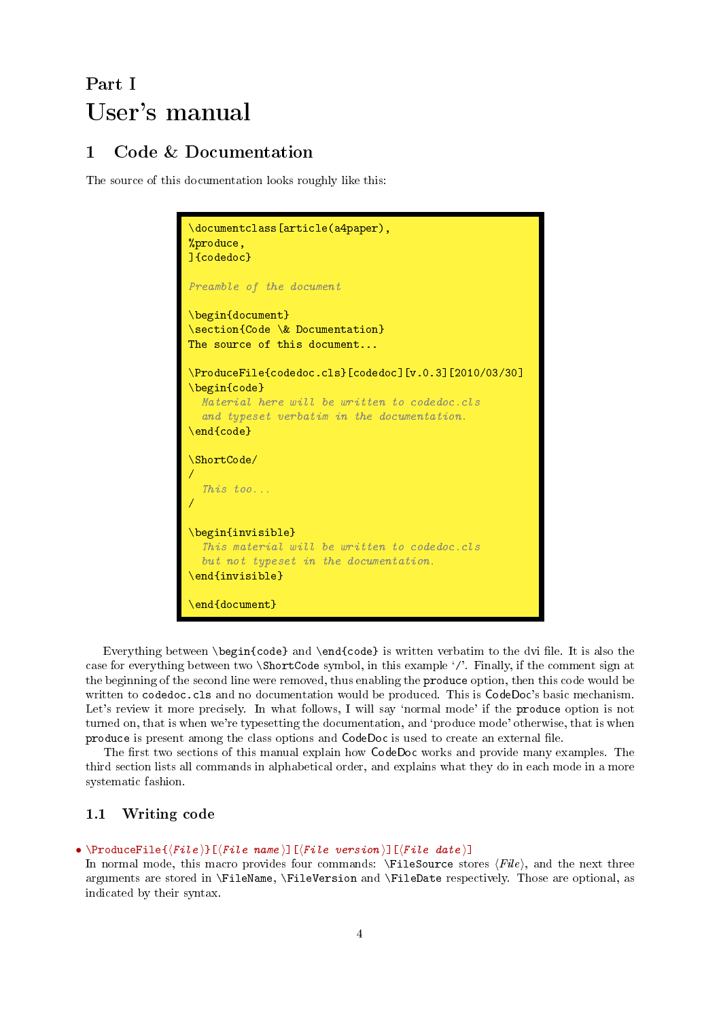# <span id="page-3-3"></span><span id="page-3-0"></span>Part I User's manual

# <span id="page-3-1"></span>1 Code & Documentation

The source of this documentation looks roughly like this:

```
\documentclass[article(a4paper),
%produce,
]{codedoc}
Preamble of the document
\begin{document}
\section{Code \& Documentation}
The source of this document...
\ProduceFile{codedoc.cls}[codedoc][v.0.3][2010/03/30]
\begin{code}
  Material here will be written to codedoc.cls
  and typeset verbatim in the documentation.
\end{code}
\ShortCode/
/
  This too...
/
\begin{invisible}
  This material will be written to codedoc.cls
  but not typeset in the documentation.
\end{invisible}
\end{document}
```
Everything between \begin{code} and \end{code} is written verbatim to the dvi file. It is also the case for everything between two \ShortCode symbol, in this example `/'. Finally, if the comment sign at the beginning of the second line were removed, thus enabling the produce option, then this code would be written to codedoc.cls and no documentation would be produced. This is CodeDoc's basic mechanism. Let's review it more precisely. In what follows, I will say 'normal mode' if the produce option is not turned on, that is when we're typesetting the documentation, and 'produce mode' otherwise, that is when produce is present among the class options and CodeDoc is used to create an external le.

The first two sections of this manual explain how CodeDoc works and provide many examples. The third section lists all commands in alphabetical order, and explains what they do in each mode in a more systematic fashion.

# <span id="page-3-2"></span>1.1 Writing code

### • \ProduceFile $\{ \langle File \rangle\}$ [ $\langle File \ name \rangle$ ][ $\langle File \ date \rangle$ ]

In normal mode, this macro provides four commands:  $\FileSource$  stores  $\{File\}$ , and the next three arguments are stored in \FileName, \FileVersion and \FileDate respectively. Those are optional, as indicated by their syntax.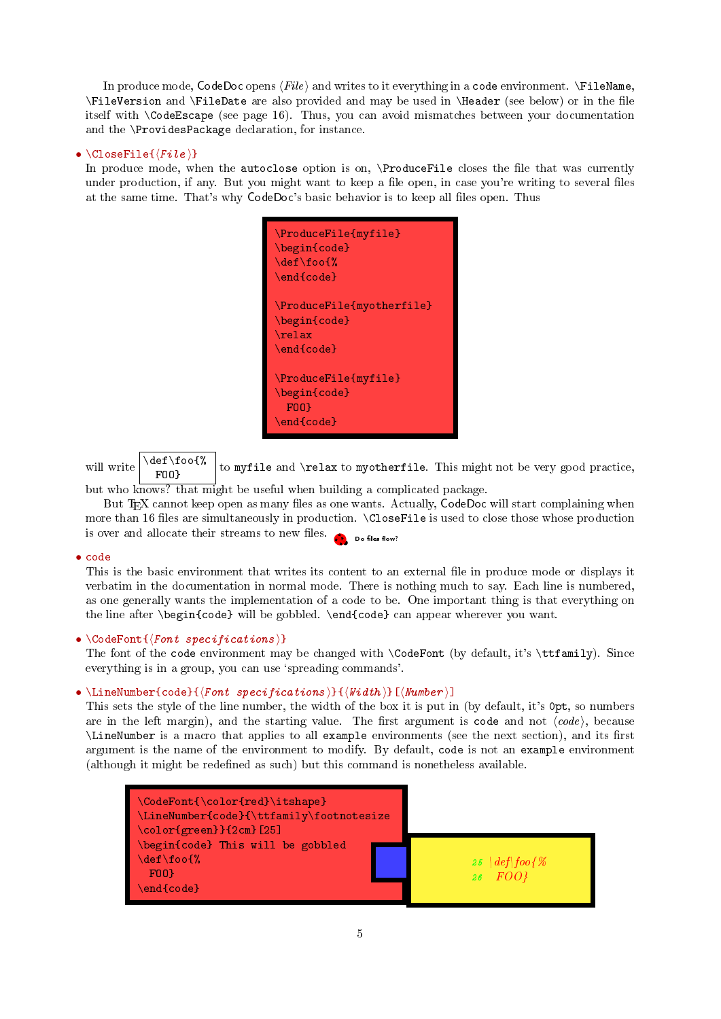<span id="page-4-0"></span>In produce mode, CodeDoc opens  $\langle File \rangle$  and writes to it everything in a code environment.  $\text{FileName},$ \FileVersion and \FileDate are also provided and may be used in \Header (see below) or in the le itself with \CodeEscape (see page [16\)](#page-13-0). Thus, you can avoid mismatches between your documentation and the \ProvidesPackage declaration, for instance.

# •  $\CloseFile({file})$

In produce mode, when the autoclose option is on, \ProduceFile closes the file that was currently under production, if any. But you might want to keep a file open, in case you're writing to several files at the same time. That's why CodeDoc's basic behavior is to keep all files open. Thus

| $\Pi$<br>$\begin{cases}$ \begin{code}<br>$\def\of\$<br>$\end{color}$                     |
|------------------------------------------------------------------------------------------|
| $\P$ roduceFile $\{$ myotherfile $\}$<br>\begin{code}<br>$\text{relax}$<br>$\end{color}$ |
| \ProduceFile{myfile}<br>$\begin{cases}$ \begin{code}<br>F00<br>\end{code}                |

will write  $\delta$  \def\foo{% to myfile and \relax to myotherfile. This might not be very good practice,

but who knows? that might be useful when building a complicated package.

But T<sub>E</sub>X cannot keep open as many files as one wants. Actually, CodeDoc will start complaining when more than 16 files are simultaneously in production.  $\text{CloseFile}$  is used to close those whose production is over and allocate their streams to new files.  $\bullet$  be files flow?

# • code

This is the basic environment that writes its content to an external file in produce mode or displays it verbatim in the documentation in normal mode. There is nothing much to say. Each line is numbered, as one generally wants the implementation of a code to be. One important thing is that everything on the line after \begin{code} will be gobbled. \end{code} can appear wherever you want.

# •  $\{CodeFont({font specifications})\}$

The font of the code environment may be changed with \CodeFont (by default, it's \ttfamily). Since everything is in a group, you can use 'spreading commands'.

# • \LineNumber{code}{ $\{Font\ species\}$ }{\\delta ions \\delta \\delta \\delta \\delta \mber \]

This sets the style of the line number, the width of the box it is put in (by default, it's 0pt, so numbers are in the left margin), and the starting value. The first argument is code and not  $\langle code \rangle$ , because \LineNumber is a macro that applies to all example environments (see the next section), and its first argument is the name of the environment to modify. By default, code is not an example environment (although it might be redefined as such) but this command is nonetheless available.

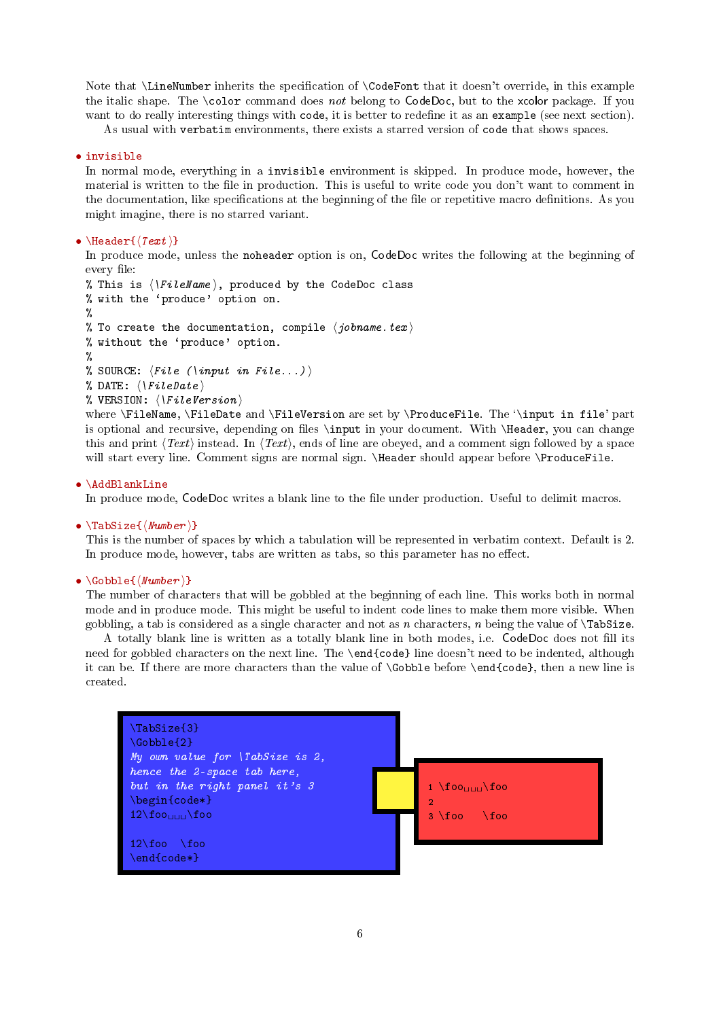<span id="page-5-0"></span>Note that \LineNumber inherits the specification of \CodeFont that it doesn't override, in this example the italic shape. The \color command does not belong to CodeDoc, but to the xcolor package. If you want to do really interesting things with code, it is better to redefine it as an example (see next section).

As usual with verbatim environments, there exists a starred version of code that shows spaces.

# • invisible

In normal mode, everything in a invisible environment is skipped. In produce mode, however, the material is written to the file in production. This is useful to write code you don't want to comment in the documentation, like specifications at the beginning of the file or repetitive macro definitions. As you might imagine, there is no starred variant.

### • \Header $\{$ (Text)}

In produce mode, unless the noheader option is on, CodeDoc writes the following at the beginning of every file:

```
% This is \langle \FileName \, produced by the CodeDoc class
% with the `produce' option on.
%
% To create the documentation, compile \langle jobname.text \rangle% without the `produce' option.
%
% SOURCE: \langle File \rangle (\input in File...) \
% DATE: \langle \text{}\rangleFileDate
% VERSION: \langle \
```
where \FileName, \FileDate and \FileVersion are set by \ProduceFile. The '\input in file' part is optional and recursive, depending on files \input in your document. With \Header, you can change this and print  $\langle Text \rangle$  instead. In  $\langle Text \rangle$ , ends of line are obeyed, and a comment sign followed by a space will start every line. Comment signs are normal sign. \Header should appear before \ProduceFile.

#### • \AddBlankLine

In produce mode, CodeDoc writes a blank line to the file under production. Useful to delimit macros.

### •  $\text{TableSize}$ { $\text{Number}$ }

This is the number of spaces by which a tabulation will be represented in verbatim context. Default is 2. In produce mode, however, tabs are written as tabs, so this parameter has no effect.

### •  $\{K_{\text{Wumber}}\}$

The number of characters that will be gobbled at the beginning of each line. This works both in normal mode and in produce mode. This might be useful to indent code lines to make them more visible. When gobbling, a tab is considered as a single character and not as n characters, n being the value of  $\text{TabSize}$ .

A totally blank line is written as a totally blank line in both modes, i.e. CodeDoc does not fill its need for gobbled characters on the next line. The \end{code} line doesn't need to be indented, although it can be. If there are more characters than the value of \Gobble before \end{code}, then a new line is created.

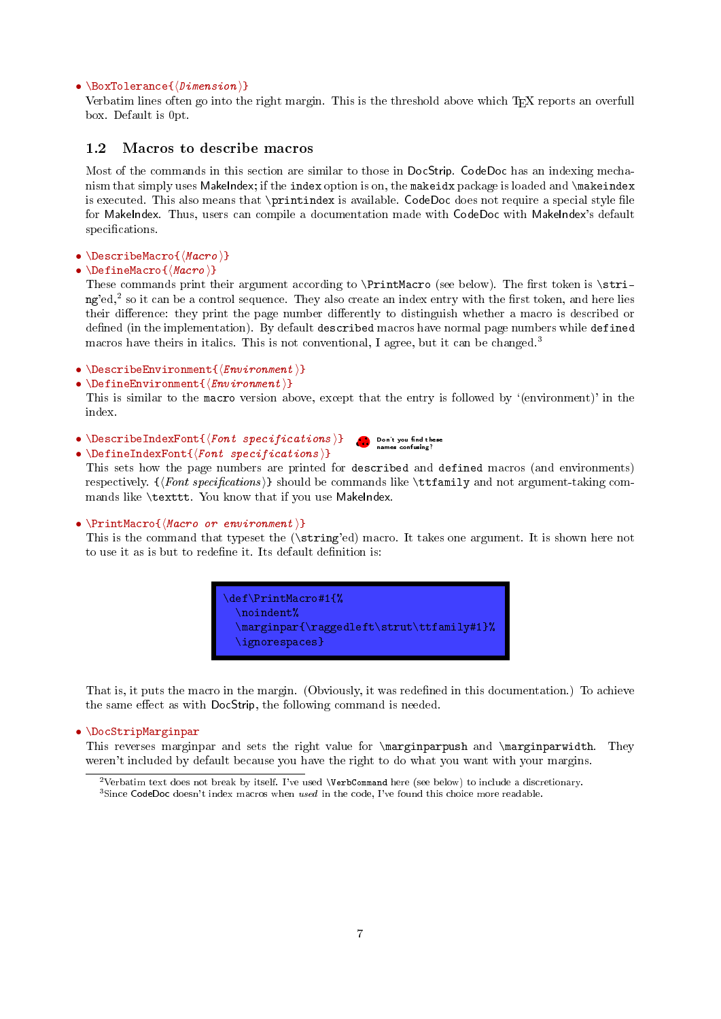# <span id="page-6-3"></span>• \BoxTolerance{ $\langle$ Dimension}}

Verbatim lines often go into the right margin. This is the threshold above which T<sub>EX</sub> reports an overfull box. Default is 0pt.

# <span id="page-6-0"></span>1.2 Macros to describe macros

Most of the commands in this section are similar to those in DocStrip. CodeDoc has an indexing mechanism that simply uses MakeIndex; if the index option is on, the makeidx package is loaded and \makeindex is executed. This also means that  $\partial$ rintindex is available. CodeDoc does not require a special style file for MakeIndex. Thus, users can compile a documentation made with CodeDoc with MakeIndex's default specifications.

# • \DescribeMacro $\{\langle \text{Macro } \rangle\}$

• \DefineMacro $\{\langle\text{Macro }\rangle\}$ 

These commands print their argument according to \PrintMacro (see below). The first token is \stri-ng'ed,<sup>[2](#page-6-1)</sup> so it can be a control sequence. They also create an index entry with the first token, and here lies their difference: they print the page number differently to distinguish whether a macro is described or defined (in the implementation). By default described macros have normal page numbers while defined macros have theirs in italics. This is not conventional, I agree, but it can be changed.<sup>[3](#page-6-2)</sup>

- \DescribeEnvironment $\{\langle \textit{Env}$ ironment  $\rangle\}$
- \DefineEnvironment $\{$ { $Environment$ }}

This is similar to the macro version above, except that the entry is followed by '(environment)' in the index.

- \DescribeIndexFont ${\langle} {\text{font } \text{spectifications }}{\}$ •....•Don't you nd these names confusing?
- \DefineIndexFont{ $\{Fort specifications \}$ }

This sets how the page numbers are printed for described and defined macros (and environments) respectively.  $\{\>Font\ specifications\> \}$  should be commands like  $\tt \tt{family}$  and not argument-taking commands like \texttt. You know that if you use MakeIndex.

# •  $\PrintMaccro\{\text{Maccro} or environment\}$

This is the command that typeset the (\string'ed) macro. It takes one argument. It is shown here not to use it as is but to redefine it. Its default definition is:



That is, it puts the macro in the margin. (Obviously, it was redefined in this documentation.) To achieve the same effect as with DocStrip, the following command is needed.

#### • \DocStripMarginpar

This reverses marginpar and sets the right value for \marginparpush and \marginparwidth. They weren't included by default because you have the right to do what you want with your margins.

<span id="page-6-1"></span><sup>2</sup>Verbatim text does not break by itself. I've used \VerbCommand here (see below) to include a discretionary.

<span id="page-6-2"></span><sup>&</sup>lt;sup>3</sup>Since CodeDoc doesn't index macros when used in the code, I've found this choice more readable.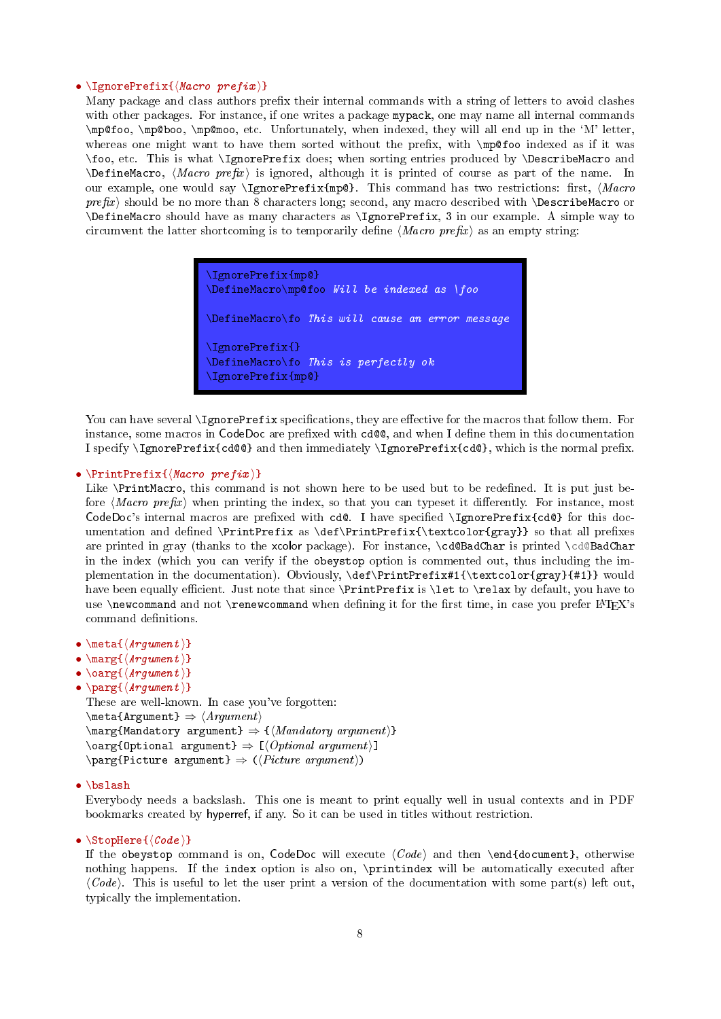# <span id="page-7-0"></span>• \IgnorePrefix{ $\{Maccro\ prefix\}$

Many package and class authors prefix their internal commands with a string of letters to avoid clashes with other packages. For instance, if one writes a package mypack, one may name all internal commands \mp@foo, \mp@boo, \mp@moo, etc. Unfortunately, when indexed, they will all end up in the `M' letter, whereas one might want to have them sorted without the prefix, with  $\mp$ ofoo indexed as if it was \foo, etc. This is what \IgnorePrefix does; when sorting entries produced by \DescribeMacro and  $\Delta$ DefineMacro,  $\langle Marco \ prefix \rangle$  is ignored, although it is printed of course as part of the name. In our example, one would say \IgnorePrefix{mp@}. This command has two restrictions: rst, hMacro  $prefix$ ) should be no more than 8 characters long; second, any macro described with *\DescribeMacro* or \DefineMacro should have as many characters as \IgnorePrefix, 3 in our example. A simple way to circumvent the latter shortcoming is to temporarily define  $\langle Macro\ prefix \rangle$  as an empty string:

> \IgnorePrefix{mp@} \DefineMacro\mp@foo Will be indexed as \foo \DefineMacro\fo This will cause an error message \IgnorePrefix{} \DefineMacro\fo This is perfectly ok \IgnorePrefix{mp@}

You can have several \IgnorePrefix specifications, they are effective for the macros that follow them. For instance, some macros in CodeDoc are prefixed with cd@@, and when I define them in this documentation I specify \IgnorePrefix{cd@@} and then immediately \IgnorePrefix{cd@}, which is the normal prex.

### •  $\PrintPrefix({\text{Macro prefix})})$

Like \PrintMacro, this command is not shown here to be used but to be redefined. It is put just before  $\langle Marco \ prefix \rangle$  when printing the index, so that you can typeset it differently. For instance, most  $CodeDoc's internal macros are prefixed with cd@. I have specified \IgnorePrefix{cd@} for this doc$ umentation and defined \PrintPrefix as \def\PrintPrefix{\textcolor{gray}} so that all prefixes are printed in gray (thanks to the xcolor package). For instance, \cd@BadChar is printed \cd@BadChar in the index (which you can verify if the obeystop option is commented out, thus including the implementation in the documentation). Obviously, \def\PrintPrefix#1{\textcolor{gray}{#1}} would have been equally efficient. Just note that since \PrintPrefix is \let to \relax by default, you have to use \newcommand and not \renewcommand when defining it for the first time, in case you prefer  $\rm ETRX$ 's command definitions.

- $\meta{\langle Argument \rangle}$
- $\max_{\{ \text{argument } \} }$
- $\text{\\sqrt{Arg}(\text{Argument})$
- $\sqrt{\text{Arg}(Argument)}$

```
These are well-known. In case you've forgotten:
\mathcal{Argument} \Rightarrow \langle Argument \rangle\langle\Mandatory argument\rangle \Rightarrow \{\langle Mandatory\ argument\rangle\}\text{Oarg{Optional argument}} \Rightarrow [\text{Optional argument}]\partial \ (Picture argument} \Rightarrow (Picture argument))
```
# • \bslash

Everybody needs a backslash. This one is meant to print equally well in usual contexts and in PDF bookmarks created by hyperref, if any. So it can be used in titles without restriction.

# •  $\Set{Code}$

If the obeystop command is on, CodeDoc will execute  $\langle Code \rangle$  and then \end{document}, otherwise nothing happens. If the index option is also on, \printindex will be automatically executed after  $\langle Code \rangle$ . This is useful to let the user print a version of the documentation with some part(s) left out, typically the implementation.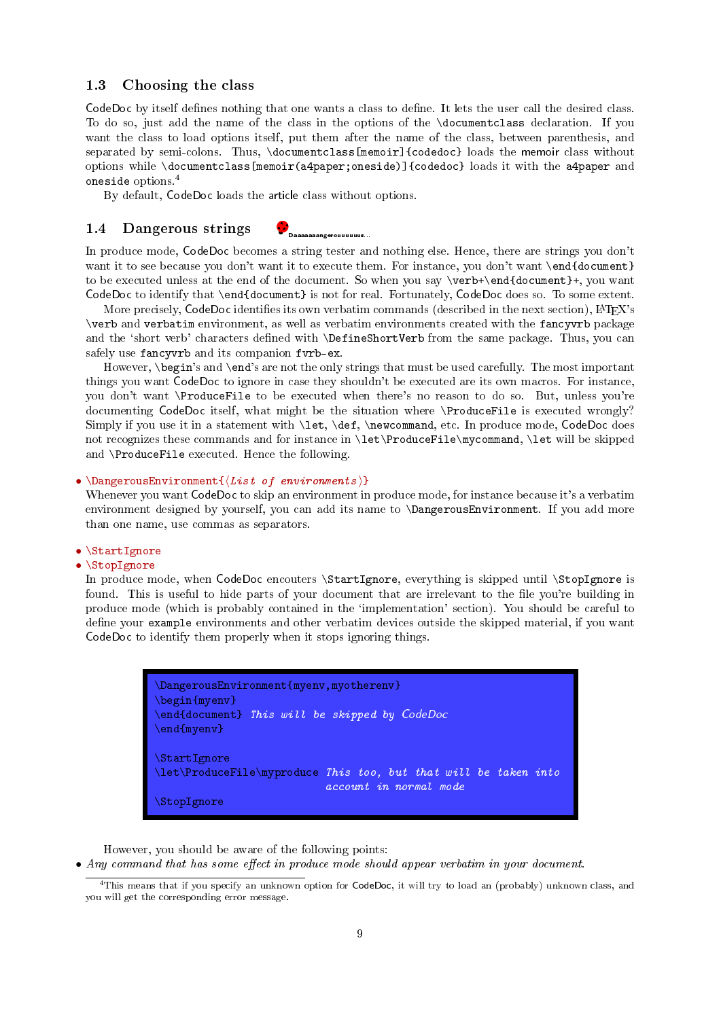# <span id="page-8-3"></span><span id="page-8-0"></span>1.3 Choosing the class

CodeDoc by itself defines nothing that one wants a class to define. It lets the user call the desired class. To do so, just add the name of the class in the options of the \documentclass declaration. If you want the class to load options itself, put them after the name of the class, between parenthesis, and separated by semi-colons. Thus, \documentclass[memoir]{codedoc} loads the memoir class without options while \documentclass[memoir(a4paper;oneside)]{codedoc} loads it with the a4paper and oneside options.[4](#page-8-2)

By default, CodeDoc loads the article class without options.

# <span id="page-8-1"></span>1.4 Dangerous strings

•. . ..• Daaaaaaangerouuuuuus...

In produce mode, CodeDoc becomes a string tester and nothing else. Hence, there are strings you don't want it to see because you don't want it to execute them. For instance, you don't want \end{document} to be executed unless at the end of the document. So when you say \verb+\end{document}+, you want CodeDoc to identify that \end{document} is not for real. Fortunately, CodeDoc does so. To some extent.

More precisely,  $CodeDoc$  identifies its own verbatim commands (described in the next section),  $\text{LFT}_K X$ 's \verb and verbatim environment, as well as verbatim environments created with the fancyvrb package and the 'short verb' characters defined with \DefineShortVerb from the same package. Thus, you can safely use fancyvrb and its companion fvrb-ex.

However, \begin's and \end's are not the only strings that must be used carefully. The most important things you want CodeDoc to ignore in case they shouldn't be executed are its own macros. For instance, you don't want \ProduceFile to be executed when there's no reason to do so. But, unless you're documenting CodeDoc itself, what might be the situation where \ProduceFile is executed wrongly? Simply if you use it in a statement with \let, \def, \newcommand, etc. In produce mode, CodeDoc does not recognizes these commands and for instance in \let\ProduceFile\mycommand, \let will be skipped and \ProduceFile executed. Hence the following.

# • \DangerousEnvironment $\{(List\;of\; environments)\}$

Whenever you want CodeDoc to skip an environment in produce mode, for instance because it's a verbatim environment designed by yourself, you can add its name to \DangerousEnvironment. If you add more than one name, use commas as separators.

# • \StartIgnore

# • \StopIgnore

In produce mode, when CodeDoc encouters \StartIgnore, everything is skipped until \StopIgnore is found. This is useful to hide parts of your document that are irrelevant to the file you're building in produce mode (which is probably contained in the `implementation' section). You should be careful to define your example environments and other verbatim devices outside the skipped material, if you want CodeDoc to identify them properly when it stops ignoring things.



However, you should be aware of the following points:

• Any command that has some effect in produce mode should appear verbatim in your document.

<span id="page-8-2"></span><sup>4</sup>This means that if you specify an unknown option for CodeDoc, it will try to load an (probably) unknown class, and you will get the corresponding error message.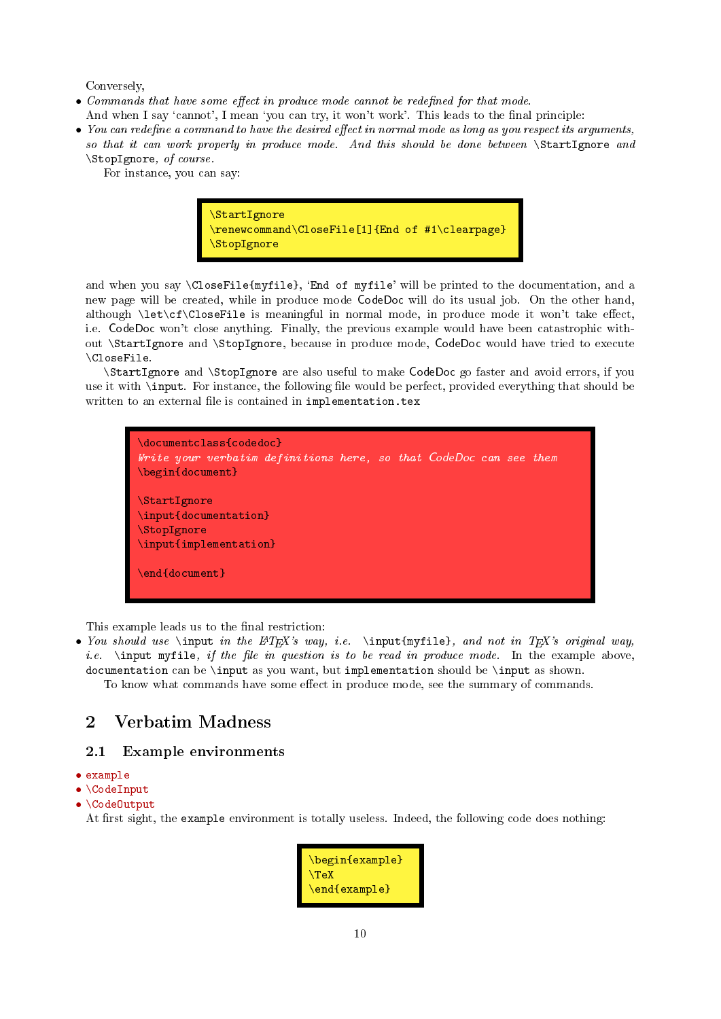<span id="page-9-2"></span>Conversely,

- Commands that have some effect in produce mode cannot be redefined for that mode. And when I say 'cannot', I mean 'you can try, it won't work'. This leads to the final principle:
- You can redefine a command to have the desired effect in normal mode as long as you respect its arguments, so that it can work properly in produce mode. And this should be done between  $\text{StartIgnore}$  and \StopIgnore, of course.

For instance, you can say:



and when you say \CloseFile{myfile}, `End of myfile' will be printed to the documentation, and a new page will be created, while in produce mode CodeDoc will do its usual job. On the other hand, although  $\let\cf\Closerfile$  is meaningful in normal mode, in produce mode it won't take effect, i.e. CodeDoc won't close anything. Finally, the previous example would have been catastrophic without \StartIgnore and \StopIgnore, because in produce mode, CodeDoc would have tried to execute \CloseFile.

\StartIgnore and \StopIgnore are also useful to make CodeDoc go faster and avoid errors, if you use it with \input. For instance, the following file would be perfect, provided everything that should be written to an external file is contained in implementation.tex



This example leads us to the final restriction:

• You should use \input in the  $\mathbb{P}X$ 's way, i.e. \input{myfile}, and not in TEX's original way, i.e.  $\infty$  input myfile, if the file in question is to be read in produce mode. In the example above, documentation can be \input as you want, but implementation should be \input as shown. To know what commands have some effect in produce mode, see the summary of commands.

# <span id="page-9-0"></span>2 Verbatim Madness

# <span id="page-9-1"></span>2.1 Example environments

- example
- \CodeInput
- \CodeOutput

At first sight, the example environment is totally useless. Indeed, the following code does nothing:

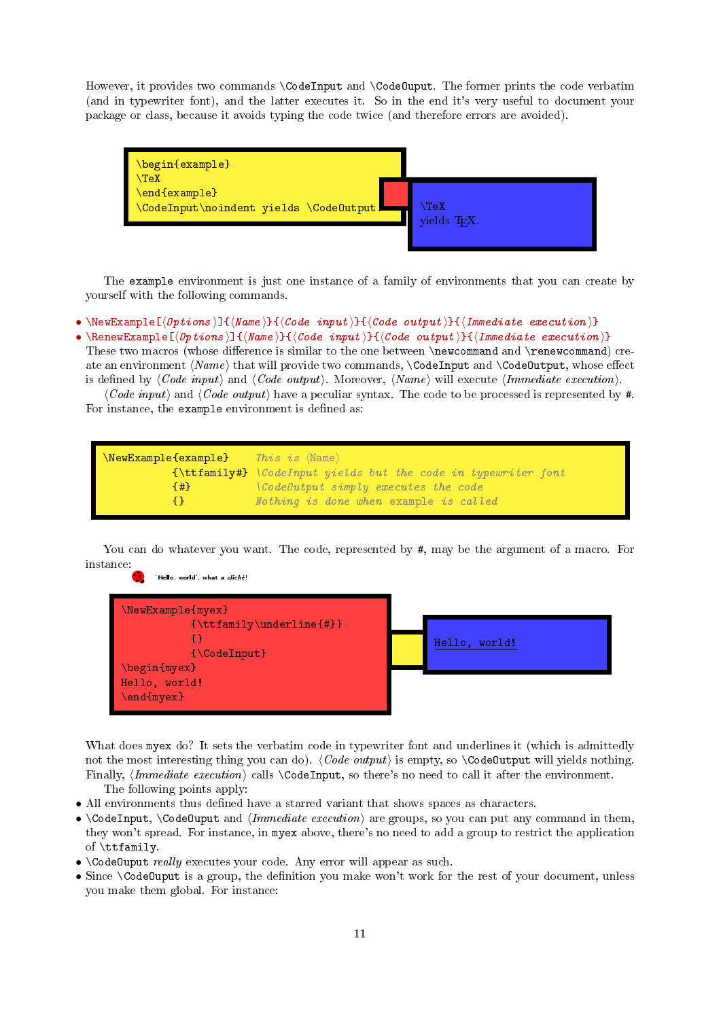<span id="page-10-0"></span>However, it provides two commands \CodeInput and \CodeOuput. The former prints the code verbatim (and in typewriter font), and the latter executes it. So in the end it's very useful to document your package or class, because it avoids typing the code twice (and therefore errors are avoided).



The example environment is just one instance of a family of environments that you can create by yourself with the following commands.

```
• \NewExample[\langle \text{Options} \rangle]{\langle \text{Name} \rangle}{\langle \text{Code input} \rangle}{\langle \text{Code output} \rangle}{\langle \text{Immediate execution} \rangle}
```
• \RenewExample[ $\langle Options \rangle$ ]{ $\langle Name \rangle$ }{ $\langle Code \ input \rangle$ }{ $\langle Code \ output \rangle$ }{ $\langle Immediately \ L)$ }{ $\langle$ Immediate execution  $\rangle$ } These two macros (whose difference is similar to the one between \newcommand and \renewcommand) create an environment  $\langle Name \rangle$  that will provide two commands,  $\text{CodeInput}$  and  $\text{CodeOutput}$ , whose effect is defined by  $\langle Code \; input \rangle$  and  $\langle Code \; output \rangle$ . Moreover,  $\langle Name \rangle$  will execute  $\langle Immediately \; needed \rangle$ .

 $\langle Code\ input\rangle$  and  $\langle Code\ output\rangle$  have a peculiar syntax. The code to be processed is represented by #. For instance, the example environment is defined as:

```
\texttt{\textbackslash}NewExample\{\texttt{example}\} This is \texttt{\textbackslash} Than
            {\ttfamily#} \CodeInput yields but the code in typewriter font
            {#} \CodeOutput simply executes the code
            {} Nothing is done when example is called
```
You can do whatever you want. The code, represented by  $\#$ , may be the argument of a macro. For instance:



What does myex do? It sets the verbatim code in typewriter font and underlines it (which is admittedly not the most interesting thing you can do).  $\langle Code\ output\rangle$  is empty, so  $\text{CodeOutput}$  will yields nothing. Finally,  $\{Immediate \ execution\}$  calls  $\CodeInput$ , so there's no need to call it after the environment. The following points apply:

- All environments thus defined have a starred variant that shows spaces as characters.
- \CodeInput, \CodeOuput and  $\langle Immediate\; execution \rangle$  are groups, so you can put any command in them, they won't spread. For instance, in myex above, there's no need to add a group to restrict the application of \ttfamily.
- \CodeOuput really executes your code. Any error will appear as such.
- Since \CodeOuput is a group, the definition you make won't work for the rest of your document, unless you make them global. For instance: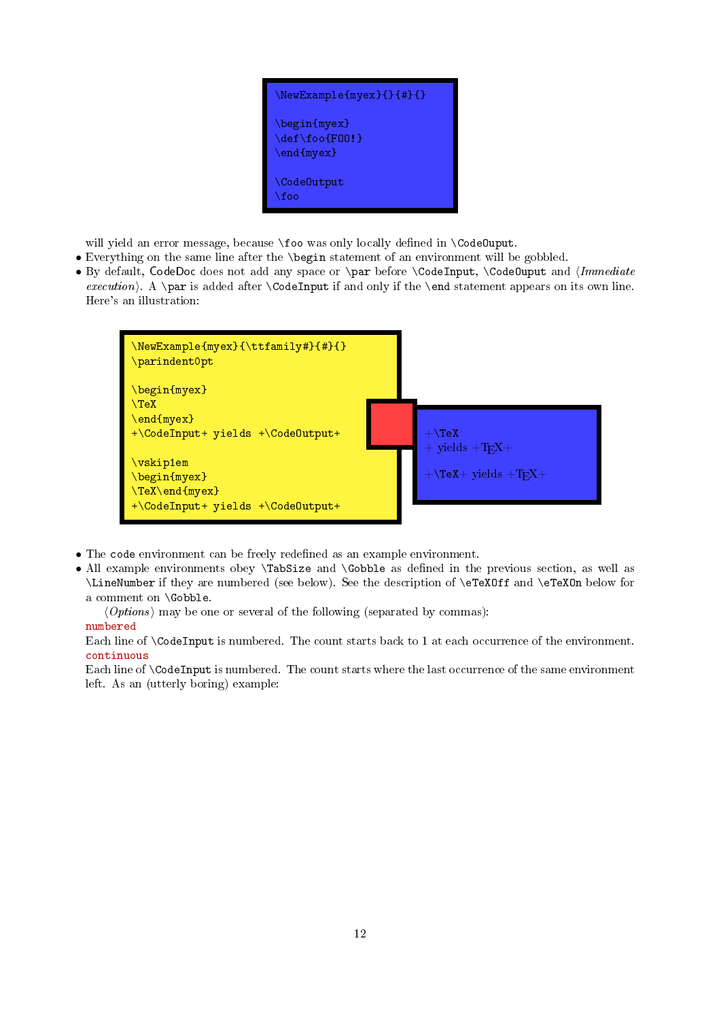

will yield an error message, because \foo was only locally defined in \CodeOuput.

- Everything on the same line after the \begin statement of an environment will be gobbled.
- By default, CodeDoc does not add any space or \par before \CodeInput, \CodeOuput and *{Immediate* execution). A \par is added after \CodeInput if and only if the \end statement appears on its own line. Here's an illustration:



- The code environment can be freely redefined as an example environment.
- All example environments obey \TabSize and \Gobble as defined in the previous section, as well as \LineNumber if they are numbered (see below). See the description of \eTeXOff and \eTeXOn below for a comment on \Gobble.

 $\langle Options \rangle$  may be one or several of the following (separated by commas):

# numbered

Each line of \CodeInput is numbered. The count starts back to 1 at each occurrence of the environment. continuous

Each line of \CodeInput is numbered. The count starts where the last occurrence of the same environment left. As an (utterly boring) example: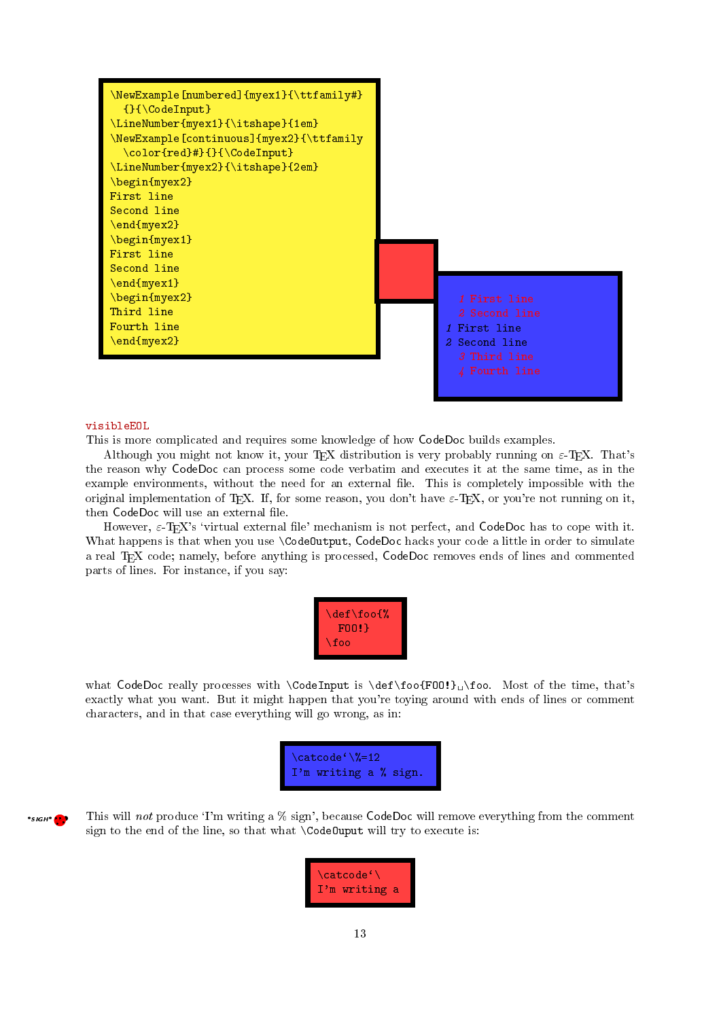<span id="page-12-0"></span>

#### visibleEOL

 $•s$ <sub>16</sub> $+$  $•$ 

This is more complicated and requires some knowledge of how CodeDoc builds examples.

Although you might not know it, your T<sub>E</sub>X distribution is very probably running on  $\varepsilon$ -T<sub>E</sub>X. That's the reason why CodeDoc can process some code verbatim and executes it at the same time, as in the example environments, without the need for an external file. This is completely impossible with the original implementation of TFX. If, for some reason, you don't have  $\varepsilon$ -TFX, or you're not running on it, then CodeDoc will use an external file.

However,  $\varepsilon$ -T<sub>E</sub>X's 'virtual external file' mechanism is not perfect, and CodeDoc has to cope with it. What happens is that when you use \CodeOutput, CodeDoc hacks your code a little in order to simulate a real TEX code; namely, before anything is processed, CodeDoc removes ends of lines and commented parts of lines. For instance, if you say:

| $\def\of\%$ |
|-------------|
|             |
| FOO!        |
| \foo        |
|             |

what CodeDoc really processes with  $\text{CodeInput}$  is  $\det\text{F00!} \cdot \text{F00!}$  Most of the time, that's exactly what you want. But it might happen that you're toying around with ends of lines or comment characters, and in that case everything will go wrong, as in:

| $\chi$ catcode' $\chi$ %=12 |  |  |
|-----------------------------|--|--|
| I'm writing a % sign.       |  |  |

\*sIGH\* This will not produce 'I'm writing a % sign', because CodeDoc will remove everything from the comment sign to the end of the line, so that what \CodeOuput will try to execute is:

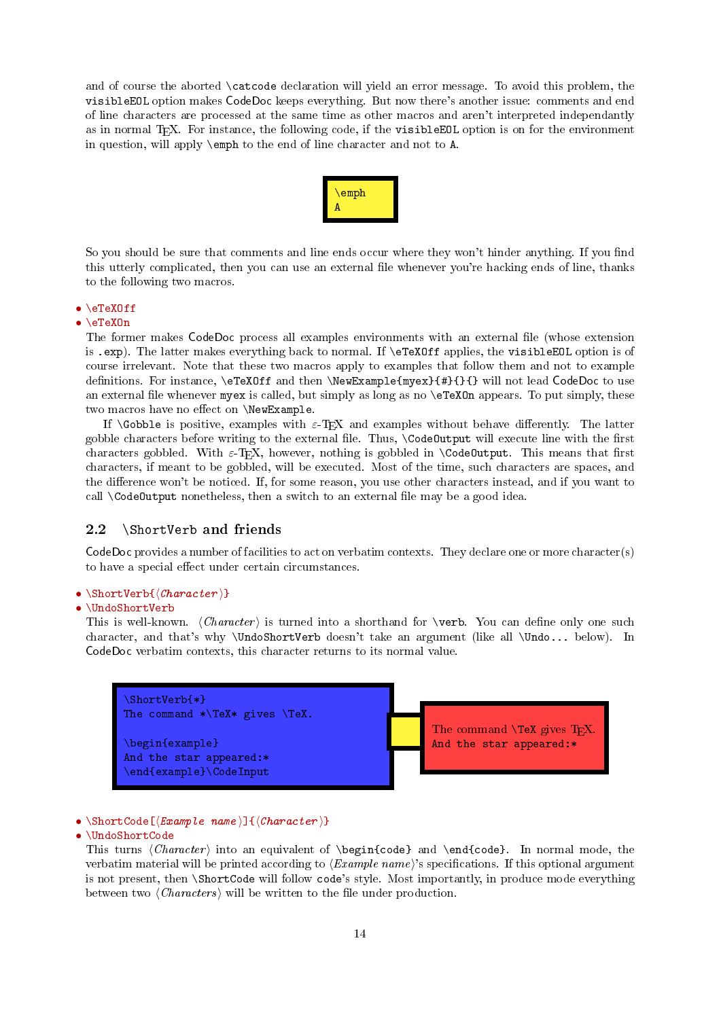<span id="page-13-1"></span>and of course the aborted \catcode declaration will yield an error message. To avoid this problem, the visibleEOL option makes CodeDoc keeps everything. But now there's another issue: comments and end of line characters are processed at the same time as other macros and aren't interpreted independantly as in normal TEX. For instance, the following code, if the visibleEOL option is on for the environment in question, will apply \emph to the end of line character and not to A.



So you should be sure that comments and line ends occur where they won't hinder anything. If you find this utterly complicated, then you can use an external file whenever you're hacking ends of line, thanks to the following two macros.

# • \eTeXOff

# • \eTeXOn

The former makes CodeDoc process all examples environments with an external file (whose extension is .exp). The latter makes everything back to normal. If \eTeXOff applies, the visibleEOL option is of course irrelevant. Note that these two macros apply to examples that follow them and not to example definitions. For instance, \eTeXOff and then \NewExample{myex}{#}{}{} will not lead CodeDoc to use an external file whenever myex is called, but simply as long as no  $\epsilon$ TeXOn appears. To put simply, these two macros have no effect on  $\NewExample$ .

If  $\Gobble$  is positive, examples with  $\varepsilon$ -T<sub>E</sub>X and examples without behave differently. The latter gobble characters before writing to the external file. Thus, \CodeOutput will execute line with the first characters gobbled. With  $\varepsilon$ -T<sub>E</sub>X, however, nothing is gobbled in **\CodeOutput**. This means that first characters, if meant to be gobbled, will be executed. Most of the time, such characters are spaces, and the difference won't be noticed. If, for some reason, you use other characters instead, and if you want to call  $\text{CodeOutput}$  nonetheless, then a switch to an external file may be a good idea.

# <span id="page-13-0"></span>2.2 \ShortVerb and friends

CodeDoc provides a number of facilities to act on verbatim contexts. They declare one or more character(s) to have a special effect under certain circumstances.

# •  $\ShortVerb{\langle Character \rangle}$

# • \UndoShortVerb

This is well-known.  $\langle Character \rangle$  is turned into a shorthand for \verb. You can define only one such character, and that's why \UndoShortVerb doesn't take an argument (like all \Undo... below). In CodeDoc verbatim contexts, this character returns to its normal value.



• \ShortCode[ $\langle Example \ name \ ]$  { $\langle Character \ \rangle$ }

# • \UndoShortCode

This turns  $\langle Character \rangle$  into an equivalent of  $\begin{cases}$  and  $\end{cases}$ . In normal mode, the verbatim material will be printed according to  $\langle Example\ name \rangle$ 's specifications. If this optional argument is not present, then \ShortCode will follow code's style. Most importantly, in produce mode everything between two  $\langle \textit{Characters} \rangle$  will be written to the file under production.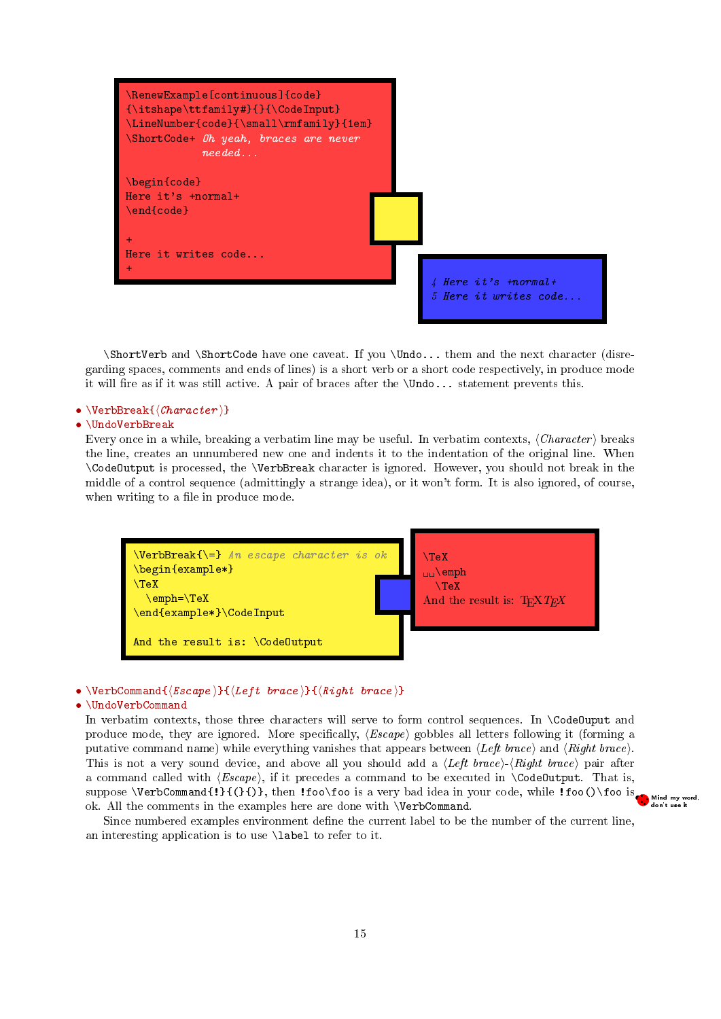<span id="page-14-0"></span>

\ShortVerb and \ShortCode have one caveat. If you \Undo... them and the next character (disregarding spaces, comments and ends of lines) is a short verb or a short code respectively, in produce mode it will fire as if it was still active. A pair of braces after the  $\Upsilon$ ondo... statement prevents this.

# •  $\VerbBreak({\text{Character}})$

### • \UndoVerbBreak

Every once in a while, breaking a verbatim line may be useful. In verbatim contexts,  $\langle Character \rangle$  breaks the line, creates an unnumbered new one and indents it to the indentation of the original line. When \CodeOutput is processed, the \VerbBreak character is ignored. However, you should not break in the middle of a control sequence (admittingly a strange idea), or it won't form. It is also ignored, of course, when writing to a file in produce mode.



# • \VerbCommand ${\langle Escape \rangle}{\langle Left \ brace \rangle}{\langle Right \ brace \rangle}$

### • \UndoVerbCommand

In verbatim contexts, those three characters will serve to form control sequences. In \CodeOuput and produce mode, they are ignored. More specifically,  $\langle Escape \rangle$  gobbles all letters following it (forming a putative command name) while everything vanishes that appears between  $\langle Left\ bracket\_$  and  $\langle Right\ bracket\_$ . This is not a very sound device, and above all you should add a  $\langle Left\ brace \rangle - \langle Right\ brace \rangle$  pair after a command called with  $\langle Escale\rangle$ , if it precedes a command to be executed in **\CodeOutput**. That is, suppose \VerbCommand{!}{(}{)}, then !foo\foo is a very bad idea in your code, while !foo()\foo is while when the system of the examples here are done with \VerbCommand ok. All the comments in the examples here are done with \VerbCommand.

Since numbered examples environment define the current label to be the number of the current line, an interesting application is to use \label to refer to it.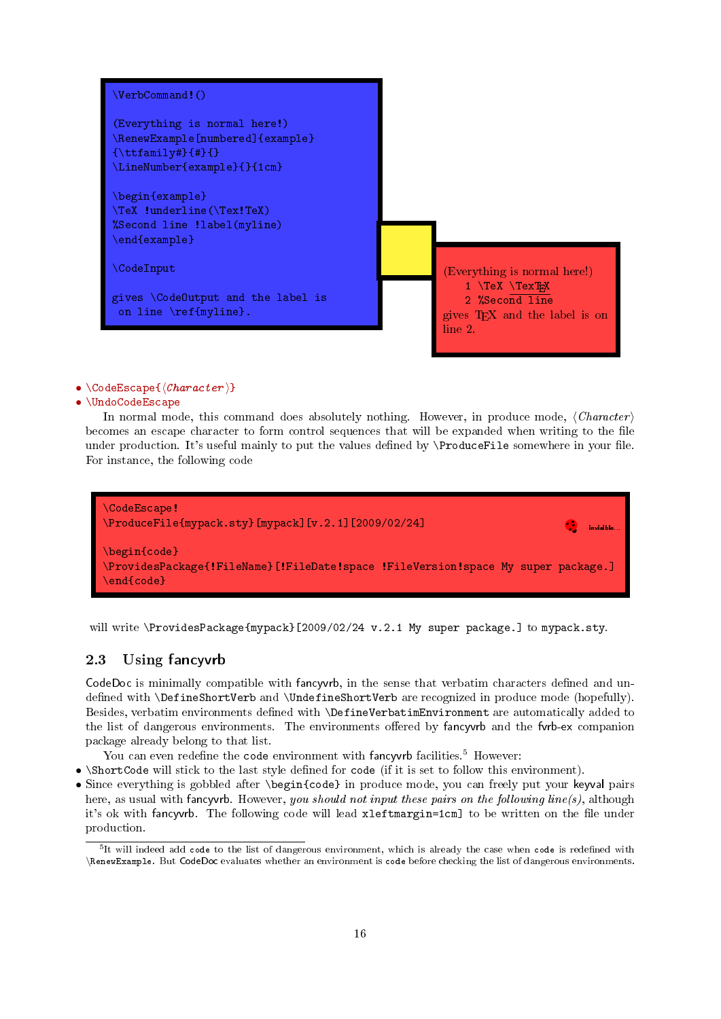<span id="page-15-2"></span>

# •  $\{ \text{CodeEscape} \}$

# • \UndoCodeEscape

In normal mode, this command does absolutely nothing. However, in produce mode,  $\langle Character \rangle$ becomes an escape character to form control sequences that will be expanded when writing to the file under production. It's useful mainly to put the values defined by  $\Theta$   $\Theta$ . For instance, the following code



will write \ProvidesPackage{mypack}[2009/02/24 v.2.1 My super package.] to mypack.sty.

# <span id="page-15-0"></span>2.3 Using fancyvrb

CodeDoc is minimally compatible with fancy the sense that verbatim characters defined and undefined with \DefineShortVerb and \UndefineShortVerb are recognized in produce mode (hopefully). Besides, verbatim environments defined with **\DefineVerbatimEnvironment** are automatically added to the list of dangerous environments. The environments offered by fancyvrb and the fvrb-ex companion package already belong to that list.

- You can even redefine the code environment with fancyvrb facilities.<sup>[5](#page-15-1)</sup> However:
- \ShortCode will stick to the last style defined for code (if it is set to follow this environment).
- Since everything is gobbled after \begin{code} in produce mode, you can freely put your keyval pairs here, as usual with fancyvrb. However, you should not input these pairs on the following line(s), although it's ok with fancyvrb. The following code will lead xleftmargin=1cm] to be written on the file under production.

<span id="page-15-1"></span> $5$ It will indeed add code to the list of dangerous environment, which is already the case when code is redefined with \RenewExample. But CodeDoc evaluates whether an environment is code before checking the list of dangerous environments.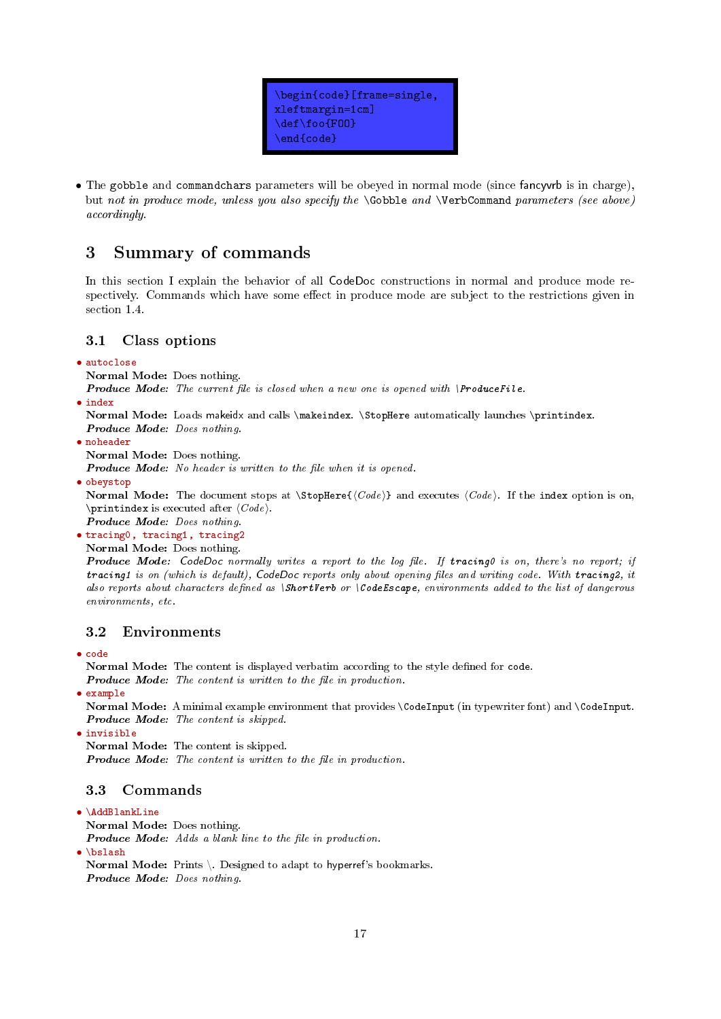

<span id="page-16-4"></span>• The gobble and commandchars parameters will be obeyed in normal mode (since fancyvrb is in charge), but not in produce mode, unless you also specify the \Gobble and \VerbCommand parameters (see above) accordingly.

# <span id="page-16-0"></span>3 Summary of commands

In this section I explain the behavior of all CodeDoc constructions in normal and produce mode respectively. Commands which have some effect in produce mode are subject to the restrictions given in section [1.4.](#page-8-1)

# <span id="page-16-1"></span>3.1 Class options

# • autoclose

Normal Mode: Does nothing.

**Produce Mode:** The current file is closed when a new one is opened with  $\text{ProductFile}$ .

• index

Normal Mode: Loads makeidx and calls \makeindex. \StopHere automatically launches \printindex. Produce Mode: Does nothing.

• noheader Normal Mode: Does nothing.

Produce Mode: No header is written to the file when it is opened.

• obeystop

Normal Mode: The document stops at  $\Stophere({Code})$  and executes  ${Code}$ . If the index option is on, \printindex is executed after  $\langle Code \rangle$ .

Produce Mode: Does nothing.

• tracing0, tracing1, tracing2

Normal Mode: Does nothing.

Produce Mode: CodeDoc normally writes a report to the log file. If tracing0 is on, there's no report; if tracing1 is on (which is default), CodeDoc reports only about opening files and writing code. With tracing2, it also reports about characters defined as \ShortVerb or \CodeEscape, environments added to the list of dangerous environments, etc.

# <span id="page-16-2"></span>3.2 Environments

• code

Normal Mode: The content is displayed verbatim according to the style defined for code.

- **Produce Mode:** The content is written to the file in production.
- example

Normal Mode: A minimal example environment that provides \CodeInput (in typewriter font) and \CodeInput. Produce Mode: The content is skipped.

• invisible

Normal Mode: The content is skipped. Produce Mode: The content is written to the file in production.

# <span id="page-16-3"></span>3.3 Commands

# • \AddBlankLine

Normal Mode: Does nothing.

Produce Mode: Adds a blank line to the file in production.

• \bslash

Normal Mode: Prints \. Designed to adapt to hyperref's bookmarks. Produce Mode: Does nothing.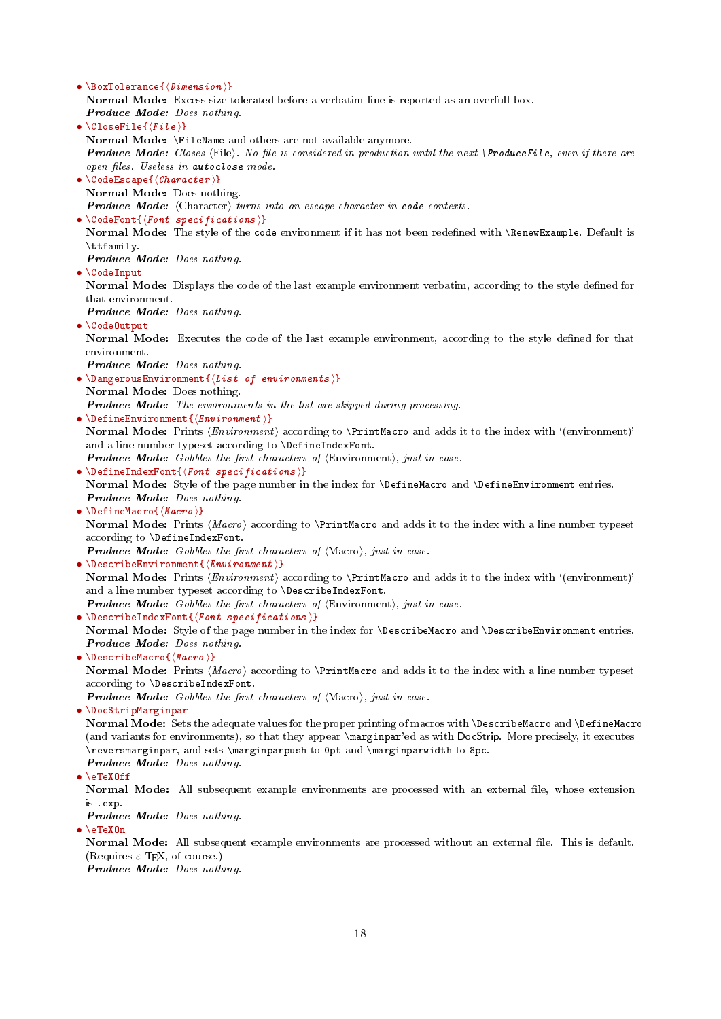<span id="page-17-0"></span>• \BoxTolerance{ $\langle$ Dimension \} Normal Mode: Excess size tolerated before a verbatim line is reported as an overfull box. Produce Mode: Does nothing. •  $\CloseFile({file})$ Normal Mode: \FileName and others are not available anymore. Produce Mode: Closes (File). No file is considered in production until the next \ProduceFile, even if there are open files. Useless in autoclose mode. •  $\{ \text{CodeE} \mid \text{Character} \}$ Normal Mode: Does nothing. **Produce Mode:** (Character) turns into an escape character in code contexts. •  $\{CodeFont({front~specticians})\}$ Normal Mode: The style of the code environment if it has not been redefined with \RenewExample. Default is \ttfamily. Produce Mode: Does nothing. • \CodeInput Normal Mode: Displays the code of the last example environment verbatim, according to the style defined for that environment. Produce Mode: Does nothing. • \CodeOutput Normal Mode: Executes the code of the last example environment, according to the style defined for that environment. Produce Mode: Does nothing. • \DangerousEnvironment $\{(List\ of\ environments\ )\}$ Normal Mode: Does nothing. Produce Mode: The environments in the list are skipped during processing. • \DefineEnvironment $\{$ {Environment}} Normal Mode: Prints  $\langle Environment \rangle$  according to  $\PrintMacc$  and adds it to the index with  $\cdot$ (environment)' and a line number typeset according to \DefineIndexFont. **Produce Mode:** Gobbles the first characters of  $\langle$ Environment $\rangle$ , just in case. •  $\Delta$  > DefineIndexFont{ $\{$  *Font specifications*  $\}$ Normal Mode: Style of the page number in the index for *\DefineMacro* and *\DefineEnvironment entries.* Produce Mode: Does nothing. • \DefineMacro { $\langle \text{Macro} \rangle$ } Normal Mode: Prints  $\langle Macro \rangle$  according to  $\Psi$  according to and adds it to the index with a line number typeset according to \DefineIndexFont. **Produce Mode:** Gobbles the first characters of  $Macc$ , just in case. • \DescribeEnvironment $\{$ {*Environment*}} Normal Mode: Prints  $\langle Environment \rangle$  according to  $\text{PerintMacco}$  and adds it to the index with  $\langle environment \rangle$ and a line number typeset according to \DescribeIndexFont. **Produce Mode:** Gobbles the first characters of  $\langle$ Environment $\rangle$ , just in case. • \DescribeIndexFont{ $\{Fort specifications \}$ } Normal Mode: Style of the page number in the index for \DescribeMacro and \DescribeEnvironment entries. Produce Mode: Does nothing. • \DescribeMacro { $\langle \text{Macro} \rangle$ } Normal Mode: Prints  $\langle Macro \rangle$  according to  $\Psi$  according to  $\Psi$  and adds it to the index with a line number typeset according to \DescribeIndexFont. **Produce Mode:** Gobbles the first characters of  $Macc$ , just in case. • \DocStripMarginpar Normal Mode: Sets the adequate values for the proper printing of macros with \DescribeMacro and \DefineMacro (and variants for environments), so that they appear \marginpar'ed as with DocStrip. More precisely, it executes \reversmarginpar, and sets \marginparpush to 0pt and \marginparwidth to 8pc. Produce Mode: Does nothing. • \eTeXOff Normal Mode: All subsequent example environments are processed with an external file, whose extension is .exp. Produce Mode: Does nothing. • \eTeXOn Normal Mode: All subsequent example environments are processed without an external file. This is default. (Requires  $\varepsilon$ -TEX, of course.)

Produce Mode: Does nothing.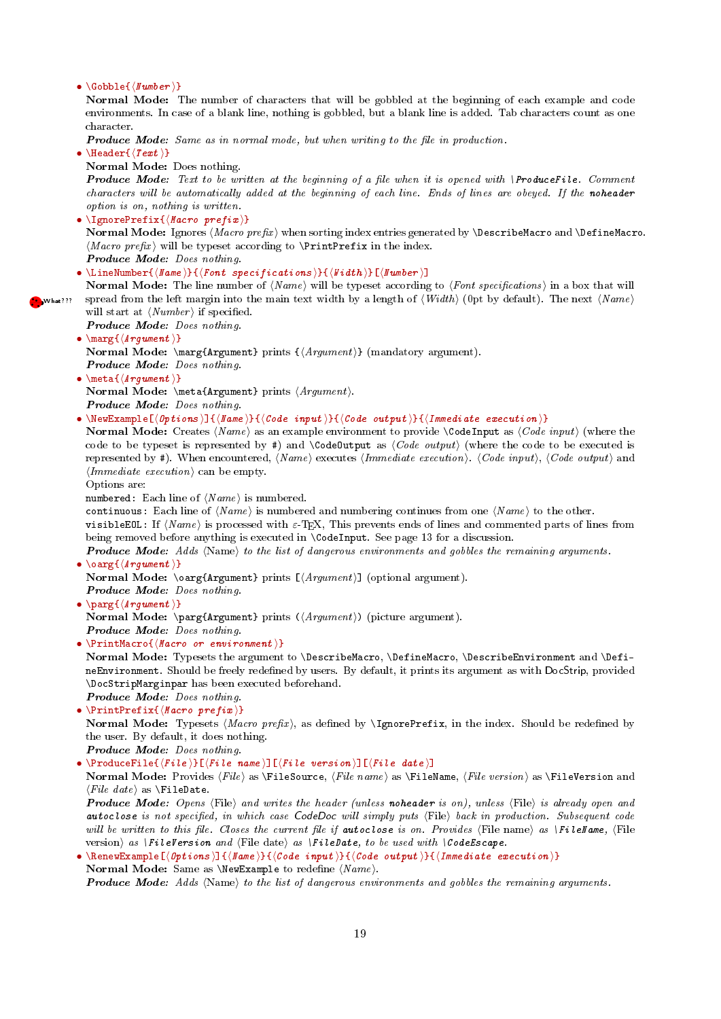#### <span id="page-18-0"></span>•  $\{Gobble\}$

Normal Mode: The number of characters that will be gobbled at the beginning of each example and code environments. In case of a blank line, nothing is gobbled, but a blank line is added. Tab characters count as one character.

**Produce Mode:** Same as in normal mode, but when writing to the file in production.

• \Header $\{\langle \text{Text }\rangle\}$ 

Normal Mode: Does nothing.

**Produce Mode:** Text to be written at the beginning of a file when it is opened with  $\text{ProductFile}$ . Comment characters will be automatically added at the beginning of each line. Ends of lines are obeyed. If the noheader option is on, nothing is written.

- \IgnorePrefix{ $\langle Macro\ prefix\rangle$ } Normal Mode: Ignores  $\langle Marcro\ prefix\rangle$  when sorting index entries generated by **\DescribeMacro** and **\DefineMacro**.  $\langle \text{Macro prefix} \rangle$  will be typeset according to  $\Pr{\text{refix in the index.}}$ Produce Mode: Does nothing.
- \LineNumber{ $\langle$ Name \}{ $\langle$ Font specifications \}{ $\langle$ Nidth \}[ $\langle$ Number \]
- Normal Mode: The line number of  $\langle Name \rangle$  will be typeset according to  $\langle Font\; specifications \rangle$  in a box that will **S** What??? spread from the left margin into the main text width by a length of  $\langle Width \rangle$  (0pt by default). The next  $\langle Name \rangle$ will start at  $\langle Number \rangle$  if specified.
	- Produce Mode: Does nothing.
	- $\max_{\{ \text{argument } \}}$ Normal Mode: \marg{Argument} prints  ${\langle Argument\rangle}$  (mandatory argument). Produce Mode: Does nothing.
	- \meta $\{\langle Arg\text{ }ument\ \rangle\}$ Normal Mode:  $\met{Argument} prints (Argument).$ Produce Mode: Does nothing.
	- \NewExample[ $\langle Options \rangle$ ]{ $\langle Name \rangle$ }{ $\langle Code \ input \rangle$ }{ $\langle Code \ output \rangle$ }{ $\langleتmediate execution i}$

Normal Mode: Creates  $\langle Name \rangle$  as an example environment to provide  $\Diamond$  CodeInput as  $\langle Code \; input \rangle$  (where the code to be typeset is represented by #) and  $\text{CodeOutput}$  as  $\text{Code output}$  (where the code to be executed is represented by #). When encountered,  $\langle Name \rangle$  executes  $\langle Immediately; \langle Code \ input \rangle$ .  $\langle Code \ output \rangle$  and  $\langle \text{Immediate execution} \rangle$  can be empty.

Options are:

 $\bullet$ 

numbered: Each line of  $\langle Name \rangle$  is numbered.

continuous: Each line of  $\langle Name \rangle$  is numbered and numbering continues from one  $\langle Name \rangle$  to the other.

visibleEOL: If  $\langle Name \rangle$  is processed with  $\varepsilon$ -TEX, This prevents ends of lines and commented parts of lines from being removed before anything is executed in \CodeInput. See page [13](#page-9-1) for a discussion.

**Produce Mode:** Adds  $\langle Name \rangle$  to the list of dangerous environments and gobbles the remaining arguments. •  $\langle \text{Arg}\{\langle \text{Arg}\, \text{L}\rangle\} \rangle$ 

Normal Mode:  $\sqrt{\text{Argument}}$  prints  $[$ *Argument* $)]$  (optional argument).

- Produce Mode: Does nothing.
- $\sqrt{\arctan\{H\}}$ Normal Mode:  $\text{Argument} \ prints (\text{Argument})$  (picture argument). Produce Mode: Does nothing.
- $\bullet \ \PrintMaccro\ {\Maccro\ or\ environment\ }$

Normal Mode: Typesets the argument to \DescribeMacro, \DefineMacro, \DescribeEnvironment and \DefineEnvironment. Should be freely redened by users. By default, it prints its argument as with DocStrip, provided \DocStripMarginpar has been executed beforehand.

Produce Mode: Does nothing. •  $\Pr\text{intPrefix}(\text{Macro prefix})$ Normal Mode: Typesets (Macro prefix), as defined by **\IgnorePrefix**, in the index. Should be redefined by

the user. By default, it does nothing. Produce Mode: Does nothing.

• \ProduceFile{ $\{File\}$ [ $\{File\ name\}$ ][ $\{File\ version\}$ ][ $\{File\ date\}$ ]

Normal Mode: Provides  $\langle File \rangle$  as  $\text{FileSource}, \langle File \text{name} \rangle$  as  $\text{FileName}, \langle File \text{version} \rangle$  as  $\text{FileVersion}$  and  $\langle File \ date \rangle$  as  $\text{FileDate}.$ 

**Produce Mode:** Opens (File) and writes the header (unless noheader is on), unless (File) is already open and autoclose is not specified, in which case CodeDoc will simply puts (File) back in production. Subsequent code will be written to this file. Closes the current file if autoclose is on. Provides (File name) as \FileName, (File version) as  $\left| \right|$  FileVersion and  $\left\langle$ File date $\right\rangle$  as  $\left| \right|$  FileDate, to be used with  $\left| \right\rangle$ CodeEscape.

```
• \RenewExample[\langle Options \rangle]{\langleName}}{\langle Code \ input \rangle}{\langle Code \ output \rangle}{\langle Immediate \ execution \rangle}
  Normal Mode: Same as \NewExample to redefine \langle Name \rangle.
```
**Produce Mode:** Adds  $\langle Name \rangle$  to the list of dangerous environments and gobbles the remaining arguments.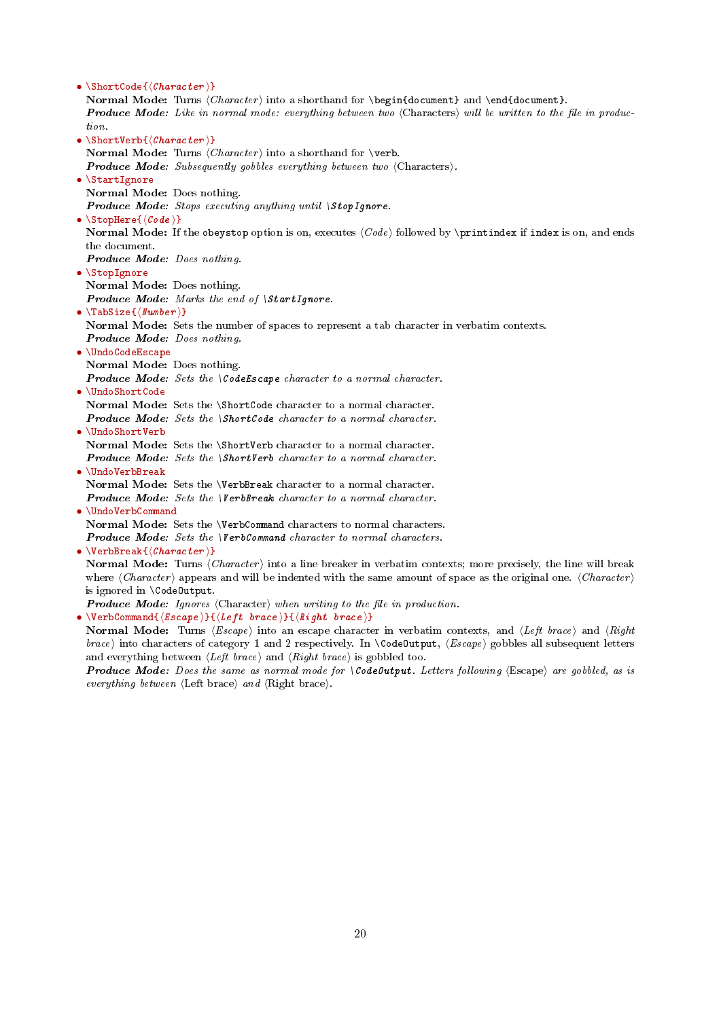<span id="page-19-0"></span>•  $\verb|\ShortCode|(\textit{Character})$ Normal Mode: Turns  $\langle Character \rangle$  into a shorthand for  $\begin{circ}$  and  $\end{circ}$  and  $\end{circ}$ . **Produce Mode:** Like in normal mode: everything between two (Characters) will be written to the file in production. •  $\ShortVerb{\langle Character \rangle}$ Normal Mode: Turns  $\langle Character \rangle$  into a shorthand for \verb. **Produce Mode:** Subsequently gobbles everything between two  $\langle$ Characters $\rangle$ . • \StartIgnore Normal Mode: Does nothing. **Produce Mode:** Stops executing anything until  $\setminus$ StopIgnore. •  $\Set{Code}$ Normal Mode: If the obeystop option is on, executes  $\langle Code \rangle$  followed by \printindex if index is on, and ends the document. Produce Mode: Does nothing. • \StopIgnore Normal Mode: Does nothing. Produce Mode: Marks the end of \StartIgnore. •  $\langle$ TabSize{ $\langle$ Number}} Normal Mode: Sets the number of spaces to represent a tab character in verbatim contexts. Produce Mode: Does nothing. • \UndoCodeEscape Normal Mode: Does nothing. **Produce Mode:** Sets the  $\{CodeEscape character to a normal character.\}$ • \UndoShortCode Normal Mode: Sets the \ShortCode character to a normal character. Produce Mode: Sets the \ShortCode character to a normal character. • \UndoShortVerb Normal Mode: Sets the \ShortVerb character to a normal character. Produce Mode: Sets the \ShortVerb character to a normal character. • \UndoVerbBreak Normal Mode: Sets the \VerbBreak character to a normal character. Produce Mode: Sets the \VerbBreak character to a normal character. • \UndoVerbCommand Normal Mode: Sets the \VerbCommand characters to normal characters. Produce Mode: Sets the *VerbCommand character to normal characters*. •  $\VerbBreak{\langle Character \rangle}$ Normal Mode: Turns  $\langle \text{Character} \rangle$  into a line breaker in verbatim contexts; more precisely, the line will break where  $\langle Character \rangle$  appears and will be indented with the same amount of space as the original one.  $\langle Character \rangle$ is ignored in \CodeOutput. **Produce Mode:** Ignores  $\langle$ Character $\rangle$  when writing to the file in production. • \VerbCommand{ $\langle Escape \rangle$ }{ $\langle Left \ brace \rangle$ }{ $\langle Right \ brace \rangle$ } Normal Mode: Turns  $\langle E \text{score} \rangle$  into an escape character in verbatim contexts, and  $\langle Left \ brace \rangle$  and  $\langle Right \ brack$ brace) into characters of category 1 and 2 respectively. In  $\text{CodeOutput}, \langle Escore \rangle$  gobbles all subsequent letters and everything between  $\langle Left \ trace \rangle$  and  $\langle Right \ trace \rangle$  is gobbled too.

**Produce Mode:** Does the same as normal mode for  $\text{CodeOutput}$ . Letters following  $\text{ (Escape)}$  are gobbled, as is everything between  $\langle$ Left brace $\rangle$  and  $\langle$ Right brace $\rangle$ .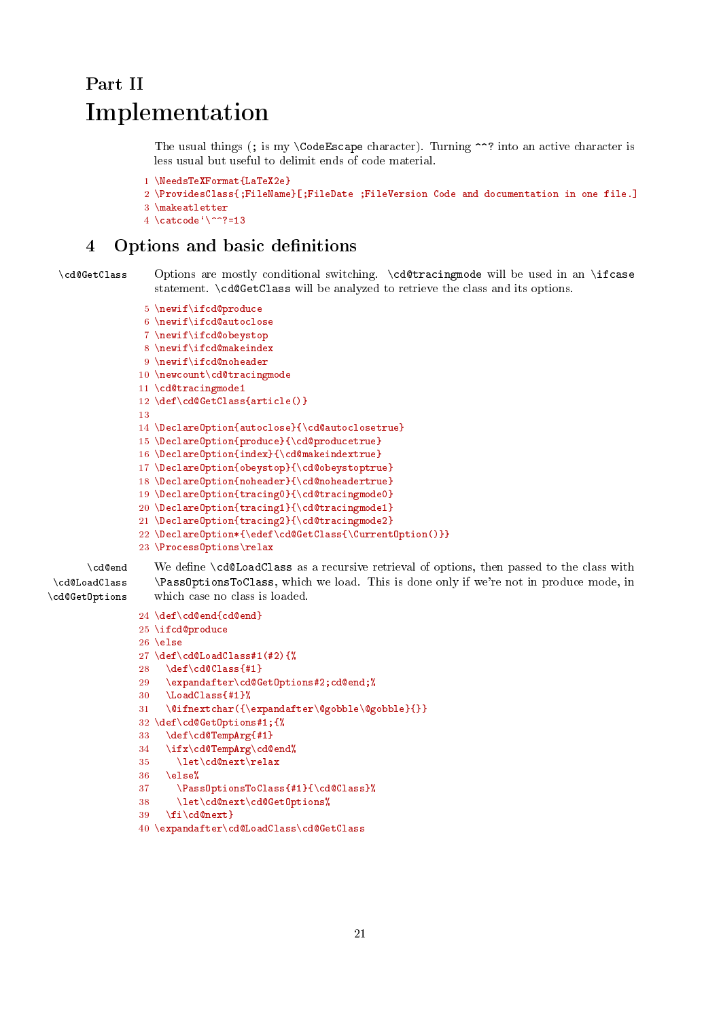# <span id="page-20-2"></span><span id="page-20-0"></span>Part II Implementation

The usual things (; is my \CodeEscape character). Turning ^^? into an active character is less usual but useful to delimit ends of code material.

```
1 \NeedsTeXFormat{LaTeX2e}
2 \ProvidesClass{;FileName}[;FileDate ;FileVersion Code and documentation in one file.]
3 \makeatletter
4 \catcode<sup>\sqrt{2}=13</sup>
```
# <span id="page-20-1"></span>4 Options and basic definitions

\cd@GetClass Options are mostly conditional switching. \cd@tracingmode will be used in an \ifcase statement. \cd@GetClass will be analyzed to retrieve the class and its options.

```
5 \newif\ifcd@produce
6 \newif\ifcd@autoclose
 7 \newif\ifcd@obeystop
8 \newif\ifcd@makeindex
9 \newif\ifcd@noheader
10 \newcount\cd@tracingmode
11 \cd@tracingmode1
12 \def\cd@GetClass{article()}
13
14 \DeclareOption{autoclose}{\cd@autoclosetrue}
15 \DeclareOption{produce}{\cd@producetrue}
16 \DeclareOption{index}{\cd@makeindextrue}
17 \DeclareOption{obeystop}{\cd@obeystoptrue}
18 \DeclareOption{noheader}{\cd@noheadertrue}
19 \DeclareOption{tracing0}{\cd@tracingmode0}
20 \DeclareOption{tracing1}{\cd@tracingmode1}
21 \DeclareOption{tracing2}{\cd@tracingmode2}
22 \DeclareOption*{\edef\cd@GetClass{\CurrentOption()}}
23 \ProcessOptions\relax
```

```
\cd@LoadClass
\cd@GetOptions
```
\cd@end We define \cd@LoadClass as a recursive retrieval of options, then passed to the class with \PassOptionsToClass, which we load. This is done only if we're not in produce mode, in which case no class is loaded.

```
24 \def\cd@end{cd@end}
25 \ifcd@produce
26 \else
27 \text{def}\cdots28 \ \ \ \ \ \ \ \ def\cdots (#1)29 \expandafter\cd@GetOptions#2;cd@end;%
30 \LoadClass{#1}%
31 \@ifnextchar({\expandafter\@gobble\@gobble}{}}
32 \def\cd@GetOptions#1;{%
33 \def\cd@TempArg{#1}
34 \ifx\cd@TempArg\cd@end%
35 \let\cd@next\relax
36 \else%
37 \PassOptionsToClass{#1}{\cd@Class}%
38 \let\cd@next\cd@GetOptions%
39 \fi\cd@next}
```
40 \expandafter\cd@LoadClass\cd@GetClass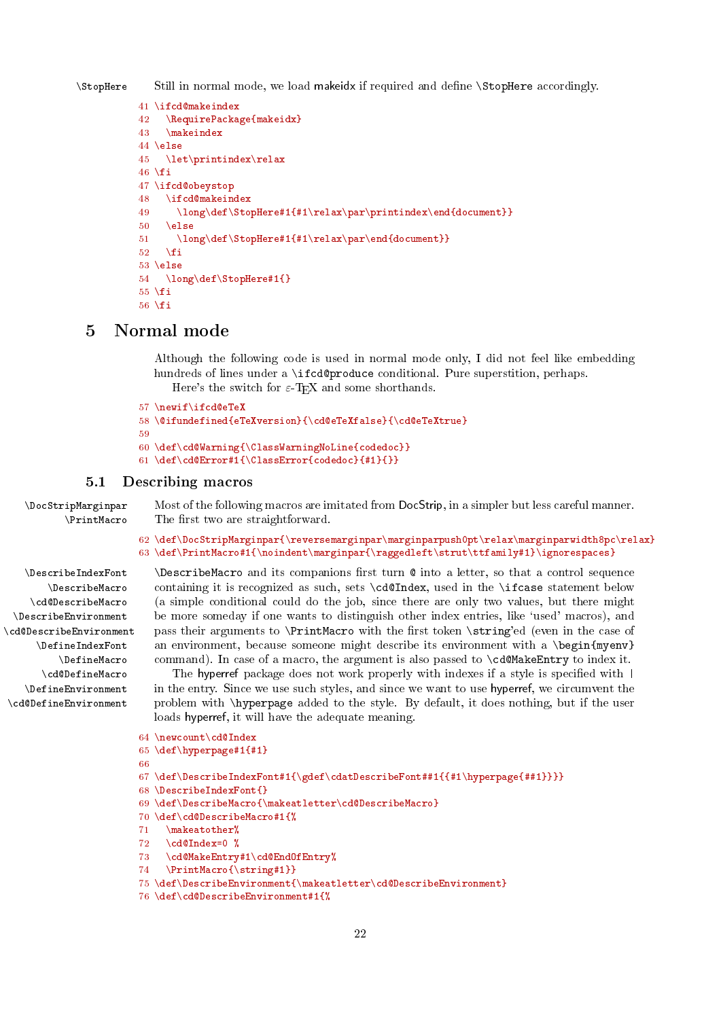<span id="page-21-2"></span>\StopHere Still in normal mode, we load makeidx if required and dene \StopHere accordingly.

```
41 \ifcd@makeindex
42 \RequirePackage{makeidx}
43 \makeindex
44 \text{else}45 \let\printindex\relax
46 \fi
47 \ifcd@obeystop
48 \ifcd@makeindex
49 \long\def\StopHere#1{#1\relax\par\printindex\end{document}}
50 \text{ kg}51 \long\def\StopHere#1{#1\relax\par\end{document}}
52 \sqrt{f}53 \else
54 \long\def\StopHere#1{}
55 \fi
56 \fi
```
# <span id="page-21-0"></span>5 Normal mode

Although the following code is used in normal mode only, I did not feel like embedding hundreds of lines under a **\ifcd@produce** conditional. Pure superstition, perhaps. Here's the switch for  $\varepsilon$ -T<sub>E</sub>X and some shorthands.

```
57 \newif\ifcd@eTeX
58 \@ifundefined{eTeXversion}{\cd@eTeXfalse}{\cd@eTeXtrue}
59
60 \def\cd@Warning{\ClassWarningNoLine{codedoc}}
61 \def\cd@Error#1{\ClassError{codedoc}{#1}{}}
```
# <span id="page-21-1"></span>5.1 Describing macros

\DocStripMarginpar Most of the following macros are imitated from DocStrip, in a simpler but less careful manner. \PrintMacro The first two are straightforward.

```
62 \def\DocStripMarginpar{\reversemarginpar\marginparpush0pt\relax\marginparwidth8pc\relax}
63 \def\PrintMacro#1{\noindent\marginpar{\raggedleft\strut\ttfamily#1}\ignorespaces}
```
\DescribeIndexFont \DescribeMacro \cd@DescribeMacro \DescribeEnvironment \cd@DescribeEnvironment \DefineIndexFont \DefineMacro \cd@DefineMacro \DefineEnvironment \cd@DefineEnvironment

 $\Delta$  >DescribeMacro and its companions first turn  $\circ$  into a letter, so that a control sequence containing it is recognized as such, sets \cd@Index, used in the \ifcase statement below (a simple conditional could do the job, since there are only two values, but there might be more someday if one wants to distinguish other index entries, like `used' macros), and pass their arguments to **\PrintMacro** with the first token **\string'ed** (even in the case of an environment, because someone might describe its environment with a  $\begin{array}{c}$   $\end{array}$ command). In case of a macro, the argument is also passed to \cd@MakeEntry to index it.

The hyperref package does not work properly with indexes if a style is specified with  $\vert$ in the entry. Since we use such styles, and since we want to use hyperref, we circumvent the problem with \hyperpage added to the style. By default, it does nothing, but if the user loads hyperref, it will have the adequate meaning.

```
64 \newcount\cd@Index
65 \def\hyperpage#1{#1}
66
67 \def\DescribeIndexFont#1{\gdef\cdatDescribeFont##1{{#1\hyperpage{##1}}}}
68 \DescribeIndexFont{}
69 \def\DescribeMacro{\makeatletter\cd@DescribeMacro}
70 \def\cd@DescribeMacro#1{%
71 \makeatother%
72 \text{   } \cdot \text{c} \cdot \text{d} \cdot \text{d} \cdot \text{d} \cdot \text{d} \cdot \text{d} \cdot \text{d} \cdot \text{d} \cdot \text{d} \cdot \text{d} \cdot \text{d} \cdot \text{d} \cdot \text{d} \cdot \text{d} \cdot \text{d} \cdot \text{d} \cdot \text{d} \cdot \text{d} \cdot \text{d} \cdot \text{d} \cdot \text{d} \cdot \text{d} \cdot \text{d} \cdot \text{d} \cdot \text{d} \cdot \text{d} \cdot \text{d} \cdot \text{d} \cdot \text{d} \cdot \text{d} \cdot \73 \cd@MakeEntry#1\cd@EndOfEntry%
74 \PrintMacro{\string#1}}
75 \def\DescribeEnvironment{\makeatletter\cd@DescribeEnvironment}
76 \def\cd@DescribeEnvironment#1{%
```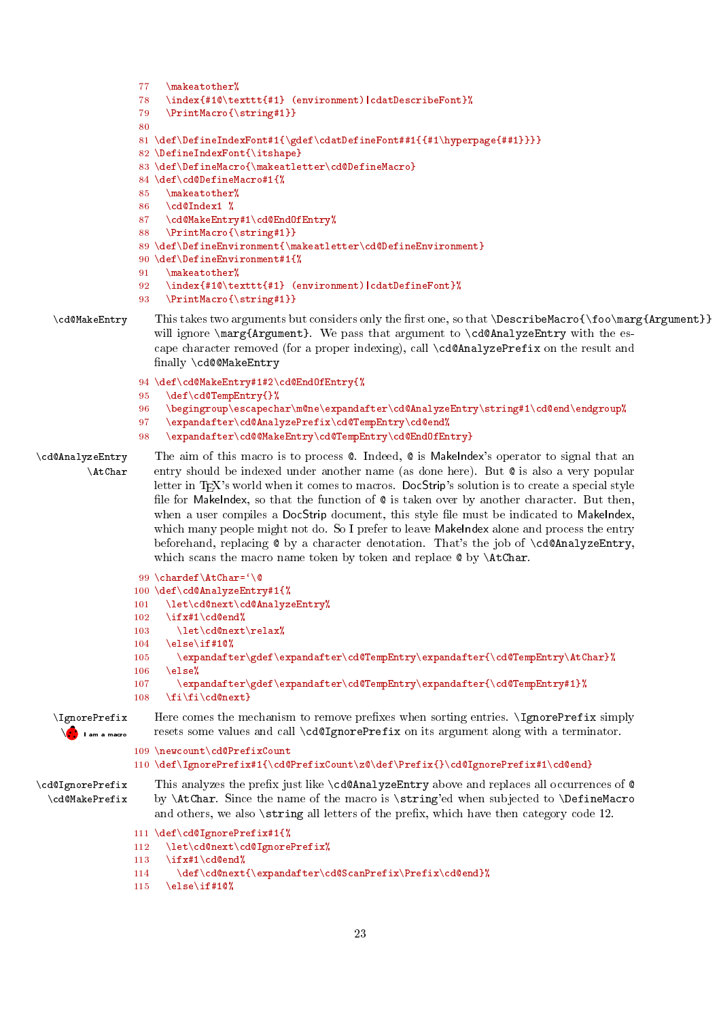```
77 \makeatother%
                  78 \index{#1@\texttt{#1} (environment)|cdatDescribeFont}%
                  79 \PrintMacro{\string#1}}
                  80
                  81 \def\DefineIndexFont#1{\gdef\cdatDefineFont##1{{#1\hyperpage{##1}}}}
                  82 \DefineIndexFont{\itshape}
                  83 \def\DefineMacro{\makeatletter\cd@DefineMacro}
                  84 \def\cd@DefineMacro#1{%
                  85 \makeatother%
                  86 \cd@Index1 %
                  87 \cd@MakeEntry#1\cd@EndOfEntry%
                  88 \PrintMacro{\string#1}}
                  89 \def\DefineEnvironment{\makeatletter\cd@DefineEnvironment}
                  90 \def\DefineEnvironment#1{%
                  91 \makeatother%
                  92 \index{#1@\texttt{#1} (environment)|cdatDefineFont}%
                  93 \PrintMacro{\string#1}}
   \cd@MakeEntry This takes two arguments but considers only the first one, so that \DescribeMacro{\foo\marg{Argument}}
                    will ignore \marg{Argument}. We pass that argument to \cd@AnalyzeEntry with the es-
                    cape character removed (for a proper indexing), call \cd@AnalyzePrefix on the result and
                    finally \cd@@MakeEntry
                  94 \def\cd@MakeEntry#1#2\cd@EndOfEntry{%
                  95 \def\cd@TempEntry{}%
                  96 \begingroup\escapechar\m@ne\expandafter\cd@AnalyzeEntry\string#1\cd@end\endgroup%
                  97 \expandafter\cd@AnalyzePrefix\cd@TempEntry\cd@end%
                  98 \expandafter\cd@@MakeEntry\cd@TempEntry\cd@EndOfEntry}
\cd@AnalyzeEntry The aim of this macro is to process @. Indeed, @ is MakeIndex's operator to signal that an
        \AtChar entry should be indexed under another name (as done here). But @ is also a very popular
                    letter in TEX's world when it comes to macros. DocStrip's solution is to create a special style
                    file for MakeIndex, so that the function of \& is taken over by another character. But then,
                    when a user compiles a DocStrip document, this style file must be indicated to MakeIndex,
                    which many people might not do. So I prefer to leave MakeIndex alone and process the entry
                    beforehand, replacing \& by a character denotation. That's the job of \c{d@Analyzdefntry},
                    which scans the macro name token by token and replace \& by \AtChar.
                  99 \chardef\AtChar='\@
                 100 \def\cd@AnalyzeEntry#1{%
                 101 \let\cd@next\cd@AnalyzeEntry%
                 102 \ifx#1\cd@end%
                 103 \let\cd@next\relax%
                 104 \else\if#10%
                 105 \expandafter\gdef\expandafter\cd@TempEntry\expandafter{\cd@TempEntry\AtChar}%
                 106 \else%<br>107 \exp
                         \expandafter\gdef\expandafter\cd@TempEntry\expandafter{\cd@TempEntry#1}%
                 108 \fi\fi\cd@next}
                    Here comes the mechanism to remove prefixes when sorting entries. \IgnorePrefix simply
   resets ••...
                    resets some values and call \cd@IgnorePrefix on its argument along with a terminator.
                 109 \newcount\cd@PrefixCount
                 110 \def\IgnorePrefix#1{\cd@PrefixCount\z@\def\Prefix{}\cd@IgnorePrefix#1\cd@end}
\cd@IgnorePrefix This analyzes the prefix just like \cd@AnalyzeEntry above and replaces all occurrences of @
  \cd@MakePrefix by \AtChar. Since the name of the macro is \string'ed when subjected to \DefineMacro
                    and others, we also \string all letters of the prefix, which have then category code 12.
                 111 \def\cd@IgnorePrefix#1{%
                 112 \let\cd@next\cd@IgnorePrefix%
```
- 113 \ifx#1\cd@end%
- 114 \def\cd@next{\expandafter\cd@ScanPrefix\Prefix\cd@end}%
- 115 \else\if#1 $\mathbb{Q}'_8$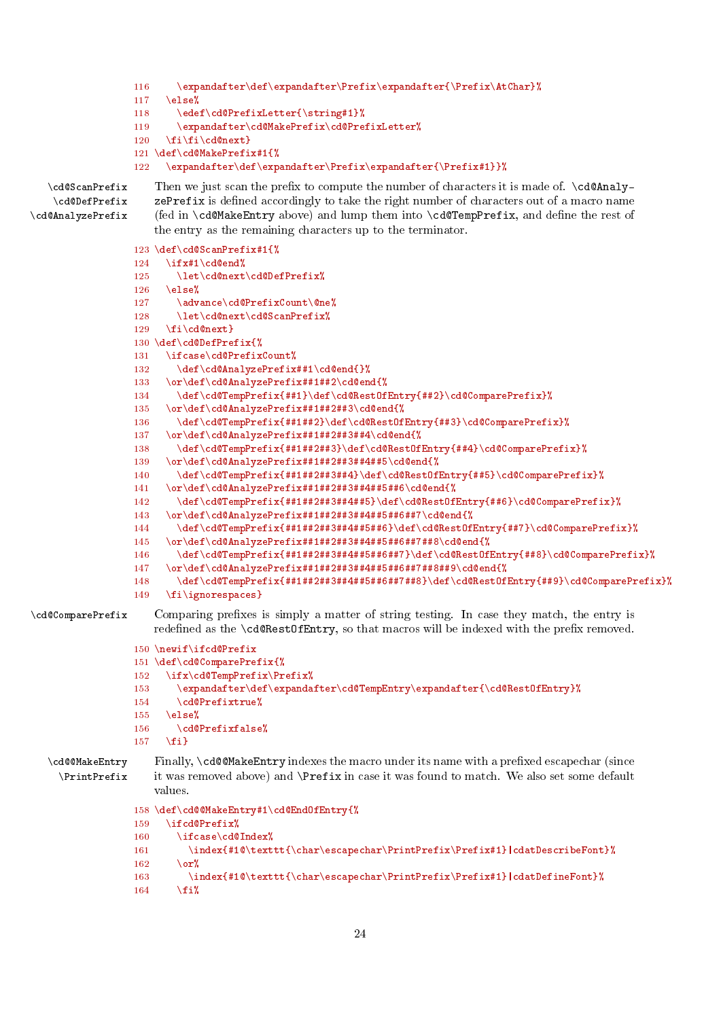```
116 \expandafter\def\expandafter\Prefix\expandafter{\Prefix\AtChar}%
                  117 \else%
                  118 \edef\cd@PrefixLetter{\string#1}%<br>119 \expandafter\cd@MakePrefix\cd@Pre
                          \expandafter\cd@MakePrefix\cd@PrefixLetter%
                  120 \fi\fi\cd@next}
                  121 \def\cd@MakePrefix#1{%
                  122 \expandafter\def\expandafter\Prefix\expandafter{\Prefix#1}}%
   \cd@ScanPrefix Then we just scan the prefix to compute the number of characters it is made of. \cd@Analy-
    \cd@DefPrefix
\cd@AnalyzePrefix
                      zePrefix is defined accordingly to take the right number of characters out of a macro name
                      (fed in \cd@MakeEntry above) and lump them into \cd@TempPrefix, and dene the rest of
                      the entry as the remaining characters up to the terminator.
                  123 \def\cd@ScanPrefix#1{%
                  124 \ifx#1\cd@end%
                  125 \let\cd@next\cd@DefPrefix%
                  126 \else%
                  127 \advance\cd@PrefixCount\@ne%
                  128 \let\cd@next\cd@ScanPrefix%
                  129 \qquad \text{if } \text{cdl}Qnext
                  130 \def\cd@DefPrefix{%
                  131 \ifcase\cd@PrefixCount%
                  132 \def\cd@AnalyzePrefix##1\cd@end{}%
                  133 \or\def\cd@AnalyzePrefix##1##2\cd@end{%
                  134 \def\cd@TempPrefix{##1}\def\cd@RestOfEntry{##2}\cd@ComparePrefix}%
                  135 \or\def\cd@AnalyzePrefix##1##2##3\cd@end{%
                  136 \def\cd@TempPrefix{##1##2}\def\cd@RestOfEntry{##3}\cd@ComparePrefix}%
                  137 \or\def\cd@AnalyzePrefix##1##2##3##4\cd@end{%
                  138 \def\cd@TempPrefix{##1##2##3}\def\cd@RestOfEntry{##4}\cd@ComparePrefix}%
                  139 \or\def\cd@AnalyzePrefix##1##2##3##4##5\cd@end{%
                  140 \def\cd@TempPrefix{##1##2##3##4}\def\cd@RestOfEntry{##5}\cd@ComparePrefix}%
                  141 \or\def\cd@AnalyzePrefix##1##2##3##4##5##6\cd@end{%
                  142 \def\cd@TempPrefix{##1##2##3##4##5}\def\cd@RestOfEntry{##6}\cd@ComparePrefix}%
                  143 \ \over\{def\cdots}\ = \or\def\cdots\@AnalyzePrefix\#4\#4\#3\#4\#4\#5\#46\#47\cdots\@end{W}144 \def\cd@TempPrefix{##1##2##3##4##5##6}\def\cd@RestOfEntry{##7}\cd@ComparePrefix}%
                  145 \or\def\cd@AnalyzePrefix##1##2##3##4##5##6##7##8\cd@end{%
                  146 \def\cd@TempPrefix{##1##2##3##4##5##6##7}\def\cd@RestOfEntry{##8}\cd@ComparePrefix}%
                  147 \or\def\cd@AnalyzePrefix##1##2##3##4##5##6##7##8##9\cd@end{%
                  148 \def\cd@TempPrefix{##1##2##3##4##5##6##7##8}\def\cd@RestOfEntry{##9}\cd@ComparePrefix}%
                  149 \fi\ignorespaces}
\cd@ComparePrefix Comparing prefixes is simply a matter of string testing. In case they match, the entry is
                      redefined as the \cd@RestOfEntry, so that macros will be indexed with the prefix removed.
                  150 \newif\ifcd@Prefix
                  151 \def\cd@ComparePrefix{%
                  152 \ifx\cd@TempPrefix\Prefix%
                  153 \expandafter\def\expandafter\cd@TempEntry\expandafter{\cd@RestOfEntry}%
                  154 \cd@Prefixtrue%
                  155 \else%
                  156 \qquad \text{cdePrefixfalse}157 \quad \text{If}i}
   \cd@@MakeEntry Finally, \cd@@MakeEntry indexes the macro under its name with a prefixed escapechar (since
     \PrintPrefix it was removed above) and \Prefix in case it was found to match. We also set some default
                      values.
                  158 \def\cd@@MakeEntry#1\cd@EndOfEntry{%
                  159 \ifcd@Prefix%
                  160 \ifcase\cd@Index%
                  161 \index{#1@\texttt{\char\escapechar\PrintPrefix\Prefix#1}|cdatDescribeFont}%
                  162 \qquad \text{or} \textbf{\textit{X}}163 \index{#1@\texttt{\char\escapechar\PrintPrefix\Prefix#1}|cdatDefineFont}%
```

```
164 \fi%
```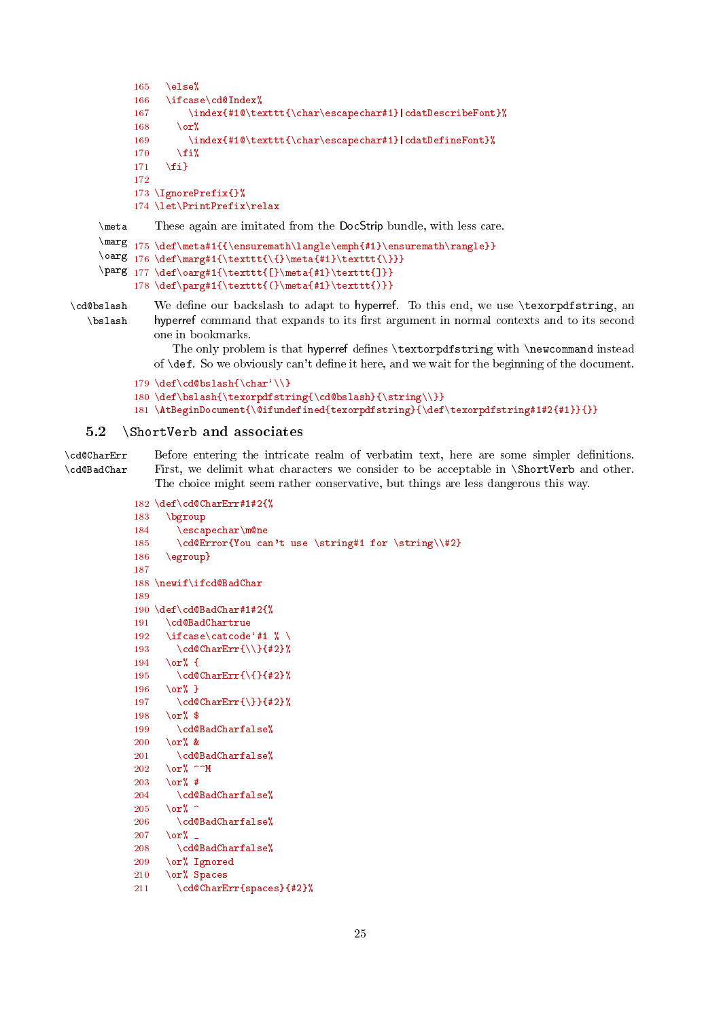```
165 \else%
      166 \ifcase\cd@Index%
      167 \index{#1@\texttt{\char\escapechar#1}|cdatDescribeFont}%
      168 \qquad \text{or}%
      169 \index{#1@\texttt{\char\escapechar#1}|cdatDefineFont}%
      170 \forallfi%
      171 \{f_i\}172
      173 \IgnorePrefix{}%
      174 \let\PrintPrefix\relax
\meta These again are imitated from the DocStrip bundle, with less care.
\marg
175 \def\meta#1{{\ensuremath\langle\emph{#1}\ensuremath\rangle}}
\oarg 176 \def\mar{t} \texttt{\{}\meta{#1}\texttt{\}}}
\parg 177 \def\oarg#1{\texttt{[}\meta{#1}\texttt{]}}
```

```
178 \def\parg#1{\texttt{(}\meta{#1}\texttt{)}}
```
\cd@bslash We define our backslash to adapt to hyperref. To this end, we use \texorpdfstring, an \bslash hyperref command that expands to its first argument in normal contexts and to its second one in bookmarks.

> The only problem is that hyperref defines \textorpdfstring with \newcommand instead of \def. So we obviously can't define it here, and we wait for the beginning of the document.

```
179 \def\cd@bslash{\char'\\}
```

```
180 \def\bslash{\texorpdfstring{\cd@bslash}{\string\\}}
```
181 \AtBeginDocument{\@ifundefined{texorpdfstring}{\def\texorpdfstring#1#2{#1}}{}}

# <span id="page-24-0"></span>5.2 \ShortVerb and associates

\cd@CharErr Before entering the intricate realm of verbatim text, here are some simpler denitions. \cd@BadChar First, we delimit what characters we consider to be acceptable in \ShortVerb and other. The choice might seem rather conservative, but things are less dangerous this way.

```
182 \def\cd@CharErr#1#2{%
```

```
183 \bgroup
184 \escapechar\m@ne
185 \cd@Error{You can't use \string#1 for \string\\#2}
186 \egroup}
187
188 \newif\ifcd@BadChar
189
190 \def\cd@BadChar#1#2{%
191 \cd@BadChartrue
192 \ifcase\catcode'#1 % \
193 \cd@CharErr{\\}{#2}%
194 \or% {
195 \cd@CharErr{\{}{#2}%
196 \sigma% }
197 \cd@CharErr{\}}{#2}%
198 \\cor% $
199 \cd@BadCharfalse%
200 \or% &
201 \cd@BadCharfalse%
202 \or% ^^M
203 \or% #
204 \cd@BadCharfalse%
205 \quad \text{or}% ^
206 \cd@BadCharfalse%
207 \qquad \text{or}%
208 \cd@BadCharfalse%
209 \or% Ignored
210 \or% Spaces
211 \cd@CharErr{spaces}{#2}%
```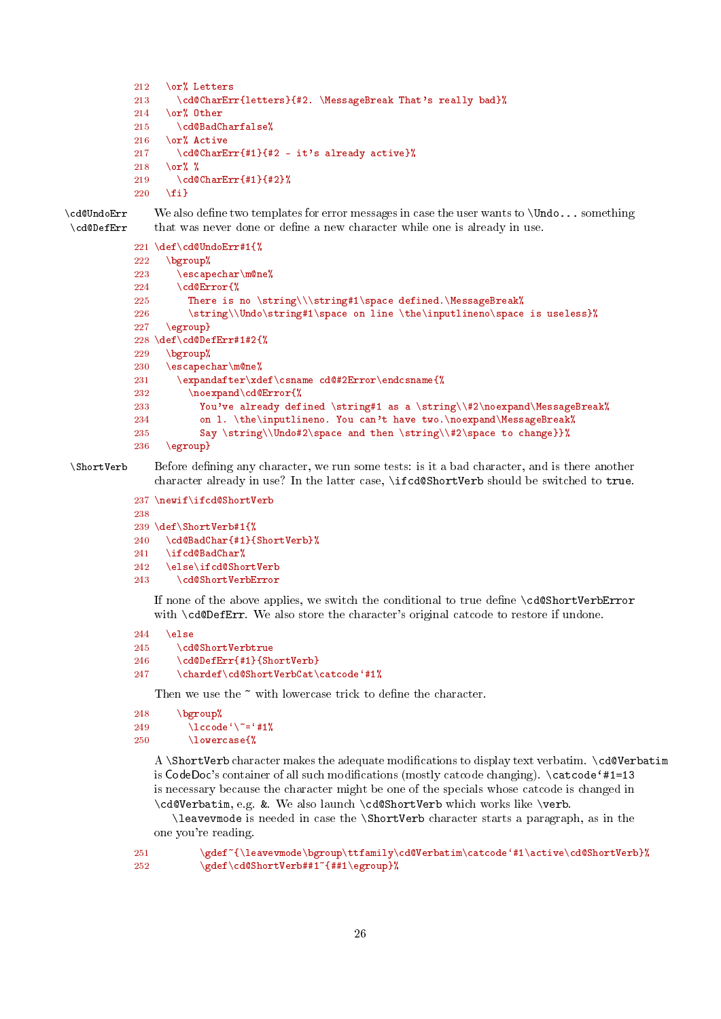- <span id="page-25-0"></span>212 \or% Letters
- 213 \cd@CharErr{letters}{#2. \MessageBreak That's really bad}%

```
214 \or% Other<br>215 \cd@BadC
```

```
\cd@BadCharfalse%
```
- 216 \or% Active
- 217 \cd@CharErr{#1}{#2 it's already active}% 218 \or% %

```
219 \cd@CharErr{#1}{#2}%
220 \fi}
```
\cd@UndoErr We also dene two templates for error messages in case the user wants to \Undo... something \cd@DefErr that was never done or define a new character while one is already in use.

```
221 \def\cd@UndoErr#1{%
222 \rightarrow \begin{bmatrix} 222 & 222 \end{bmatrix}223 \escapechar\m@ne%
224 \cd@Error{%
225 There is no \string\\\string#1\space defined.\MessageBreak%<br>226 \tring\\Undo\string#1\space on line \the\inputlineno\space
          \string\\Undo\string#1\space on line \the\inputlineno\space is useless}%
227 \egroup}
228 \def\cd@DefErr#1#2{%
229 \bgroup%
230 \escapechar\m@ne%
231 \expandafter\xdef\csname cd@#2Error\endcsname{%
232 \noexpand\cd@Error{%
233 You've already defined \string#1 as a \string\\#2\noexpand\MessageBreak%
234 on 1. \the\inputlineno. You can't have two.\noexpand\MessageBreak%
235 Say \string\\Undo#2\space and then \string\\#2\space to change}}%
236 \egroup}
```
\ShortVerb Before dening any character, we run some tests: is it a bad character, and is there another character already in use? In the latter case, \ifcd@ShortVerb should be switched to true.

```
237 \newif\ifcd@ShortVerb
238
239 \def\ShortVerb#1{%
240 \cd@BadChar{#1}{ShortVerb}%
241 \ifcd@BadChar%
242 \else\ifcd@ShortVerb
243 \cd@ShortVerbError
```
If none of the above applies, we switch the conditional to true dene \cd@ShortVerbError with \cd@DefErr. We also store the character's original catcode to restore if undone.

```
244 \else
245 \cd@ShortVerbtrue
246 \cd@DefErr{#1}{ShortVerb}
247 \chardef\cd@ShortVerbCat\catcode'#1%
```
Then we use the  $\tilde{ }$  with lowercase trick to define the character.

```
248 \bgroup%
249 \lambdalccode'\"='#1%
250 \lowercase{%
```
A \ShortVerb character makes the adequate modifications to display text verbatim. \cd@Verbatim is  $CodeDoc's container of all such modifications (mostly cactcode changing). \cactcode#1=13$ is necessary because the character might be one of the specials whose catcode is changed in \cd@Verbatim, e.g. &. We also launch \cd@ShortVerb which works like \verb.

\leavevmode is needed in case the \ShortVerb character starts a paragraph, as in the one you're reading.

```
251 \gdef~{\leavevmode\bgroup\ttfamily\cd@Verbatim\catcode'#1\active\cd@ShortVerb}%
252 \gdef\cd@ShortVerb##1~{##1\egroup}%
```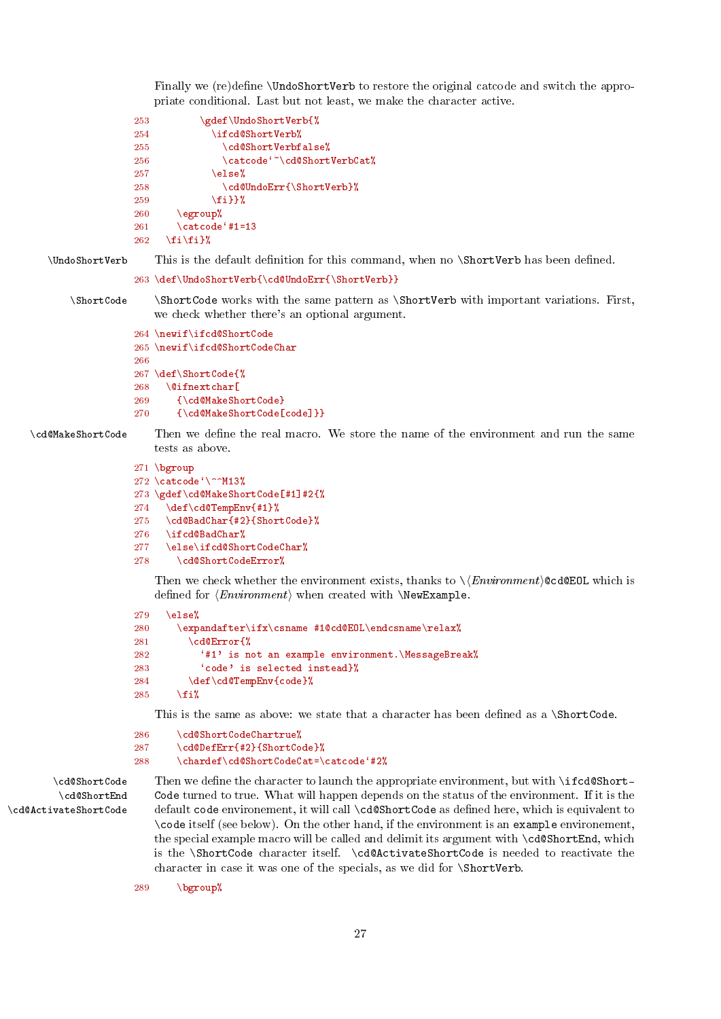<span id="page-26-0"></span>Finally we (re)define \UndoShortVerb to restore the original catcode and switch the appropriate conditional. Last but not least, we make the character active.

```
253 \gdef\UndoShortVerb{%
254 \ifcd@ShortVerb%
255 \cd@ShortVerbfalse%
256 \catcode<sup>{</sup>"\cd@ShortVerbCat%
257 \else%
258 \cd@UndoErr{\ShortVerb}%
259 \{f_i\}%
260 \qquad \text{legroup}261 \catcode`#1=13
262 \fi\fi}%
```

```
\UndoShortVerb This is the default definition for this command, when no \ShortVerb has been defined.
```

```
263 \def\UndoShortVerb{\cd@UndoErr{\ShortVerb}}
```
\ShortCode \ShortCode works with the same pattern as \ShortVerb with important variations. First, we check whether there's an optional argument.

```
264 \newif\ifcd@ShortCode
265 \newif\ifcd@ShortCodeChar
266
267 \def\ShortCode{%
268 \@ifnextchar[
269 {\cd@MakeShortCode}
270 {\cd@MakeShortCode[code]}}
```
\cd@MakeShortCode Then we define the real macro. We store the name of the environment and run the same tests as above.

```
271 \bgroup
```

```
272 \text{ } \text{code} \
```

```
273 \gdef\cd@MakeShortCode[#1]#2{%
```

```
274 \def\cd@TempEnv{#1}%
```

```
275 \cd@BadChar{#2}{ShortCode}%
```

```
276 \ifcd@BadChar%
```

```
277 \else\ifcd@ShortCodeChar%
```

```
278 \cd@ShortCodeError%
```
Then we check whether the environment exists, thanks to  $\langle\langle Environment \rangle \texttt{QcdQEOL}$  which is defined for  $\langle Environment \rangle$  when created with  $\NewExample$ .

```
279 \else%
280 \expandafter\ifx\csname #1@cd@EOL\endcsname\relax%
281 \cd@Error{%
282 '#1' is not an example environment.\MessageBreak%
283 'code' is selected instead}%
284 \def\cd@TempEnv{code}%
285 \sqrt{f}i%
```
This is the same as above: we state that a character has been defined as a \ShortCode.

```
286 \cd@ShortCodeChartrue%
287 \cd@DefErr{#2}{ShortCode}%
288 \chardef\cd@ShortCodeCat=\catcode'#2%
```
\cd@ShortEnd \cd@ActivateShortCode

\cd@ShortCode Then we define the character to launch the appropriate environment, but with \ifcd@Short-Code turned to true. What will happen depends on the status of the environment. If it is the default code environement, it will call \cd@ShortCode as defined here, which is equivalent to \code itself (see below). On the other hand, if the environment is an example environement, the special example macro will be called and delimit its argument with \cd@ShortEnd, which is the \ShortCode character itself. \cd@ActivateShortCode is needed to reactivate the character in case it was one of the specials, as we did for \ShortVerb.

289 \bgroup%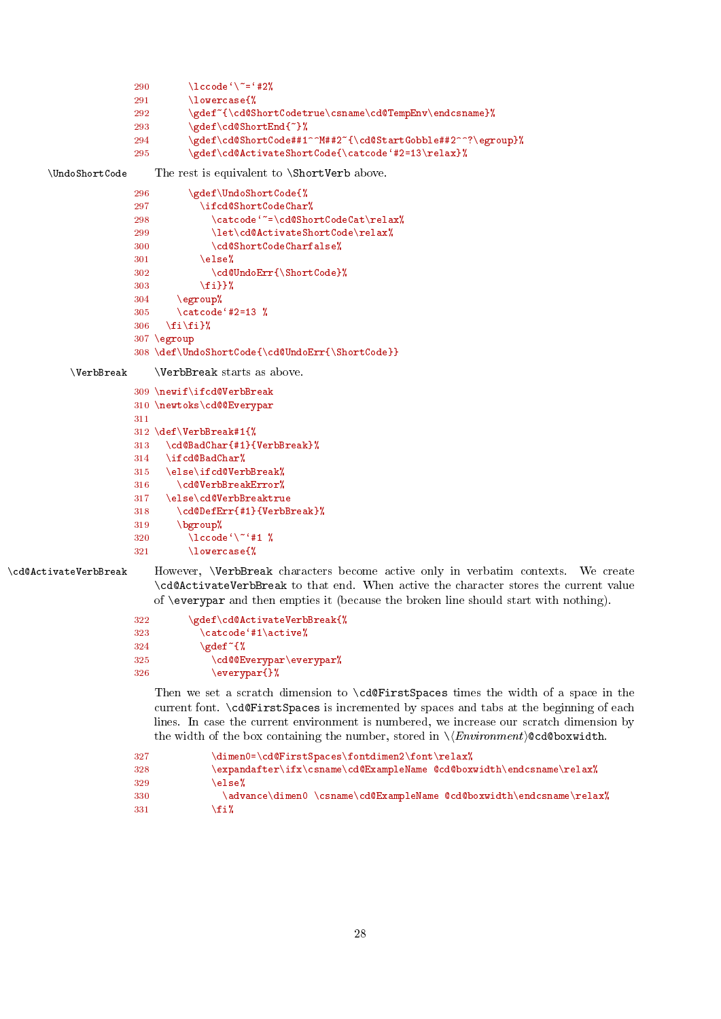```
291 \lowercase{%
              292 \gdef~{\cd@ShortCodetrue\csname\cd@TempEnv\endcsname}%
                       \gdef\cd@ShortEnd{~}%
              294 \gdef\cd@ShortCode##1^^M##2~{\cd@StartGobble##2^^?\egroup}%
              295 \gdef\cd@ActivateShortCode{\catcode'#2=13\relax}%
\UndoShortCode The rest is equivalent to \ShortVerb above.
              296 \gdef\UndoShortCode{%
              297 \ifcd@ShortCodeChar%
              298 \catcode<sup>{"=</sup>\cd@ShortCodeCat\relax%
              299 \let\cd@ActivateShortCode\relax%
              300 \cd@ShortCodeCharfalse%
              301 \else%
              302 \cd@UndoErr{\ShortCode}%
              303 \{f_i\}%
              304 \egroup%
              305 \catcode`#2=13 %
              306 \fi\fi}%
              307 \egroup
              308 \def\UndoShortCode{\cd@UndoErr{\ShortCode}}
   \VerbBreak \VerbBreak starts as above.
              309 \newif\ifcd@VerbBreak
              310 \newtoks\cd@@Everypar
              311
              312 \def\VerbBreak#1{%
              313 \cd@BadChar{#1}{VerbBreak}%
              314 \ifcd@BadChar%<br>315 \else\ifcd@Ver
                   \else\ifcd@VerbBreak%
              316 \cd@VerbBreakError%
              317 \else\cd@VerbBreaktrue
              318 \cd@DefErr{#1}{VerbBreak}%
              319 \bgroup%
              320 \operatorname{lccode} \left\{ \right\}^* \sharp 1 %
```
<span id="page-27-0"></span>290  $\operatorname{lccode} \left\{ \right\}^* = \frac{42\%}{\%}$ 

\cd@ActivateVerbBreak However, \VerbBreak characters become active only in verbatim contexts. We create \cd@ActivateVerbBreak to that end. When active the character stores the current value of \everypar and then empties it (because the broken line should start with nothing).

```
322 \gdef\cd@ActivateVerbBreak{%<br>323 \catcode<sup>4</sup>#1\active%
               323 \catcode`#1\active%
324 \qquad \qquad \qquad \qquad \gdef ~{%
325 \cd@@Everypar\everypar%
326 \everypar{}%
```
321 \lowercase{%

Then we set a scratch dimension to \cd@FirstSpaces times the width of a space in the current font. \cd@FirstSpaces is incremented by spaces and tabs at the beginning of each lines. In case the current environment is numbered, we increase our scratch dimension by the width of the box containing the number, stored in  $\langle\ell$ *Environment*)@cd@boxwidth.

```
327 \dimen0=\cd@FirstSpaces\fontdimen2\font\relax%
328 \expandafter\ifx\csname\cd@ExampleName @cd@boxwidth\endcsname\relax%
329 \qquad \text{else}%
330 \advance\dimen0 \csname\cd@ExampleName @cd@boxwidth\endcsname\relax%
331 \foralli',
```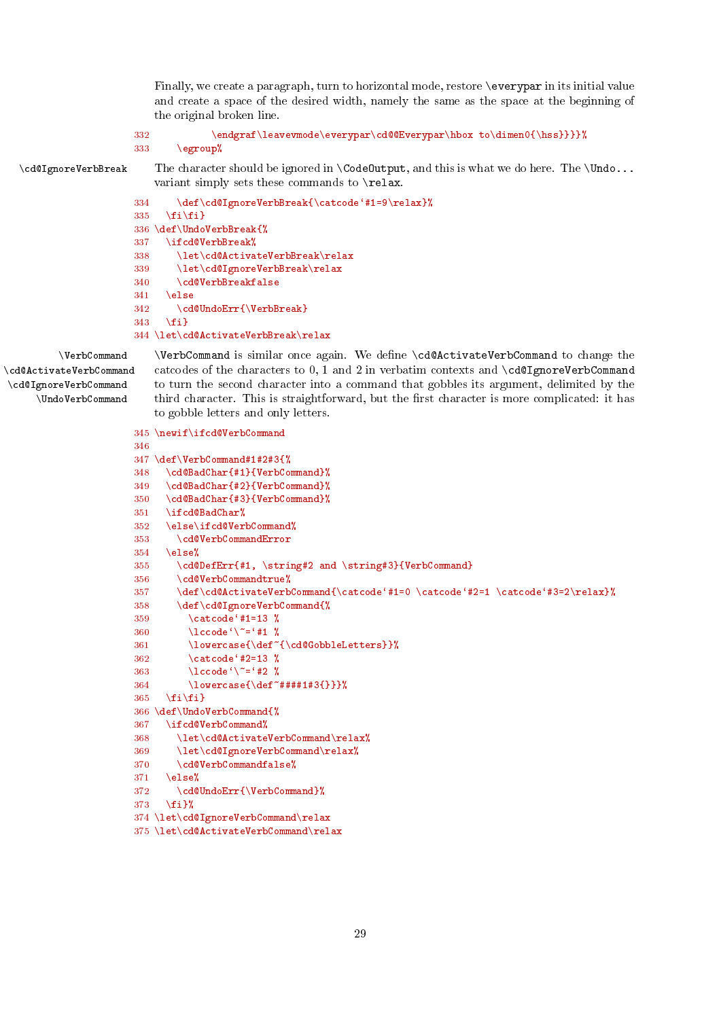<span id="page-28-0"></span>Finally, we create a paragraph, turn to horizontal mode, restore \everypar in its initial value and create a space of the desired width, namely the same as the space at the beginning of the original broken line.

```
332 \endgraf\leavevmode\everypar\cd@@Everypar\hbox to\dimen0{\hss}}}}%
333 \egroup%
```
\cd@IgnoreVerbBreak The character should be ignored in \CodeOutput, and this is what we do here. The \Undo... variant simply sets these commands to \relax.

```
334 \def\cd@IgnoreVerbBreak{\catcode'#1=9\relax}%
335 \quad \{f_i\}336 \def\UndoVerbBreak{%
337 \ifcd@VerbBreak%
338 \let\cd@ActivateVerbBreak\relax
339 \let\cd@IgnoreVerbBreak\relax
340 \cd@VerbBreakfalse
341 \lambdaelse
342 \cd@UndoErr{\VerbBreak}
343 \fi}
344 \let\cd@ActivateVerbBreak\relax
```
\cd@ActivateVerbCommand \cd@IgnoreVerbCommand \UndoVerbCommand

\VerbCommand \VerbCommand is similar once again. We dene \cd@ActivateVerbCommand to change the catcodes of the characters to 0, 1 and 2 in verbatim contexts and \cd@IgnoreVerbCommand to turn the second character into a command that gobbles its argument, delimited by the third character. This is straightforward, but the first character is more complicated: it has to gobble letters and only letters.

```
345 \newif\ifcd@VerbCommand
346
347 \def\VerbCommand#1#2#3{%
348 \cd@BadChar{#1}{VerbCommand}%
349 \cd@BadChar{#2}{VerbCommand}%
350 \cd@BadChar{#3}{VerbCommand}%
351 \ifcd@BadChar%
352 \else\ifcd@VerbCommand%
353 \cd@VerbCommandError
354 \else<sup>%</sup>
355 \cd@DefErr{#1, \string#2 and \string#3}{VerbCommand}
356 \cd@VerbCommandtrue%
357 \def\cd@ActivateVerbCommand{\catcode`#1=0 \catcode`#2=1 \catcode`#3=2\relax}%
358 \def\cd@IgnoreVerbCommand{%
359 \catcode' #1=13 \%360 \lvert \text{260e'} \rvert^2 = 41 %
361 \lowercase{\def~{\cd@GobbleLetters}}%
362 \catcode<sup>42=13</sup>
363 \lccode'\"='#2 %
364 \lowercase{\def~####1#3{}}}%
365 \fi\fi}
366 \def\UndoVerbCommand{%
367 \ifcd@VerbCommand%
368 \let\cd@ActivateVerbCommand\relax%
369 \let\cd@IgnoreVerbCommand\relax%
370 \cd@VerbCommandfalse%
371 \text{lse\%372 \cd@UndoErr{\VerbCommand}%
373 \fi}%
374 \let\cd@IgnoreVerbCommand\relax
```

```
375 \let\cd@ActivateVerbCommand\relax
```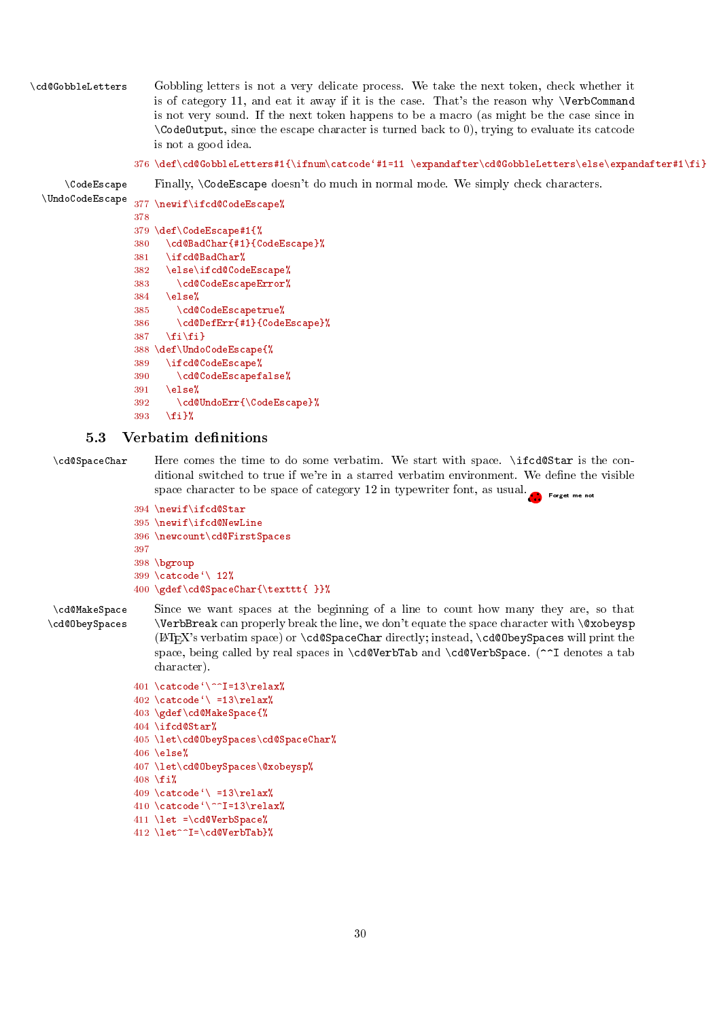<span id="page-29-1"></span>\cd@GobbleLetters Gobbling letters is not a very delicate process. We take the next token, check whether it is of category 11, and eat it away if it is the case. That's the reason why \VerbCommand is not very sound. If the next token happens to be a macro (as might be the case since in \CodeOutput, since the escape character is turned back to 0), trying to evaluate its catcode is not a good idea.

 $376 \def\cdots\#1{{\in}\mathrm{catcode`}}+1={1} \exp\operatorname{cd@GobbleLetters\leq\exp\operatorname{atfer}\mathrm{if}}$ 

\CodeEscape Finally, \CodeEscape doesn't do much in normal mode. We simply check characters.

```
\UndoCodeEscape 377 \newif\ifcd@CodeEscape%
               378
               379 \def\CodeEscape#1{%
               380 \cd@BadChar{#1}{CodeEscape}%
               381 \ifcd@BadChar%
               382 \else\ifcd@CodeEscape%
               383 \cd@CodeEscapeError%
               384 \else%
               385 \cd@CodeEscapetrue%
               386 \cd@DefErr{#1}{CodeEscape}%
               387 \{f_i\}388 \def\UndoCodeEscape{%
               389 \ifcd@CodeEscape%
               390 \cd@CodeEscapefalse%
               391 \else%
               392 \cd@UndoErr{\CodeEscape}%
               393 \{f_i\}
```
# <span id="page-29-0"></span>5.3 Verbatim definitions

\cd@SpaceChar Here comes the time to do some verbatim. We start with space. \ifcd@Star is the conditional switched to true if we're in a starred verbatim environment. We define the visible space character to be space of category 12 in typewriter font, as usual. •....•Forget me not

```
394 \newif\ifcd@Star
395 \newif\ifcd@NewLine
396 \newcount\cd@FirstSpaces
397
398 \bgroup
399 \catcode<sup>\sqrt{12\%}</sup>
400 \gdef\cd@SpaceChar{\texttt{ }}%
```
\cd@MakeSpace Since we want spaces at the beginning of a line to count how many they are, so that \cd@ObeySpaces \VerbBreak can properly break the line, we don't equate the space character with \@xobeysp (LAT<sub>EX</sub>'s verbatim space) or  $\cdot$  cd@SpaceChar directly; instead,  $\cdot$ cd@ObeySpaces will print the space, being called by real spaces in \cd@VerbTab and \cd@VerbSpace. (^^I denotes a tab character).

```
401 \catcode'\^^I=13\relax%
402 \text{ } \text{ } 402 \text{ } \text{ } 402403 \gdef\cd@MakeSpace{%
404 \ifcd@Star%
405 \let\cd@ObeySpaces\cd@SpaceChar%
406 \text{else}407 \let\cd@ObeySpaces\@xobeysp%
408 \fi%
409 \catcode<sup>\prime</sup> =13\relax%
410 \catcode\degree\^^I=13\relax%
411 \let =\cd@VerbSpace%
412 \let^^I=\cd@VerbTab}%
```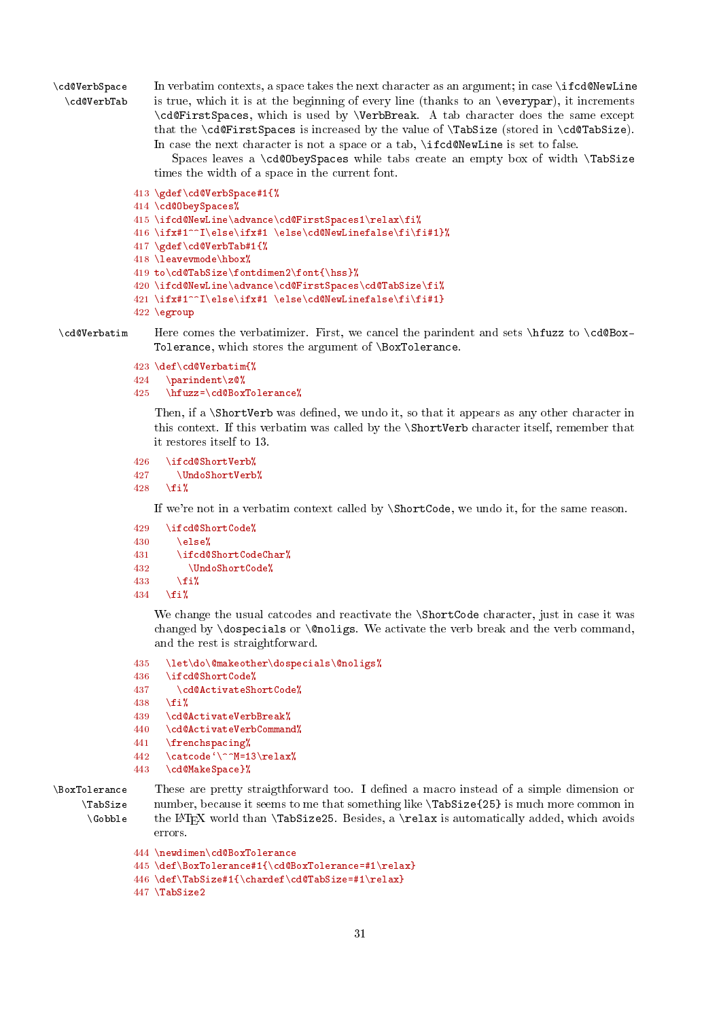<span id="page-30-0"></span>\cd@VerbSpace In verbatim contexts, a space takes the next character as an argument; in case \ifcd@NewLine \cd@VerbTab is true, which it is at the beginning of every line (thanks to an \everypar), it increments \cd@FirstSpaces, which is used by \VerbBreak. A tab character does the same except that the \cd@FirstSpaces is increased by the value of \TabSize (stored in \cd@TabSize). In case the next character is not a space or a tab, \ifcd@NewLine is set to false.

> Spaces leaves a \cd@ObeySpaces while tabs create an empty box of width \TabSize times the width of a space in the current font.

```
413 \gdef\cd@VerbSpace#1{%
414 \cd@ObeySpaces%
415 \ifcd@NewLine\advance\cd@FirstSpaces1\relax\fi%
416 \ifx#1^^I\else\ifx#1 \else\cd@NewLinefalse\fi\fi#1}%
417 \gdef\cd@VerbTab#1{%
418 \leavevmode\hbox%
419 to\cd@TabSize\fontdimen2\font{\hss}%
420 \ifcd@NewLine\advance\cd@FirstSpaces\cd@TabSize\fi%
421\ifx#1^^I\else\ifx#1\else\cd@NewLinefalse\fi\fi#1}
422 \egroup
```
\cd@Verbatim Here comes the verbatimizer. First, we cancel the parindent and sets \hfuzz to \cd@Box-Tolerance, which stores the argument of \BoxTolerance.

```
423 \def\cd@Verbatim{%
424 \parindent\z@%
```

```
425 \hfuzz=\cd@BoxTolerance%
```
Then, if a \ShortVerb was defined, we undo it, so that it appears as any other character in this context. If this verbatim was called by the \ShortVerb character itself, remember that it restores itself to 13.

```
426 \ifcd@ShortVerb%<br>427 \UndoShortVerb
```

```
\UndoShortVerb%
```

```
428 \fi%
```
If we're not in a verbatim context called by \ShortCode, we undo it, for the same reason.

```
429 \ifcd@ShortCode%
```

```
430 \qquad \text{Meles}_{}^{\circ}
```

```
431 \ifcd@ShortCodeChar%
```

```
432 \UndoShortCode%
```

```
433 \cdot \sqrt{f}i
```

```
434 \fi!
```
We change the usual catcodes and reactivate the \ShortCode character, just in case it was changed by **\dospecials** or **\@noligs**. We activate the verb break and the verb command, and the rest is straightforward.

```
435 \let\do\@makeother\dospecials\@noligs%
```

```
436 \ifcd@ShortCode%
```
437 \cd@ActivateShortCode%

```
438 \fi%
```
439 \cd@ActivateVerbBreak%

```
440 \cd@ActivateVerbCommand%
```

```
441 \frenchspacing%
```

```
442 \catcode'\^^M=13\relax%
```

```
443 \cd@MakeSpace}%
```

```
\BoxTolerance These are pretty straigthforward too. I defined a macro instead of a simple dimension or
    \TabSize
     \Gobble
                  number, because it seems to me that something like \TabSize{25} is much more common in
                  the LATEX world than \TabSize25. Besides, a \relax is automatically added, which avoids
                  errors.
```

```
444 \newdimen\cd@BoxTolerance
```

```
445 \def\BoxTolerance#1{\cd@BoxTolerance=#1\relax}
```

```
446 \def\TabSize#1{\chardef\cd@TabSize=#1\relax}
```
447 \TabSize2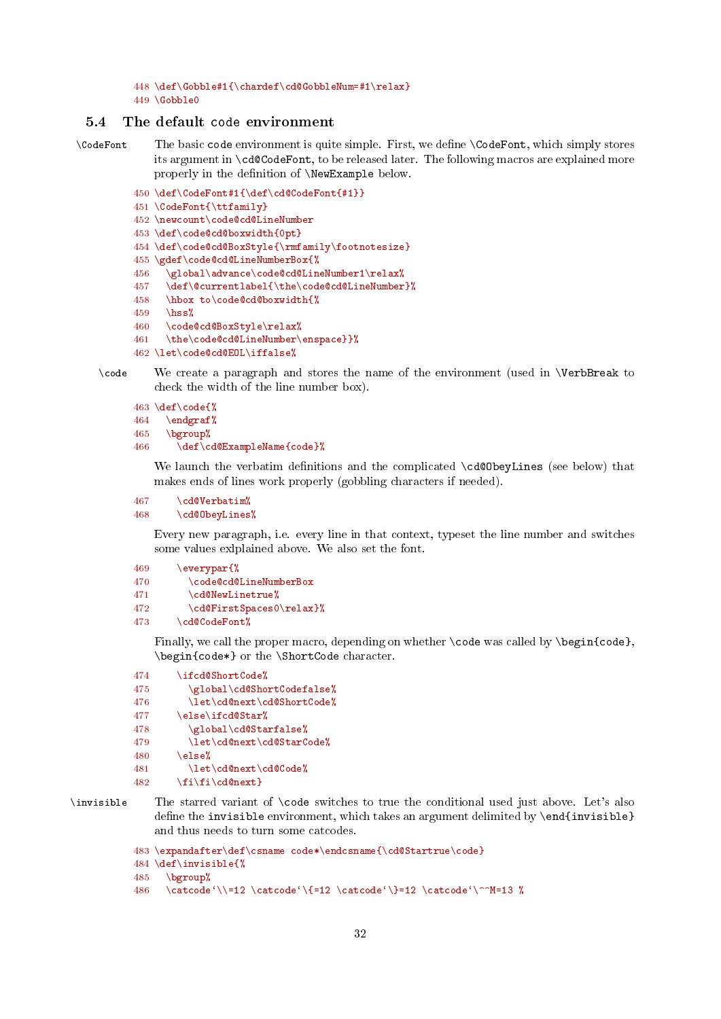<span id="page-31-1"></span>448 \def\Gobble#1{\chardef\cd@GobbleNum=#1\relax}  $449 \text{ VG}$ obble $0$ 

# <span id="page-31-0"></span>5.4 The default code environment

\CodeFont The basic code environment is quite simple. First, we define \CodeFont, which simply stores its argument in \cd@CodeFont, to be released later. The following macros are explained more properly in the definition of \NewExample below.

```
450 \def\CodeFont#1{\def\cd@CodeFont{#1}}
451 \CodeFont{\ttfamily}
452 \newcount\code@cd@LineNumber
```
453 \def\code@cd@boxwidth{0pt}

```
454 \def\code@cd@BoxStyle{\rmfamily\footnotesize}
```
455 \gdef\code@cd@LineNumberBox{%

```
456 \global\advance\code@cd@LineNumber1\relax%
```
- 457 \def\@currentlabel{\the\code@cd@LineNumber}%
- 458 \hbox to\code@cd@boxwidth{%
- $459$  \hss%
- 460 \code@cd@BoxStyle\relax%
- 461 \the\code@cd@LineNumber\enspace}}%
- 462 \let\code@cd@EOL\iffalse%

\code We create a paragraph and stores the name of the environment (used in \VerbBreak to check the width of the line number box).

```
463 \def\code{%
464 \endgraf%
465 \bgroup%
466 \def\cd@ExampleName{code}%
```
We launch the verbatim definitions and the complicated \cd@ObeyLines (see below) that makes ends of lines work properly (gobbling characters if needed).

```
467 \cd@Verbatim%
468 \cd@ObeyLines%
```
Every new paragraph, i.e. every line in that context, typeset the line number and switches some values exlplained above. We also set the font.

```
469 \everypar{%
470 \code@cd@LineNumberBox
471 \cd@NewLinetrue%
472 \cd@FirstSpaces0\relax}%
473 \cd@CodeFont%
```
Finally, we call the proper macro, depending on whether \code was called by \begin{code}, \begin{code\*} or the \ShortCode character.

```
474 \ifcd@ShortCode%
475 \global\cd@ShortCodefalse%
476 \let\cd@next\cd@ShortCode%
477 \else\ifcd@Star%
478 \global\cd@Starfalse%
479 \let\cd@next\cd@StarCode%
480 \qquad \text{leles } \ell481 \let\cd@next\cd@Code%
482 \fi\fi\cd@next}
```
\invisible The starred variant of \code switches to true the conditional used just above. Let's also define the invisible environment, which takes an argument delimited by  $\end{invisible}$ and thus needs to turn some catcodes.

```
483 \expandafter\def\csname code*\endcsname{\cd@Startrue\code}
484 \def\invisible{%
485 \bgroup%
```

```
486 \catcode'\\=12 \catcode'\{=12 \catcode'\}=12 \catcode'\^^M=13 %
```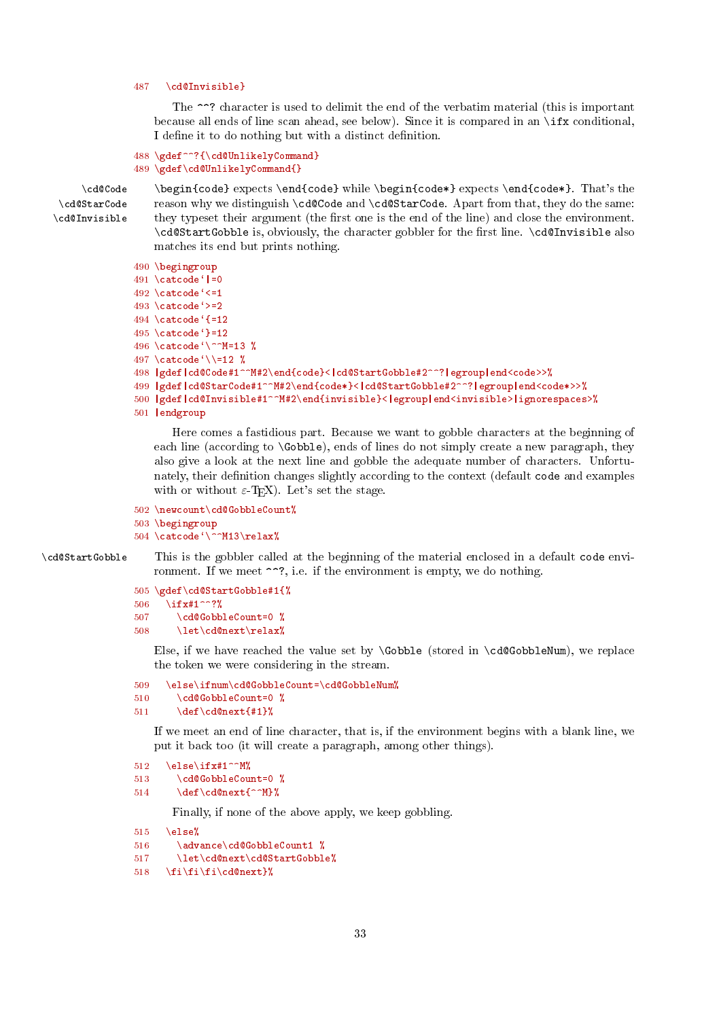# <span id="page-32-0"></span>487 \cd@Invisible}

The  $\sim$ ? character is used to delimit the end of the verbatim material (this is important because all ends of line scan ahead, see below). Since it is compared in an  $\iota$  if x conditional, I define it to do nothing but with a distinct definition.

```
488 \gdef^^?{\cd@UnlikelyCommand}
489 \gdef\cd@UnlikelyCommand{}
```
\cd@StarCode \cd@Invisible

\cd@Code \begin{code} expects \end{code} while \begin{code\*} expects \end{code\*}. That's the reason why we distinguish \cd@Code and \cd@StarCode. Apart from that, they do the same: they typeset their argument (the first one is the end of the line) and close the environment. \cd@StartGobble is, obviously, the character gobbler for the first line. \cd@Invisible also matches its end but prints nothing.

```
490 \begingroup
491 \catcode' =0
492 \text{ } \text{catcode}<sup>{</sup> <=1}
493 \text{ \textdegree}494 \text{ } \text{catcode'}{=12
495 \setminuscatcode?=12496 \catcode`\^^M=13 %
497 \catcode \sqrt{\} =12 %
498 |gdef|cd@Code#1^^M#2\end{code}<|cd@StartGobble#2^^?|egroup|end<code>>%
499 |gdef|cd@StarCode#1^^M#2\end{code*}<|cd@StartGobble#2^^?|egroup|end<code*>>%
500 |gdef|cd@Invisible#1^^M#2\end{invisible}<|egroup|end<invisible>|ignorespaces>%
501 |endgroup
```
Here comes a fastidious part. Because we want to gobble characters at the beginning of each line (according to  $\delta$ ), ends of lines do not simply create a new paragraph, they also give a look at the next line and gobble the adequate number of characters. Unfortunately, their definition changes slightly according to the context (default code and examples with or without  $\varepsilon$ -T<sub>E</sub>X). Let's set the stage.

```
502 \newcount\cd@GobbleCount%
```

```
503 \begingroup
```

```
504 \catcode'\^^M13\relax%
```
\cd@StartGobble This is the gobbler called at the beginning of the material enclosed in a default code environment. If we meet  $\sim$ ?, i.e. if the environment is empty, we do nothing.

```
505 \gdef\cd@StartGobble#1{%
506 \ifx#1^^?%
507 \cd@GobbleCount=0 %
508 \let\cd@next\relax%
```
Else, if we have reached the value set by  $\Gobble$  (stored in  $\cdots$ ), we replace the token we were considering in the stream.

```
509 \else\ifnum\cd@GobbleCount=\cd@GobbleNum%
510 \cd@GobbleCount=0 %
```

```
511 \det\cdots\det\{\#1\}
```
If we meet an end of line character, that is, if the environment begins with a blank line, we put it back too (it will create a paragraph, among other things).

```
512 \else\ifx#1^^M%
```

```
513 \qquad \qquad \qquad \qquad \qquad \qquad \qquad \qquad \qquad \qquad \qquad \qquad \qquad \qquad \qquad \qquad \qquad \qquad \qquad \qquad \qquad \qquad \qquad \qquad \qquad \qquad \qquad \qquad \qquad \qquad \qquad \qquad \qquad \qquad \qquad \qquad \qquad \qquad
```

```
514 \det\cdots \det\cdots
```
Finally, if none of the above apply, we keep gobbling.

```
515 \text{ \else%
```

```
516 \advance\cd@GobbleCount1 %
```

```
517 \let\cd@next\cd@StartGobble%
```

```
518 \fi\fi\fi\cd@next}%
```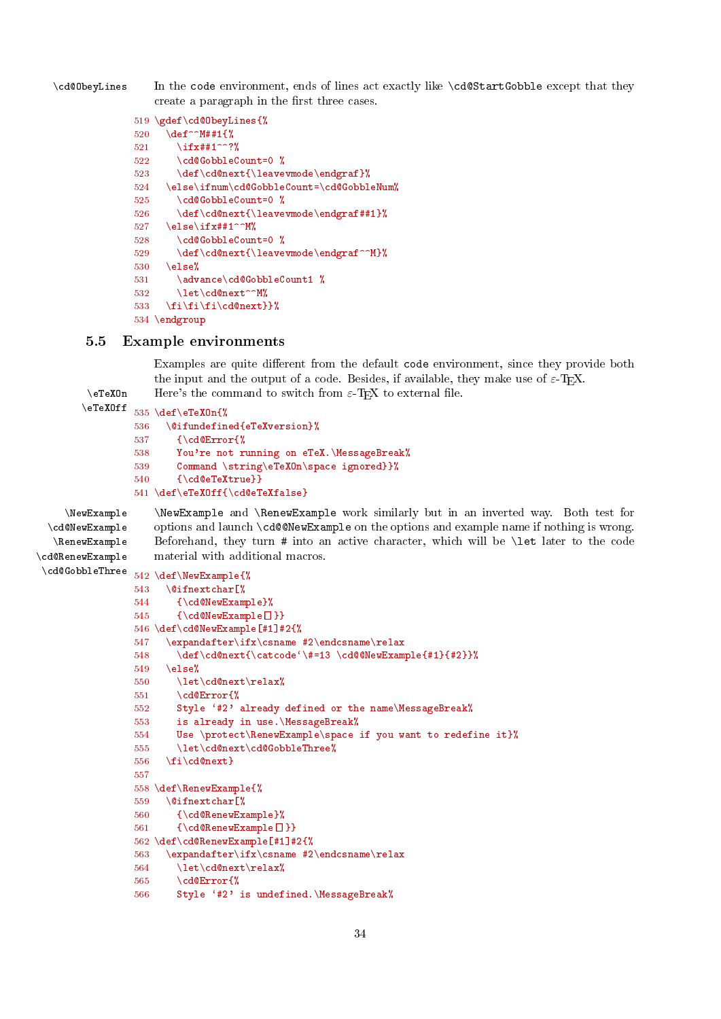<span id="page-33-1"></span>\cd@ObeyLines In the code environment, ends of lines act exactly like \cd@StartGobble except that they create a paragraph in the first three cases.

```
519 \gdef\cd@ObeyLines{%
520 \def^^M##1{%
521 \ifx##1^^?%
522 \cd@GobbleCount=0 %
523 \def\cd@next{\leavevmode\endgraf}%
524 \else\ifnum\cd@GobbleCount=\cd@GobbleNum%
525 \cd@GobbleCount=0 %
526 \def\cd@next{\leavevmode\endgraf##1}%
527 \else\ifx##1^^M%
528 \cd@GobbleCount=0 %
529 \def\cd@next{\leavevmode\endgraf^^M}%
530 \else%
531 \advance\cd@GobbleCount1 %
532 \let\cd@next^^M%
533 \fi\fi\fi\cd@next}}%
534 \endgroup
```
# <span id="page-33-0"></span>5.5 Example environments

Examples are quite different from the default code environment, since they provide both the input and the output of a code. Besides, if available, they make use of  $\varepsilon$ -T<sub>E</sub>X. \eTeXOn Here's the command to switch from  $\varepsilon$ -TEX to external file.<br>\eTeXOff  $\cos \lambda$  and  $\sin \lambda$ 

```
535 \def\eTeXOn{%
```

```
536 \@ifundefined{eTeXversion}%
537 {\cd@Error{%
538 You're not running on eTeX.\MessageBreak%
539 Command \string\eTeXOn\space ignored}}%
540 {\cd@eTeXtrue}}
541 \def\eTeXOff{\cd@eTeXfalse}
```
\cd@NewExample \RenewExample \cd@RenewExample

\NewExample \NewExample and \RenewExample work similarly but in an inverted way. Both test for options and launch \cd@@NewExample on the options and example name if nothing is wrong. Beforehand, they turn # into an active character, which will be \let later to the code material with additional macros.

```
\cd@GobbleThree
```

```
542 \def\NewExample{%
543 \@ifnextchar[%
544 {\cd@NewExample}%
545 {\cd@NewExample[]}}
546 \def\cd@NewExample[#1]#2{%
547 \expandafter\ifx\csname #2\endcsname\relax
548 \def\cd@next{\catcode'\#=13 \cd@@NewExample{#1}{#2}}%
549 \else%
550 \let\cd@next\relax%
551 \cd@Error{%
552 Style `#2' already defined or the name\MessageBreak%
553 is already in use.\MessageBreak%
554 Use \protect\RenewExample\space if you want to redefine it}%
555 \let\cd@next\cd@GobbleThree%
556 \fi\cd@next}
557
558 \def\RenewExample{%
559 \@ifnextchar[%
560 {\cd@RenewExample}%
561 {\cd@RenewExample[]}}
562 \def\cd@RenewExample[#1]#2{%
563 \expandafter\ifx\csname #2\endcsname\relax
564 \let\cd@next\relax%
565 \cd@Error{%
566 Style '#2' is undefined.\MessageBreak%
```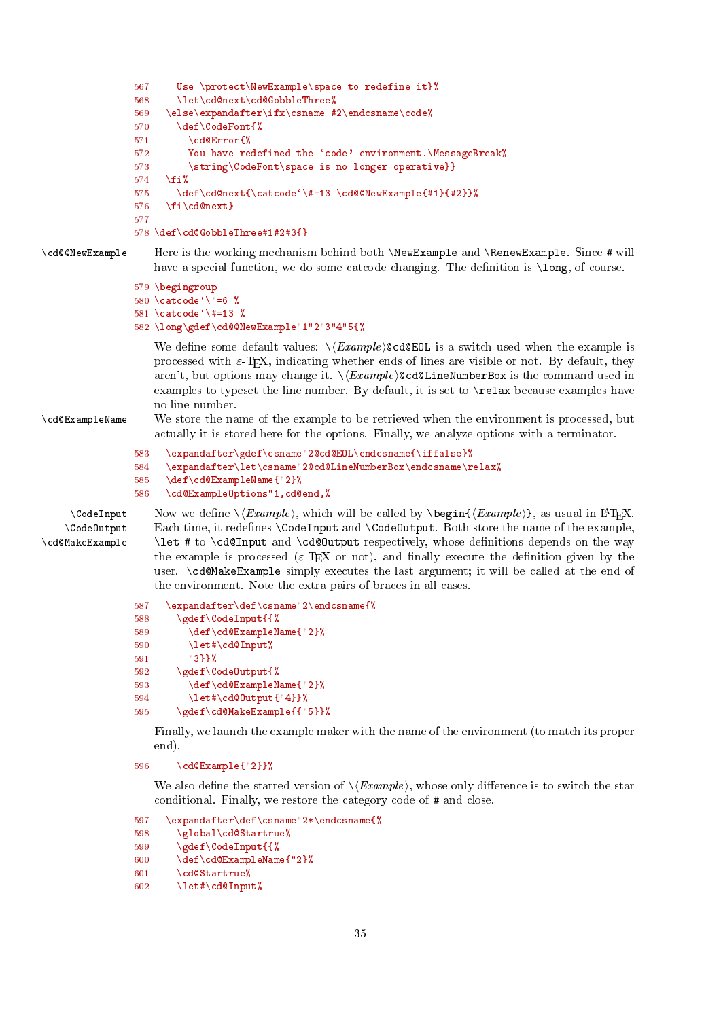```
567 Use \protect\NewExample\space to redefine it}%
                 568 \let\cd@next\cd@GobbleThree%
                 569 \else\expandafter\ifx\csname #2\endcsname\code%
                570 \def\{CodeFont{\%}\n571 \}cd@Error{\%}\cd@Error{%
                 572 You have redefined the 'code' environment.\MessageBreak%
                 573 \string\CodeFont\space is no longer operative}}
                 574 \fi%
                 575 \def\cd@next{\catcode'\#=13 \cd@@NewExample{#1}{#2}}%
                 576 \fi\cd@next}
                 577
                 578 \def\cd@GobbleThree#1#2#3{}
\cd@@NewExample Here is the working mechanism behind both \NewExample and \RenewExample. Since # will
                    have a special function, we do some catcode changing. The definition is \longleftarrow of course.
                 579 \begingroup
                 580 \catcode`\"=6 %
                 581 \catcode<sup>\{\ \}\#=13 %</sup>
                 582 \long\gdef\cd@@NewExample"1"2"3"4"5{%
                    We define some default values: \langle Example \rangle \Cd@EOL is a switch used when the example is
                    processed with \varepsilon-T<sub>E</sub>X, indicating whether ends of lines are visible or not. By default, they
                    aren't, but options may change it. \langle Example \rangle@cd@LineNumberBox is the command used in
                    examples to typeset the line number. By default, it is set to \relax because examples have
                    no line number.
\cd@ExampleName We store the name of the example to be retrieved when the environment is processed, but
                    actually it is stored here for the options. Finally, we analyze options with a terminator.
                 583 \expandafter\gdef\csname"2@cd@EOL\endcsname{\iffalse}%
                 584 \expandafter\let\csname"2@cd@LineNumberBox\endcsname\relax%
                 585 \def\cd@ExampleName{"2}%
                 586 \cd@ExampleOptions"1,cd@end,%
     \text{CodeInput} Now we define \{Example\}, which will be called by \begin{cases} \{Example\}, as usual in LATEX.
    \CodeOutput
\cd@MakeExample
                    Each time, it redefines \CodeInput and \CodeOutput. Both store the name of the example,
                     \let # to \cd@Input and \cd@Output respectively, whose denitions depends on the way
                    the example is processed (\varepsilon-T<sub>E</sub>X or not), and finally execute the definition given by the
                    user. \cd@MakeExample simply executes the last argument; it will be called at the end of
                    the environment. Note the extra pairs of braces in all cases.
                 587 \expandafter\def\csname"2\endcsname{%
                 588 \gdef\CodeInput{{%
                 589 \def\cd@ExampleName{"2}%
                 590 \let#\cd@Input%
                 591 "3}}%
                 592 \gdef\CodeOutput{%
                 593 \def\cd@ExampleName{"2}%
                 594 \left\{\right\} \let#\cd@Output{"4}}%
                 595 \gdef\cd@MakeExample{{"5}}%
                    Finally, we launch the example maker with the name of the environment (to match its proper
```
596 \cd@Example{"2}}%

We also define the starred version of  $\setminus \langle Example \rangle$ , whose only difference is to switch the star conditional. Finally, we restore the category code of # and close.

```
597 \expandafter\def\csname"2*\endcsname{%
```

```
598 \global\cd@Startrue%
```

```
599 \gdef\CodeInput{{%
```

```
600 \def\cd@ExampleName{"2}%
```

```
601 \cd@Startrue%
```
end).

```
602 \let#\cd@Input%
```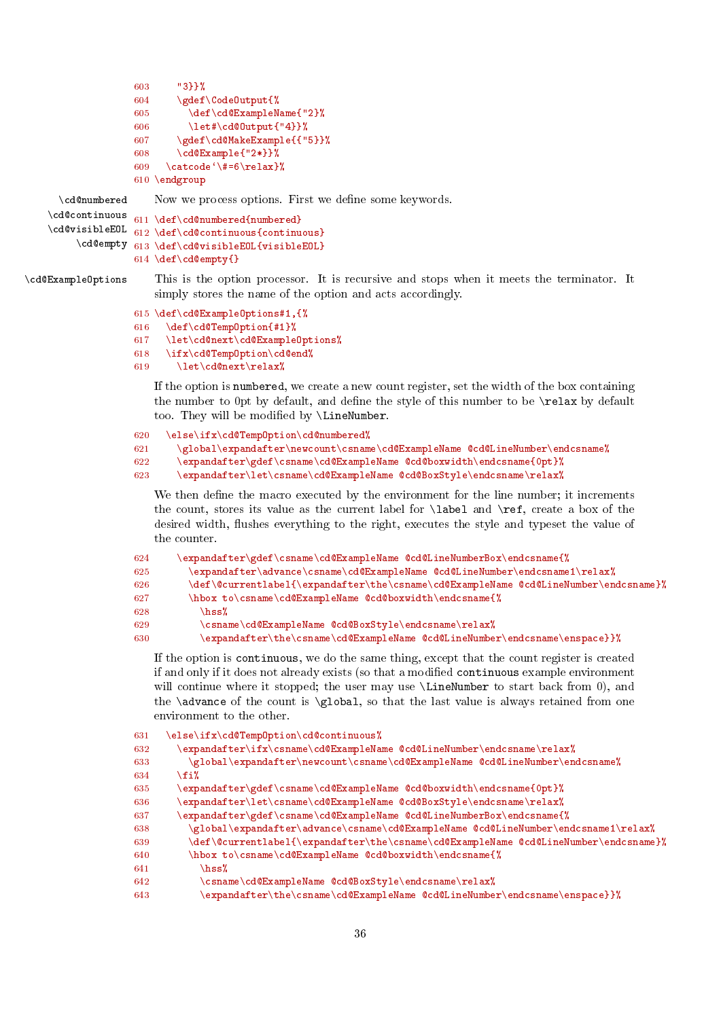```
603 "3}}%
604 \gdef\CodeOutput{%
605 \def\cd@ExampleName{"2}%<br>606 \let#\cd@0utput{"4}}%
          \let#\cd@Output{"4}}%
607 \gdef\cd@MakeExample{{"5}}%
608 \cd@Example{"2*}}%
609 \catcode\{\#=6\relax} %
```

```
610 \endgroup
```
\cd@numbered Now we process options. First we define some keywords.

```
\cd@continuous
\cd@visibleEOL
     \cd@empty 613 \def\cd@visibleEOL{visibleEOL}
               611 \def\cd@numbered{numbered}
               612 \def\cd@continuous{continuous}
               614 \def\cd@empty{}
```
\cd@ExampleOptions This is the option processor. It is recursive and stops when it meets the terminator. It simply stores the name of the option and acts accordingly.

```
615 \def\cd@ExampleOptions#1,{%
```

```
616 \def\cd@TempOption{#1}%
```

```
617 \let\cd@next\cd@ExampleOptions%
```

```
618 \ifx\cd@TempOption\cd@end%
```

```
619 \let\cd@next\relax%
```
If the option is numbered, we create a new count register, set the width of the box containing the number to  $0pt$  by default, and define the style of this number to be  $\relax$  by default too. They will be modified by \LineNumber.

```
620 \else\ifx\cd@TempOption\cd@numbered%
621 \global\expandafter\newcount\csname\cd@ExampleName @cd@LineNumber\endcsname%
622 \expandafter\gdef\csname\cd@ExampleName @cd@boxwidth\endcsname{0pt}%
623 \expandafter\let\csname\cd@ExampleName @cd@BoxStyle\endcsname\relax%
```
We then define the macro executed by the environment for the line number; it increments the count, stores its value as the current label for \label and \ref, create a box of the desired width, flushes everything to the right, executes the style and typeset the value of the counter.

| 624 | \expandafter\gdef\csname\cd@ExampleName    @cd@LineNumberBox\endcsname{%}            |
|-----|--------------------------------------------------------------------------------------|
| 625 | \expandafter\advance\csname\cd@ExampleName @cd@LineNumber\endcsname1\relax%          |
| 626 | \def\@currentlabel{\expandafter\the\csname\cd@ExampleName @cd@LineNumber\endcsname}% |
| 627 | \hbox to\csname\cd@ExampleName @cd@boxwidth\endcsname{%                              |
| 628 | $\hbox{\rm\thinspace\,ss\,}$                                                         |
| 629 | \csname\cd@ExampleName                              @cd@BoxStyle\endcsname\relax%    |
| 630 | \expandafter\the\csname\cd@ExampleName @cd@LineNumber\endcsname\enspace}}%           |

If the option is continuous, we do the same thing, except that the count register is created if and only if it does not already exists (so that a modified continuous example environment will continue where it stopped; the user may use \LineNumber to start back from 0), and the \advance of the count is \global, so that the last value is always retained from one environment to the other.

```
631 \else\ifx\cd@TempOption\cd@continuous%
632 \expandafter\ifx\csname\cd@ExampleName @cd@LineNumber\endcsname\relax%
633 \global\expandafter\newcount\csname\cd@ExampleName @cd@LineNumber\endcsname%
634 \fi%
635 \expandafter\gdef\csname\cd@ExampleName @cd@boxwidth\endcsname{0pt}%
636 \expandafter\let\csname\cd@ExampleName @cd@BoxStyle\endcsname\relax%
637 \expandafter\gdef\csname\cd@ExampleName @cd@LineNumberBox\endcsname{%
638 \global\expandafter\advance\csname\cd@ExampleName @cd@LineNumber\endcsname1\relax%
639 \def\@currentlabel{\expandafter\the\csname\cd@ExampleName @cd@LineNumber\endcsname}%
640 \hbox to\csname\cd@ExampleName @cd@boxwidth\endcsname{%
641 \hss
642 \csname\cd@ExampleName @cd@BoxStyle\endcsname\relax%
643 \expandafter\the\csname\cd@ExampleName @cd@LineNumber\endcsname\enspace}}%
```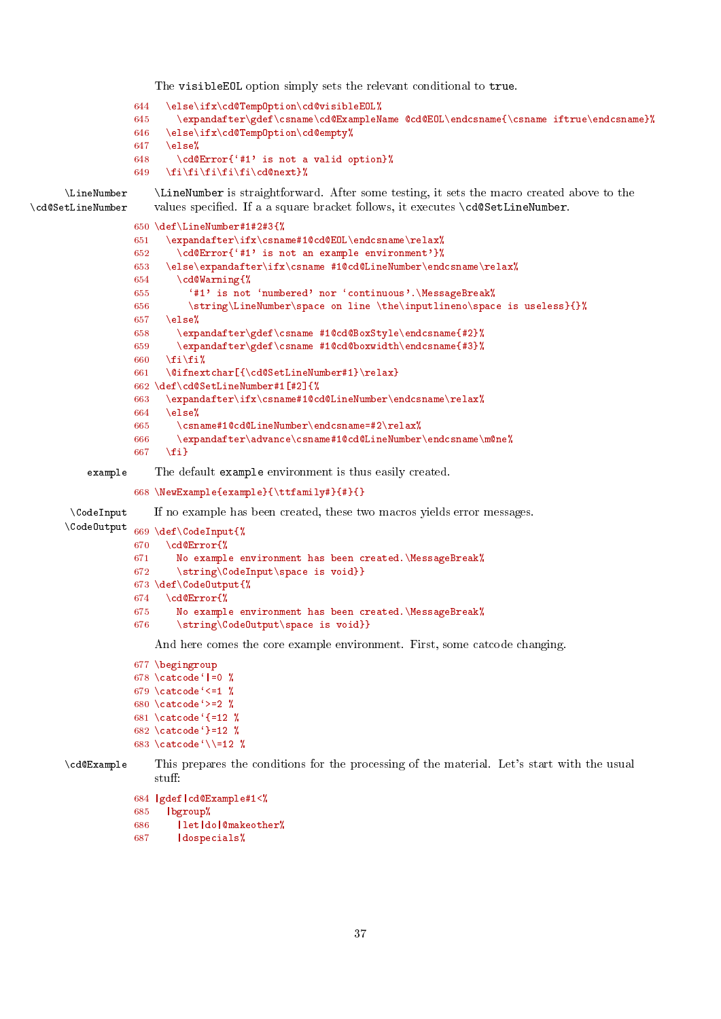<span id="page-36-0"></span>The visibleEOL option simply sets the relevant conditional to true.

```
644 \else\ifx\cd@TempOption\cd@visibleEOL%
```
- 645 \expandafter\gdef\csname\cd@ExampleName @cd@EOL\endcsname{\csname iftrue\endcsname}% 646 \else\ifx\cd@TempOption\cd@empty%
- $647$  \else%

648 \cd@Error{`#1' is not a valid option}%

649 \fi\fi\fi\fi\fi\cd@next}%

\LineNumber \LineNumber is straightforward. After some testing, it sets the macro created above to the \cd@SetLineNumber values specified. If a a square bracket follows, it executes \cd@SetLineNumber.

```
650 \def\LineNumber#1#2#3{%
              651 \expandafter\ifx\csname#1@cd@EOL\endcsname\relax%
              652 \cd@Error{`#1' is not an example environment'}%
              653 \else\expandafter\ifx\csname #1@cd@LineNumber\endcsname\relax%
              654 \cd@Warning{%
              655 '#1' is not 'numbered' nor 'continuous'.\MessageBreak%
              656 \string\LineNumber\space on line \the\inputlineno\space is useless}{}%
              657 \else%
              658 \expandafter\gdef\csname #1@cd@BoxStyle\endcsname{#2}%
              659 \expandafter\gdef\csname #1@cd@boxwidth\endcsname{#3}%
              660 \fi\fi%
              661 \@ifnextchar[{\cd@SetLineNumber#1}\relax}
              662 \def\cd@SetLineNumber#1[#2]{%
              663 \expandafter\ifx\csname#1@cd@LineNumber\endcsname\relax%
              664 \text{ kg/s}665 \csname#1@cd@LineNumber\endcsname=#2\relax%
              666 \expandafter\advance\csname#1@cd@LineNumber\endcsname\m@ne%
              667 \fi}
    example The default example environment is thus easily created.
              668 \NewExample{example}{\ttfamily#}{#}{}
 \CodeInput If no example has been created, these two macros yields error messages.
\CodeOutput 669 \text{ def}\text{CodeInput} \\cdotE\codeInput{\\ 670 \text{ def}\text{Error} \\cdotE\cdotE\cdotE\cdotE\cdotE\cdotE\cdotE\cdotE\cdotE\cdotE\cdotE\cdotE\cdotE\cdotE\cdotE\cdotE\cdotE\cdotE\cdotE\cdotE\cdotE\cdotE\cdotE\cdotE\cdotE\cdotE
                    670 \cd@Error{%
```

```
671 No example environment has been created.\MessageBreak%
672 \string\CodeInput\space is void}}
673 \def\CodeOutput{%
674 \cd@Error{%
675 No example environment has been created.\MessageBreak%
676 \string\CodeOutput\space is void}}
```
And here comes the core example environment. First, some catcode changing.

```
677 \begingroup
678 \catcode<sup>\lceil</sup> =0 \lceil679 \catcode<sup>\zeta</sup> <=1 %
680 \catcode<sup>\zeta</sup> =2 %
681 \catcode '{=12 %
682 \catcode<sup>{</sup>}=12 %
683 \catcode '\\=12 %
```

```
\cd@Example This prepares the conditions for the processing of the material. Let's start with the usual
                stuff:
```

```
684 |gdef|cd@Example#1<%
```

```
685 |bgroup%
```

```
686 |let|do|@makeother%
```

```
687 |dospecials%
```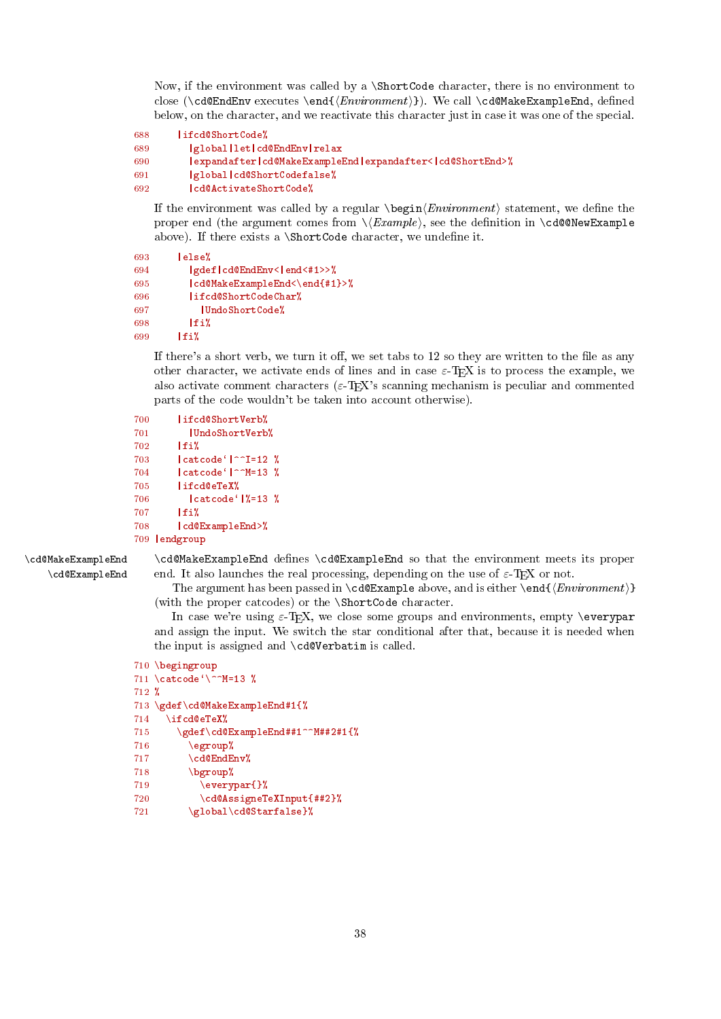<span id="page-37-0"></span>Now, if the environment was called by a \ShortCode character, there is no environment to close (\cd@EndEnv executes \end{ $\{Emironment\}$ ). We call \cd@MakeExampleEnd, defined below, on the character, and we reactivate this character just in case it was one of the special.

```
688 |ifcd@ShortCode%
689 |global|let|cd@EndEnv|relax
690 |expandafter|cd@MakeExampleEnd|expandafter<|cd@ShortEnd>%
691 |global|cd@ShortCodefalse%
692 |cd@ActivateShortCode%
```
If the environment was called by a regular  $\begin{cases} \frac{Environment}{} \ statement, \text{ we define the} \end{cases}$ proper end (the argument comes from  $\Epsilon$ ), see the definition in  $\cdots$ Example above). If there exists a  $\ShortCode character$ , we undefine it.

```
693 |else%
694 |gdef|cd@EndEnv<|end<#1>>%
695 | cd@MakeExampleEnd<\end{#1}>%
696 | ifcd@ShortCodeChar%<br>697 | UndoShortCode%
           |UndoShortCode%
698 |fi%
699 |f_i
```
If there's a short verb, we turn it off, we set tabs to  $12$  so they are written to the file as any other character, we activate ends of lines and in case  $\varepsilon$ -T<sub>E</sub>X is to process the example, we also activate comment characters ( $\varepsilon$ -T<sub>E</sub>X's scanning mechanism is peculiar and commented parts of the code wouldn't be taken into account otherwise).

```
700 |ifcd@ShortVerb%
701 | UndoShortVerb%
702 \text{If } i !
703 \left| \text{catcode}^{(1)} \right| \sim I=12 %
704 | catcode<sup>\text{C}</sup>|^^M=13 %
705 |ifcd@eTeX%
706 |catcode`|%=13 %
707 |fi%
708 | cd@ExampleEnd>%
709 |endgroup
```
\cd@MakeExampleEnd \cd@MakeExampleEnd defines \cd@ExampleEnd so that the environment meets its proper  $\c{c}$ d@ExampleEnd end. It also launches the real processing, depending on the use of  $\varepsilon$ -TEX or not.

> The argument has been passed in \cd@Example above, and is either \end{ $\langle Environment\rangle$ } (with the proper catcodes) or the \ShortCode character.

> In case we're using  $\varepsilon$ -T<sub>E</sub>X, we close some groups and environments, empty \everypar and assign the input. We switch the star conditional after that, because it is needed when the input is assigned and \cd@Verbatim is called.

```
710 \begingroup
711 \catcode`\^^M=13 %
712 %
713 \gdef\cd@MakeExampleEnd#1{%
714 \ifcd@eTeX%
715 \gdef\cd@ExampleEnd##1^^M##2#1{%
716 \egroup%
717 \cd@EndEnv%
718 \bgroup%
719 \everypar{}%
720 \cd@AssigneTeXInput{##2}%
721 \global\cd@Starfalse}%
```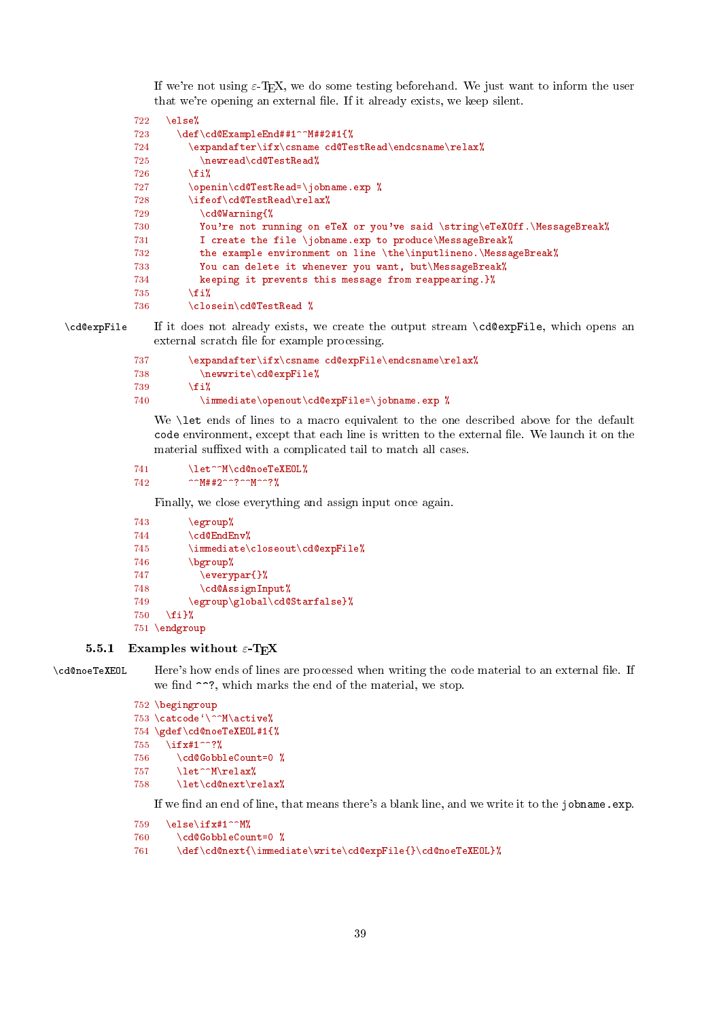<span id="page-38-1"></span>If we're not using  $\varepsilon$ -T<sub>E</sub>X, we do some testing beforehand. We just want to inform the user that we're opening an external file. If it already exists, we keep silent.

```
722 \else%
723 \def\cd@ExampleEnd##1^^M##2#1{%
724 \expandafter\ifx\csname cd@TestRead\endcsname\relax%
725 \newread\cd@TestRead%
726 \forallfi%
727 \openin\cd@TestRead=\jobname.exp %
728 \ifeof\cd@TestRead\relax%
729 \cd@Warning{%
730 You're not running on eTeX or you've said \string\eTeXOff.\MessageBreak%
731 I create the file \jobname.exp to produce\MessageBreak%
732 the example environment on line \the\inputlineno.\MessageBreak%
733 You can delete it whenever you want, but\MessageBreak%
734 keeping it prevents this message from reappearing.}%
735 \fi%
736 \closein\cd@TestRead %
```
\cd@expFile If it does not already exists, we create the output stream \cd@expFile, which opens an external scratch file for example processing.

```
737 \expandafter\ifx\csname cd@expFile\endcsname\relax%
738 \newwrite\cd@expFile%
739 \quad \text{if } i\text{?}740 \immediate\openout\cd@expFile=\jobname.exp %
```
We **\let** ends of lines to a macro equivalent to the one described above for the default code environment, except that each line is written to the external file. We launch it on the material suffixed with a complicated tail to match all cases.

741 \let^^M\cd@noeTeXEOL%  $742$  ^^M##2^^?^^M^^?%

Finally, we close everything and assign input once again.

```
743 \qquad \qquad \qquad \qquad744 \cd@EndEnv%
745 \immediate\closeout\cd@expFile%
746 \bgroup%
747 \everypar{}%
748 \cd@AssignInput%
749 \egroup\global\cd@Starfalse}%
750 \{f_i\}751 \endgroup
```
# <span id="page-38-0"></span>5.5.1 Examples without  $\varepsilon$ -TEX

\cd@noeTeXEOL Here's how ends of lines are processed when writing the code material to an external file. If we find  $\hat{\ }$ ?, which marks the end of the material, we stop.

```
752 \begingroup
753 \catcode`\^^M\active%
754 \gdef\cd@noeTeXEOL#1{%
755 \ifx#1^^?%
756 \cd@GobbleCount=0 %
757 \let^^M\relax%
758 \let\cd@next\relax%
```
If we find an end of line, that means there's a blank line, and we write it to the jobname.exp.

```
759 \else\ifx#1^^M%
```

```
760 \cd@GobbleCount=0 %
```
761 \def\cd@next{\immediate\write\cd@expFile{}\cd@noeTeXEOL}%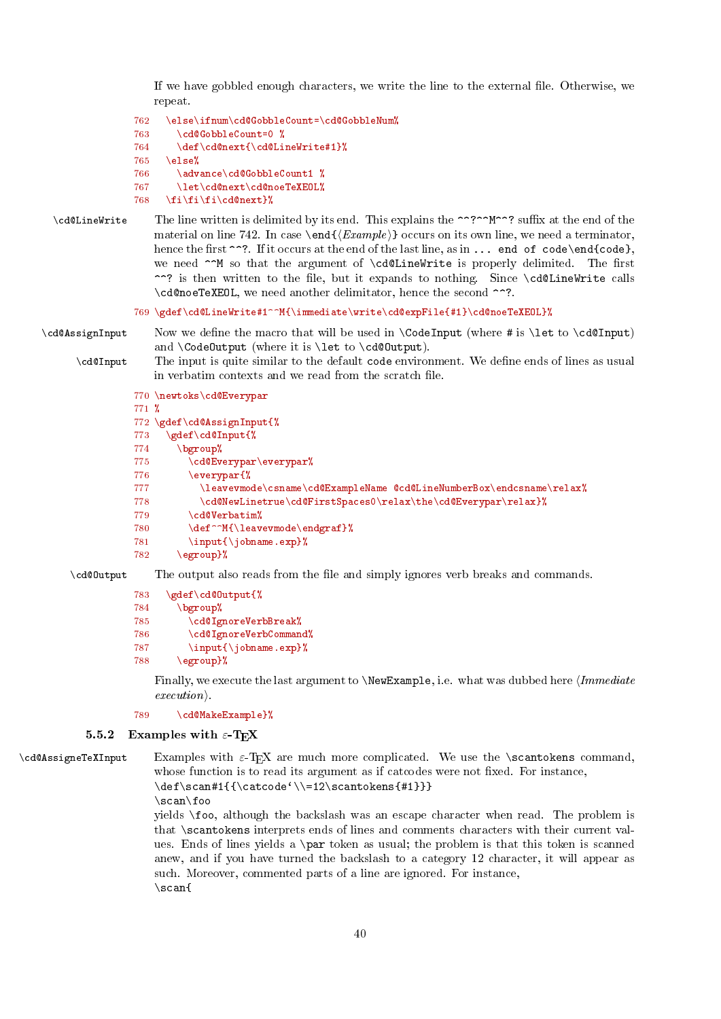<span id="page-39-1"></span>If we have gobbled enough characters, we write the line to the external file. Otherwise, we repeat.

```
762 \else\ifnum\cd@GobbleCount=\cd@GobbleNum%
763 \cd@GobbleCount=0 %
764 \def\cd@next{\cd@LineWrite#1}%
```
 $765$  \else%

```
766 \advance\cd@GobbleCount1 %
```

```
767 \let\cd@next\cd@noeTeXEOL%
```

```
768 \fi\fi\fi\cd@next}%
```
\cd@LineWrite The line written is delimited by its end. This explains the ^^?^^M^^? suffix at the end of the material on line [742.](#page-33-0) In case \end{ $\{Example\}$  occurs on its own line, we need a terminator, hence the first  $\gamma$ ?. If it occurs at the end of the last line, as in ... end of code\end{code}, we need  $\sim$ M so that the argument of  $\cdots$   $\cdots$  is properly delimited. The first ^^? is then written to the file, but it expands to nothing. Since \cd@LineWrite calls \cd@noeTeXEOL, we need another delimitator, hence the second ^^?.

# 769 \gdef\cd@LineWrite#1^^M{\immediate\write\cd@expFile{#1}\cd@noeTeXEOL}%

\cd@AssignInput Now we define the macro that will be used in \CodeInput (where # is \let to \cd@Input) and \CodeOutput (where it is \let to \cd@Output).

\cd@Input The input is quite similar to the default code environment. We define ends of lines as usual in verbatim contexts and we read from the scratch file.

```
770 \newtoks\cd@Everypar
```

```
771 %
772 \gdef\cd@AssignInput{%
773 \gdef\cd@Input{%
774 \bgroup%
775 \cd@Everypar\everypar%
776 \everypar{%
777 \leavevmode\csname\cd@ExampleName @cd@LineNumberBox\endcsname\relax%
778 \cd@NewLinetrue\cd@FirstSpaces0\relax\the\cd@Everypar\relax}%
779 \cd@Verbatim%
780 \def^^M{\leavevmode\endgraf}%
781 \input{\jobname.exp}%
782 \egroup}%
```
\cd@0utput The output also reads from the file and simply ignores verb breaks and commands.

```
783 \gdef\cd@Output{%
```

```
784 \bgroup%
```

```
785 \cd@IgnoreVerbBreak%
```

```
786 \cd@IgnoreVerbCommand%
```

```
787 \input{\jobname.exp}%
```

```
788 \egroup}%
```
Finally, we execute the last argument to  $\NewExample$ , i.e. what was dubbed here *Immediate*  $execution.$ 

# 789 \cd@MakeExample}%

# <span id="page-39-0"></span>5.5.2 Examples with  $\varepsilon$ -TEX

 $\c{c}$ d@AssigneTeXInput Examples with  $\varepsilon$ -TFX are much more complicated. We use the  $\sc$ scantokens command, whose function is to read its argument as if catcodes were not fixed. For instance,  $\label{thm:main} $$\def\scan#1^{\catcode'}\=12\scantokens{#1}}$ 

\scan\foo

yields \foo, although the backslash was an escape character when read. The problem is that \scantokens interprets ends of lines and comments characters with their current values. Ends of lines yields a \par token as usual; the problem is that this token is scanned anew, and if you have turned the backslash to a category 12 character, it will appear as such. Moreover, commented parts of a line are ignored. For instance, \scan{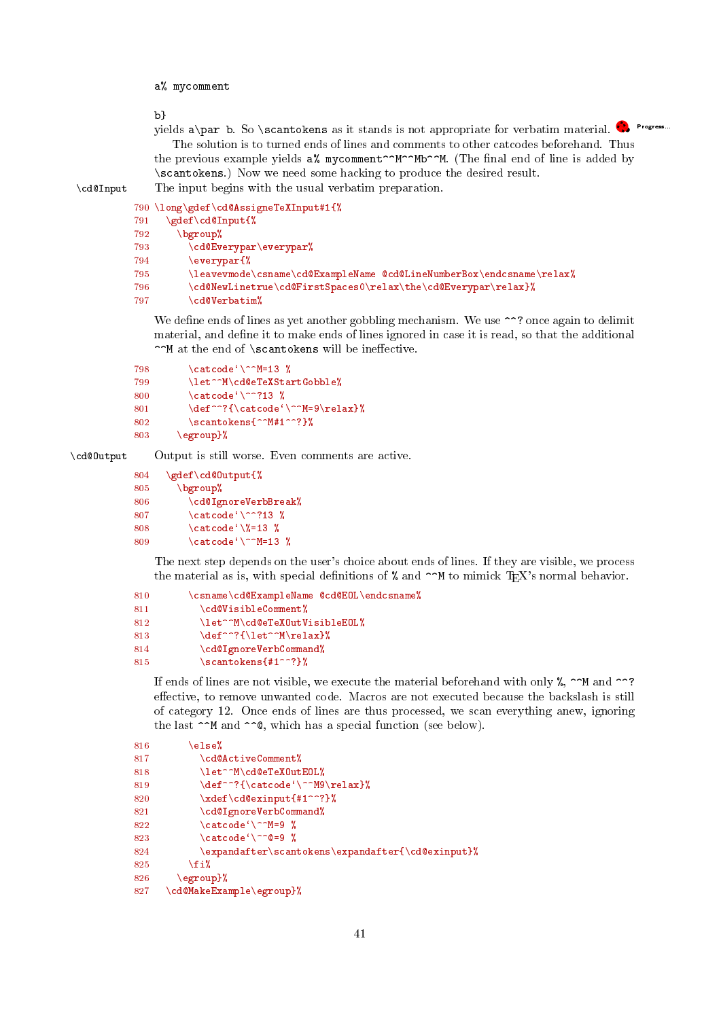<span id="page-40-0"></span>a% mycomment

b}

yields a\par b. So \scantokens as it stands is not appropriate for verbatim material. <sup>•</sup>••••••••••• The solution is to turned ends of lines and comments to other catcodes beforehand. Thus the previous example yields  $a''_k$  mycomment<sup>oon</sup>M. (The final end of line is added by \scantokens.) Now we need some hacking to produce the desired result. \cd@Input The input begins with the usual verbatim preparation.

```
790 \long\gdef\cd@AssigneTeXInput#1{%
791 \gdef\cd@Input{%
792 \bgroup%
793 \cd@Everypar\everypar%
794 \everypar{%
795 \leavevmode\csname\cd@ExampleName @cd@LineNumberBox\endcsname\relax%
796 \cd@NewLinetrue\cd@FirstSpaces0\relax\the\cd@Everypar\relax}%
797 \cd@Verbatim%
```
We define ends of lines as yet another gobbling mechanism. We use  $\gamma$ ? once again to delimit material, and define it to make ends of lines ignored in case it is read, so that the additional  $\cap M$  at the end of \scantokens will be ineffective.

```
798 \catcode' \^M=13 %799 \let^^M\cd@eTeXStartGobble%
800 \catcode<sup>{</sup>\^^?13 %
801 \def^^?{\catcode'\^^M=9\relax}%
802 \scantokens{^^M#1^^?}%
803 \egroup}%
```
\cd@Output Output is still worse. Even comments are active.

```
804 \gdef\cd@Output{%
805 \bgroup%
806 \cd@IgnoreVerbBreak%
807 \catcode<sup>{</sup>\^^?13 %
808 \catcode\%=13 %
809 \operatorname{Catcode}(\text{mod}^{\text{-}13} %
```
The next step depends on the user's choice about ends of lines. If they are visible, we process the material as is, with special definitions of  $\%$  and  $\sim$ M to mimick TEX's normal behavior.

```
810 \csname\cd@ExampleName @cd@EOL\endcsname%
811 \cd@VisibleComment%
812 \let^^M\cd@eTeXOutVisibleEOL%
813 \def^{\lceil}(\leftarrow{\text{Nrelax}})814 \cd@IgnoreVerbCommand%
815 \simeq \scantokens{#1^^?}%
```
If ends of lines are not visible, we execute the material beforehand with only  $\chi$ ,  $\sim$ M and  $\sim$ ? effective, to remove unwanted code. Macros are not executed because the backslash is still of category 12. Once ends of lines are thus processed, we scan everything anew, ignoring the last  $\hat{\ }$  and  $\hat{\ }$   $\hat{\ }$ , which has a special function (see below).

```
816 \else%
817 \cd@ActiveComment%
818 \let^^M\cd@eTeXOutEOL%
819 \def^{\prime}(\catch{\cdot}\deftrightarrow\dif{\cdot}820 \xdef\cdots \xdef\cd@exinput{#1^^?} %
821 \cd@IgnoreVerbCommand%
822 \catcode\degree\^^M=9 %
823 \catcode\degree\^^@=9 %
824 \expandafter\scantokens\expandafter{\cd@exinput}%
825 \overline{\forall}826 \egroup}%
827 \cd@MakeExample\egroup}%
```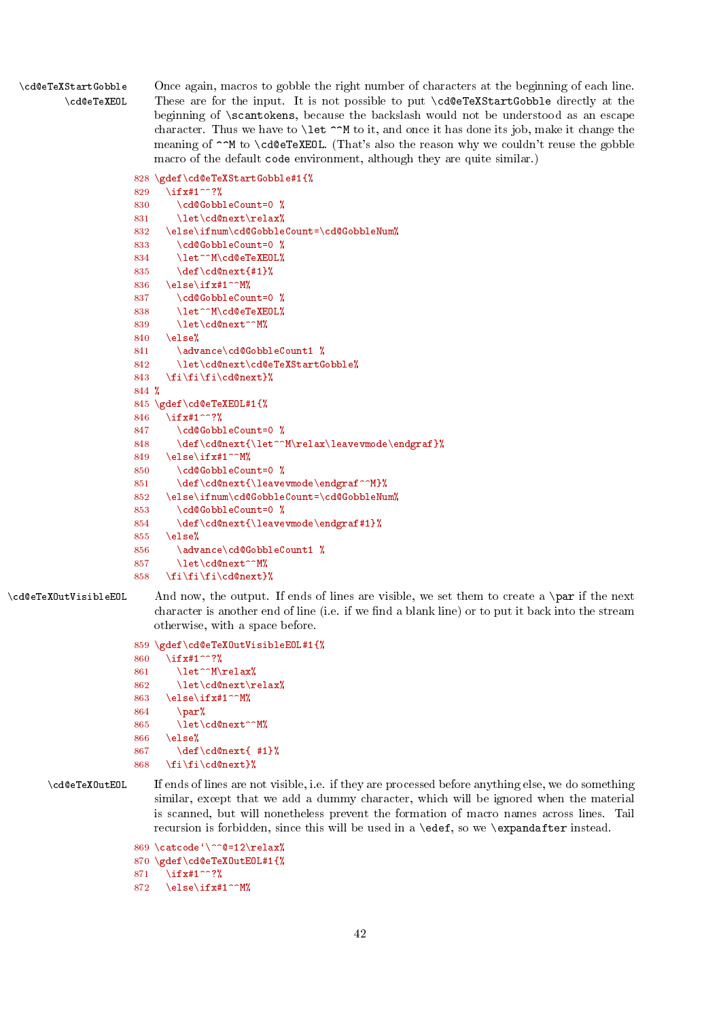<span id="page-41-0"></span>\cd@eTeXStartGobble Once again, macros to gobble the right number of characters at the beginning of each line. \cd@eTeXEOL These are for the input. It is not possible to put \cd@eTeXStartGobble directly at the beginning of \scantokens, because the backslash would not be understood as an escape character. Thus we have to  $\let \cap M$  to it, and once it has done its job, make it change the meaning of  $\sim$ M to \cd@eTeXEOL. (That's also the reason why we couldn't reuse the gobble macro of the default code environment, although they are quite similar.)

```
828 \gdef\cd@eTeXStartGobble#1{%
```

```
829 \ifx#1^^?%
830 \cd@GobbleCount=0 %
831 \let\cd@next\relax%
832 \else\ifnum\cd@GobbleCount=\cd@GobbleNum%
833 \cd@GobbleCount=0 %
834 \let^^M\cd@eTeXEOL%
835 \det\cdots\det\{\#1\}836 \else\ifx#1^^M%
837 \cd@GobbleCount=0 %
838 \let^^M\cd@eTeXEOL%
839 \let\cd@next^^M%
840 \else%
841 \advance\cd@GobbleCount1 %
842 \let\cd@next\cd@eTeXStartGobble%
843 \fi\fi\fi\cd@next}%
844 %
845 \gdef\cd@eTeXEOL#1{%
846 \ifx#1^^?%
847 \cd@GobbleCount=0 %
848 \def\cd@next{\let^^M\relax\leavevmode\endgraf}%
849 \else\ifx#1^^M%
850 \cd@GobbleCount=0 %
851 \def\cd@next{\leavevmode\endgraf^^M}%
852 \else\ifnum\cd@GobbleCount=\cd@GobbleNum%
853 \cd@GobbleCount=0 %
854 \def\cd@next{\leavevmode\endgraf#1}%
855 \else%
856 \advance\cd@GobbleCount1 %
857 \let\cd@next^^M%
858 \fi\fi\fi\cd@next}%
```
\cd@eTeXOutVisibleEOL And now, the output. If ends of lines are visible, we set them to create a \par if the next character is another end of line (i.e. if we find a blank line) or to put it back into the stream otherwise, with a space before.

```
859 \gdef\cd@eTeXOutVisibleEOL#1{%<br>860 \ifx#1^^?%
     \ifx#1^^?%
861 \let^^M\relax%
862 \let\cd@next\relax%
863 \else\ifx#1^^M%
864 \par%
865 \let\cd@next^^M%
866 \text{ kg}867 \def\cd@next{ #1}%
868 \fi\fi\cd@next}%
```
\cd@eTeXOutEOL If ends of lines are not visible, i.e. if they are processed before anything else, we do something similar, except that we add a dummy character, which will be ignored when the material is scanned, but will nonetheless prevent the formation of macro names across lines. Tail recursion is forbidden, since this will be used in a \edef, so we \expandafter instead.

```
869 \catcode'\^^@=12\relax%
870 \gdef\cd@eTeXOutEOL#1{%
871 \ifx#1^^?%
872 \else\ifx#1^^M%
```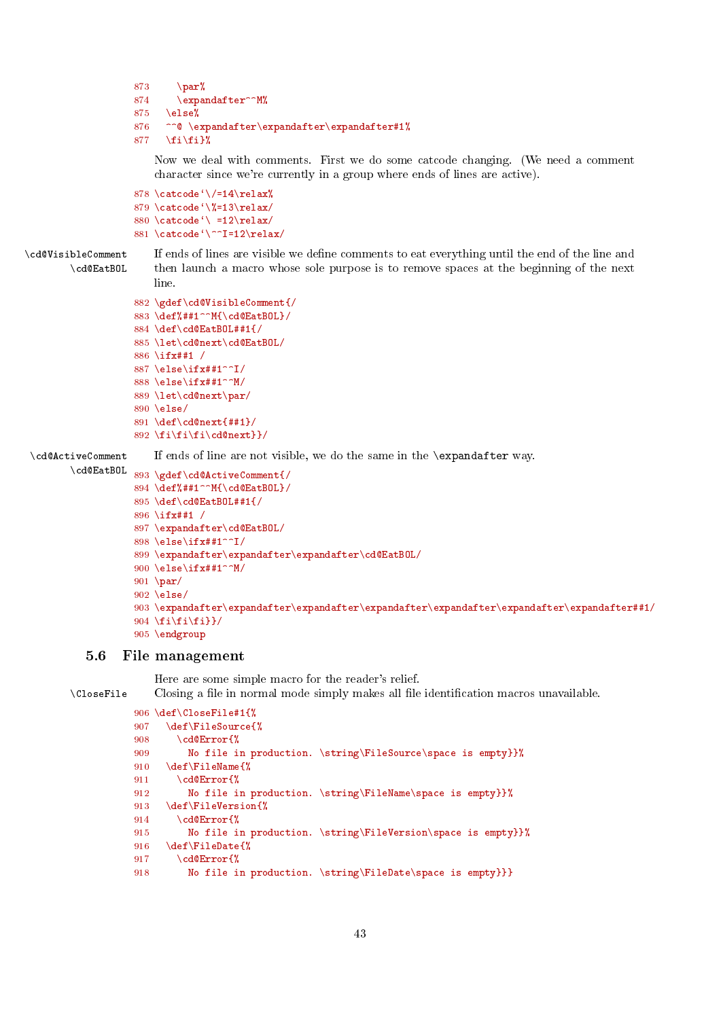```
873 \text{par\textit{%}}874 \expandafter^^M%
875 \else%<br>876 ^^@ \e
      ^^@ \expandafter\expandafter\expandafter#1%
877 \fi\fi}%
```
Now we deal with comments. First we do some catcode changing. (We need a comment character since we're currently in a group where ends of lines are active).

```
878 \catcode<sup>{</sup>\/=14\relax%
879 \catcode`\%=13\relax/
880 \catcode<sup>{</sup>\ =12\relax/
881 \catcode'\^^I=12\relax/
```
\cd@VisibleComment If ends of lines are visible we dene comments to eat everything until the end of the line and \cd@EatBOL then launch a macro whose sole purpose is to remove spaces at the beginning of the next line.

```
882 \gdef\cd@VisibleComment{/
883 \def%##1^^M{\cd@EatBOL}/
884 \def\cd@EatBOL##1{/
885 \let\cd@next\cd@EatBOL/
886 \ifx##1 /
887 \else\ifx##1^^I/
888 \else\ifx##1^^M/
889 \let\cd@next\par/
890 \else/
891 \text{def}\cdots892 \fi\fi\fi\cd@next}}/
```
\cd@ActiveComment If ends of line are not visible, we do the same in the \expandafter way.

```
\cd@EatBOL 893 \gdef\cd@ActiveComment{/
           894 \def%##1^^M{\cd@EatBOL}/
           895 \def\cd@EatBOL##1{/
           896 \ifx##1 /
           897 \expandafter\cd@EatBOL/
           898 \else\ifx##1^^I/
           899 \ \texttt{\texttt{expr}} \900 \else\ifx##1^^M/
           901 \par/
           902 \else/
           903 \expandafter\expandafter\expandafter\expandafter\expandafter\expandafter\expandafter##1/
           904 \left\{ \if{\text{if}}\if{\text{if}}\right\}905 \endgroup
```
# <span id="page-42-0"></span>5.6 File management

Here are some simple macro for the reader's relief.

\CloseFile Closing a file in normal mode simply makes all file identification macros unavailable.

```
906 \def\CloseFile#1{%
907 \def\FileSource{%
908 \cd@Error{%
909 No file in production. \string\FileSource\space is empty}}%
910 \def\FileName{%
911 \cd@Error{%
912 No file in production. \string\FileName\space is empty}}%
913 \def\FileVersion{%
914 \qquad \text{cd@Error}\915 No file in production. \string\FileVersion\space is empty}}%
916 \def\FileDate{%
917 \cd@Error{%
918 No file in production. \string\FileDate\space is empty}}}
```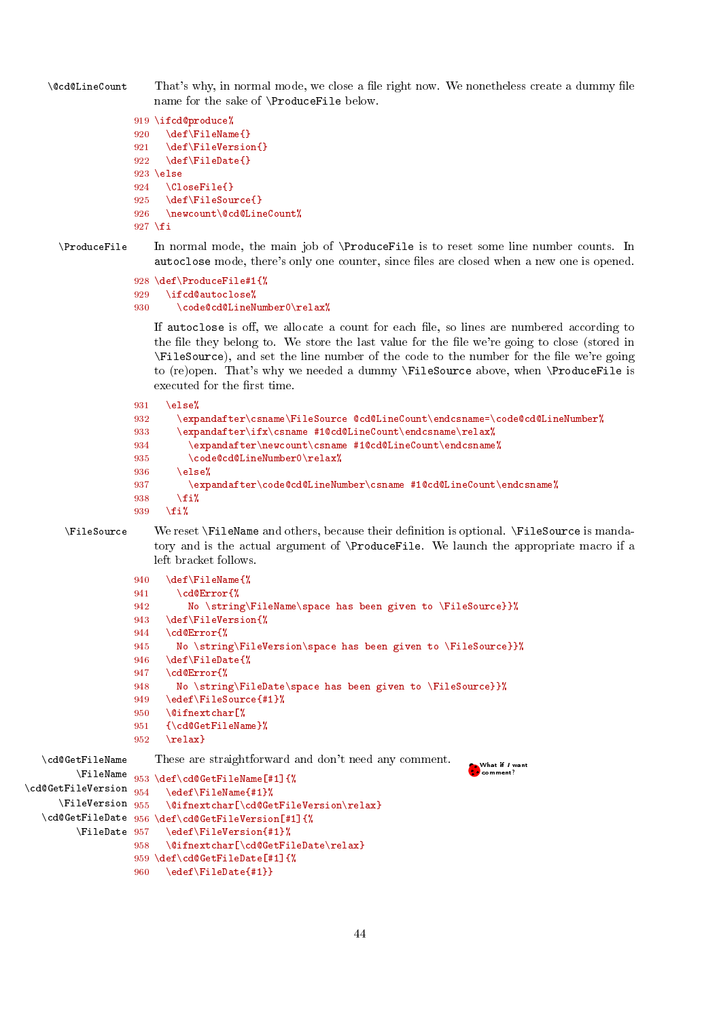<span id="page-43-0"></span>\@cd@LineCount That's why, in normal mode, we close a file right now. We nonetheless create a dummy file name for the sake of \ProduceFile below.

```
919 \ifcd@produce%
920 \def\FileName{}
921 \def\FileVersion{}
922 \def\FileDate{}
923 \else
924 \CloseFile{}
925 \def\FileSource{}
926 \newcount\@cd@LineCount%
927 \fi
```
\ProduceFile In normal mode, the main job of \ProduceFile is to reset some line number counts. In autoclose mode, there's only one counter, since files are closed when a new one is opened.

```
928 \def\ProduceFile#1{%
929 \ifcd@autoclose%
930 \code@cd@LineNumber0\relax%
```
If autoclose is off, we allocate a count for each file, so lines are numbered according to the file they belong to. We store the last value for the file we're going to close (stored in \FileSource), and set the line number of the code to the number for the le we're going to (re)open. That's why we needed a dummy \FileSource above, when \ProduceFile is executed for the first time.

```
931 \else%
932 \expandafter\csname\FileSource @cd@LineCount\endcsname=\code@cd@LineNumber%
933 \expandafter\ifx\csname #1@cd@LineCount\endcsname\relax%
934 \expandafter\newcount\csname #1@cd@LineCount\endcsname%
935 \code@cd@LineNumber0\relax%
936 \else%
937 \expandafter\code@cd@LineNumber\csname #1@cd@LineCount\endcsname%
938 \{f_i\}939 \fi%
```
\FileSource We reset \FileName and others, because their denition is optional. \FileSource is mandatory and is the actual argument of \ProduceFile. We launch the appropriate macro if a left bracket follows.

comment?

```
940 \def\FileName{%
941 \cd@Error{%
942 No \string\FileName\space has been given to \FileSource}}%
943 \def\FileVersion{%
944 \cd@Error{%
945 No \string\FileVersion\space has been given to \FileSource}}%
946 \def\FileDate{%
947 \cd@Error{%
948 No \string\FileDate\space has been given to \FileSource}}%
949 \edef\FileSource{#1}%
950 \@ifnextchar[%
951 {\cd@GetFileName}%
952 \text{ Vrelax}These are straightforward and don't need any comment.
                                                          \bullet.What if I want
```

```
\FileName
953 \def\cd@GetFileName[#1]{%
\cd@GetFileVersion 954\FileVersion 955
        \FileDate
```
\cd@GetFileName

```
\cd@GetFileDate
956 \def\cd@GetFileVersion[#1]{%
                      954 \edef\FileName{#1}%
                      \@ifnextchar[\cd@GetFileVersion\relax}
                      957 \edef\FileVersion{#1}%
                958 \@ifnextchar[\cd@GetFileDate\relax}
                959 \def\cd@GetFileDate[#1]{%
                960 \edef\FileDate{#1}}
```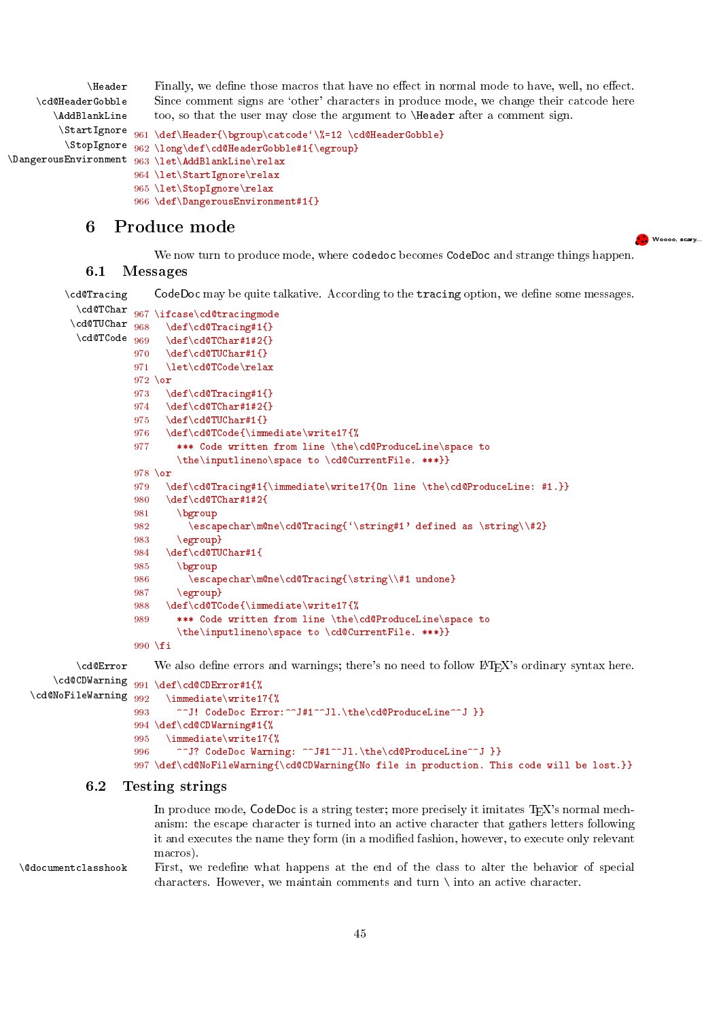<span id="page-44-3"></span>\Header Finally, we define those macros that have no effect in normal mode to have, well, no effect. \cd@HeaderGobble \AddBlankLine \StartIgnore Since comment signs are 'other' characters in produce mode, we change their catcode here too, so that the user may close the argument to \Header after a comment sign. 961 \def\Header{\bgroup\catcode'\%=12 \cd@HeaderGobble}

```
\StopIgnore
\DangerousEnvironment
                      962 \long\def\cd@HeaderGobble#1{\egroup}
                      963 \let\AddBlankLine\relax
                      964 \let\StartIgnore\relax
                      965 \let\StopIgnore\relax
                      966 \def\DangerousEnvironment#1{}
```
# <span id="page-44-0"></span>6 Produce mode

We now turn to produce mode, where codedoc becomes CodeDoc and strange things happen.

...<br>Woooo, scary...

# <span id="page-44-1"></span>6.1 Messages

\cd@Tracing CodeDoc may be quite talkative. According to the tracing option, we define some messages.

```
\cd@TChar
\cd@TUChar 968
\cd@TCode 969
          967 \ifcase\cd@tracingmode
               968 \def\cd@Tracing#1{}
                \def\cd@TChar#1#2{}
          970 \def\cd@TUChar#1{}
          971 \let\cd@TCode\relax
          972 \or
          973 \def\cd@Tracing#1{}
          974 \def\cd@TChar#1#2{}
          975 \def\cd@TUChar#1{}
          976 \def\cd@TCode{\immediate\write17{%
          977 *** Code written from line \the\cd@ProduceLine\space to
                  \the\inputlineno\space to \cd@CurrentFile. ***}}
          978 \or
          979 \def\cd@Tracing#1{\immediate\write17{On line \the\cd@ProduceLine: #1.}}
          980 \def\cd@TChar#1#2{
          981 \bgroup
          982 \escapechar\m@ne\cd@Tracing{'\string#1' defined as \string\\#2}
          983 \egroup}
          984 \def\cd@TUChar#1{
          985 \bgroup
          986 \escapechar\m@ne\cd@Tracing{\string\\#1 undone}
          987 \egroup}
          988 \def\cd@TCode{\immediate\write17{%
          989 *** Code written from line \the\cd@ProduceLine\space to
                  \the\inputlineno\space to \cd@CurrentFile. ***}}
          990 \fi
\cd@Error We also define errors and warnings; there's no need to follow LATEX's ordinary syntax here.
```

```
\setminuscd@NoFileWarning 992
```

```
\cd@CDWarning 991 \text{ def}\cdots#1\
```

```
\immediate\write17{%
993 ^^J! CodeDoc Error:^^J#1^^Jl.\the\cd@ProduceLine^^J }}
994 \def\cd@CDWarning#1{%
995 \immediate\write17{%
996 ^^J? CodeDoc Warning: ^^J#1^^Jl.\the\cd@ProduceLine^^J }}
997 \def\cd@NoFileWarning{\cd@CDWarning{No file in production. This code will be lost.}}
```
# <span id="page-44-2"></span>6.2 Testing strings

In produce mode, CodeDoc is a string tester; more precisely it imitates  $T_{F}X$ 's normal mechanism: the escape character is turned into an active character that gathers letters following it and executes the name they form (in a modied fashion, however, to execute only relevant macros).

\@documentclasshook First, we redene what happens at the end of the class to alter the behavior of special characters. However, we maintain comments and turn \ into an active character.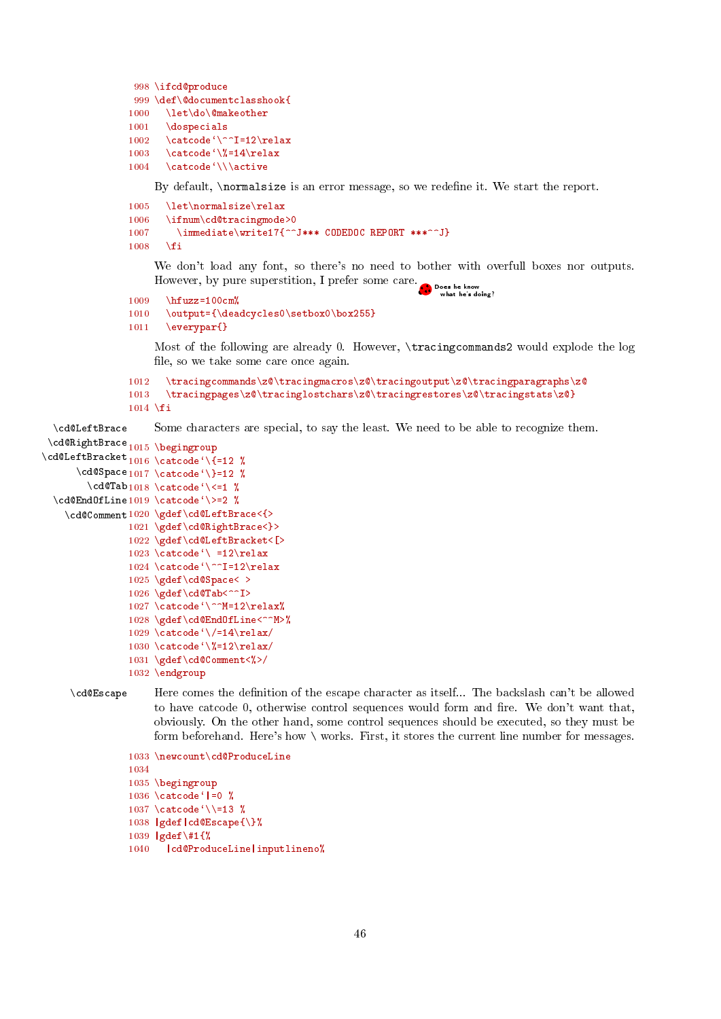```
998 \ifcd@produce
999 \def\@documentclasshook{
1000 \let\do\@makeother<br>1001 \do\sp{ə}\logpecials
1002 \catcode\degree\^^I=12\relax
1003 \catcode'\%=14\relax
1004 \catcode'\\\active
```
By default, *\normalsize* is an error message, so we redefine it. We start the report.

```
1005 \let\normalsize\relax
1006 \ifnum\cd@tracingmode>0
1007 \immediate\write17{^^J*** CODEDOC REPORT ***^^J}
1008 \fi
```
We don't load any font, so there's no need to bother with overfull boxes nor outputs. However, by pure superstition, I prefer some care. .<br>• Does he know<br>• what he's doing?

```
1009 \hfuzz=100cm%<br>1010 \output={\dea
         \output={\deadcycles0\setbox0\box255}
```
1011 \everypar{}

Most of the following are already 0. However, \tracingcommands2 would explode the log file, so we take some care once again.

```
1012 \tracingcommands\z@\tracingmacros\z@\tracingoutput\z@\tracingparagraphs\z@
1013 \tracingpages\z@\tracinglostchars\z@\tracingrestores\z@\tracingstats\z@}
1014 \fi
```
\cd@LeftBrace Some characters are special, to say the least. We need to be able to recognize them.

```
\cd@RightBrace
1015 \begingroup
\cd@LeftBracket 1016 \catcode'\{=12 %
        \hspace{1em}\label{cde} \hspace{1em}\label{cd} \hspace{1em}\label{cdot} \hspace{1em}\label{cdot} \hspace{1em}\hspace{1em}\hspace{1em}\hspace{1em}\hspace{1em}\hspace{1em}\label{cd}\label{thm:cd} \cd@EndOfLine 1019 \catcode'\>=2 %
     \cd@Comment 1020 \gdef\cd@LeftBrace<{>
                     1021 \gdef\cd@RightBrace<}>
                     1022 \gdef\cd@LeftBracket<[>
                     1023 \text{ } \text{ } \text{ } = 12\text{ } \text{ }relax
                     1024 \setminus \text{code'}^{\text{-12}\text{-}1025 \gdef\cd@Space< >
                     1026 \gdef\cd@Tab<^^I>
                     1027 \catcode'\^^M=12\relax%
                     1028 \gdef\cd@EndOfLine<^^M>%
                     1029 \catcode\sqrt{-14\relax}1030 \catcode'\%=12\relax/
                     1031 \gdef\cd@Comment<%>/
                     1032 \endgroup
```
\cd@Escape Here comes the denition of the escape character as itself... The backslash can't be allowed to have catcode 0, otherwise control sequences would form and fire. We don't want that, obviously. On the other hand, some control sequences should be executed, so they must be form beforehand. Here's how \ works. First, it stores the current line number for messages.

```
1033 \newcount\cd@ProduceLine
1034
1035 \begingroup
1036 \catcode<sup>\lceil</sup> =0 %
1037 \catcode '\\=13 \%1038 |gdef|cd@Escape{\}%
1039 |gdef\#1{%
1040 |cd@ProduceLine|inputlineno%
```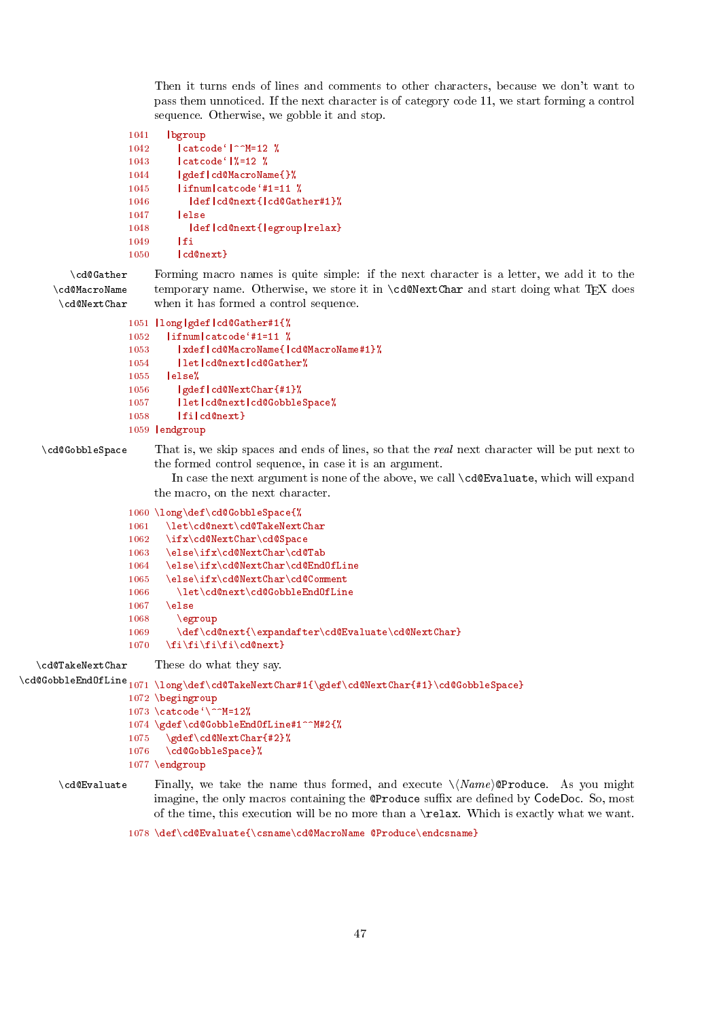<span id="page-46-0"></span>Then it turns ends of lines and comments to other characters, because we don't want to pass them unnoticed. If the next character is of category code 11, we start forming a control sequence. Otherwise, we gobble it and stop.

```
1041 |bgroup
1042 | catcode<sup>'</sup> | <sup>-</sup>M=12 %
1043 | catcode ' | %=12 %
1044 |gdef|cd@MacroName{}%
1045 |ifnum|catcode`#1=11 %
1046 |def|cd@next{|cd@Gather#1}%
1047 |else
1048 | def|cd@next{|egroup|relax}
1049 |fi
1050 |cd@next}
```
\cd@Gather Forming macro names is quite simple: if the next character is a letter, we add it to the \cd@MacroName \cd@NextChar temporary name. Otherwise, we store it in  $\cdots$  denotes and start doing what TFX does when it has formed a control sequence.

```
1051 |long|gdef|cd@Gather#1{%
1052 | ifnum | catcode<sup>4</sup>#1=11 %
1053 |xdef|cd@MacroName{|cd@MacroName#1}%
1054 |let|cd@next|cd@Gather%
1055 |else%
1056 |gdef|cd@NextChar{#1}%
1057 |let|cd@next|cd@GobbleSpace%
1058 |fi|cd@next}
1059 |endgroup
```
\cd@GobbleSpace That is, we skip spaces and ends of lines, so that the real next character will be put next to the formed control sequence, in case it is an argument.

> In case the next argument is none of the above, we call \cd@Evaluate, which will expand the macro, on the next character.

```
1060 \long\def\cd@GobbleSpace{%
                           1061 \let\cd@next\cd@TakeNextChar
                           1062 \ifx\cd@NextChar\cd@Space
                           1063 \else\ifx\cd@NextChar\cd@Tab
                           1064 \else\ifx\cd@NextChar\cd@EndOfLine
                           1065 \else\ifx\cd@NextChar\cd@Comment
                           1066 \let\cd@next\cd@GobbleEndOfLine
                           1067 \else
                           1068 \egroup
                           1069 \def\cdots\@P\n10691070 \fi\fi\fi\fi\cd@next}
    \cd@TakeNextChar These do what they say.
\label{thm:main} $$\cdspace\beledOfLine_{1071}\long\def\cdots\char'41{\gdef\cdots\char'41}\cdots\char'41\cdots\char'41\cdots\char'41\cdots\char'41\cdots\char'41\cdots\char'41\cdots\char'41\cdots\char'41\cdots\char'41\cdots\char'41\cdots\char'41\cdots\char'41\cdots\char'41\cdots\char'41\cdots\char'41\cdots\char'41\cdots\char'41\cdots\char'41\cdots\char'41\cdots\char'41\cdots\char'41\cdots\char'1072 \begingroup
                           1073 \catcode<sup>{</sup>\^^M=12%
                           1074 \gdef\cd@GobbleEndOfLine#1^^M#2{%
                           1075 \gdef\cd@NextChar{#2}%
                           1076 \cd@GobbleSpace}%
```
1077 \endgroup

# $\c{c}$ d@Evaluate Finally, we take the name thus formed, and execute  $\M{Name}$  (Produce. As you might imagine, the only macros containing the @Produce suffix are defined by CodeDoc. So, most of the time, this execution will be no more than a \relax. Which is exactly what we want.

<sup>1078 \</sup>def\cd@Evaluate{\csname\cd@MacroName @Produce\endcsname}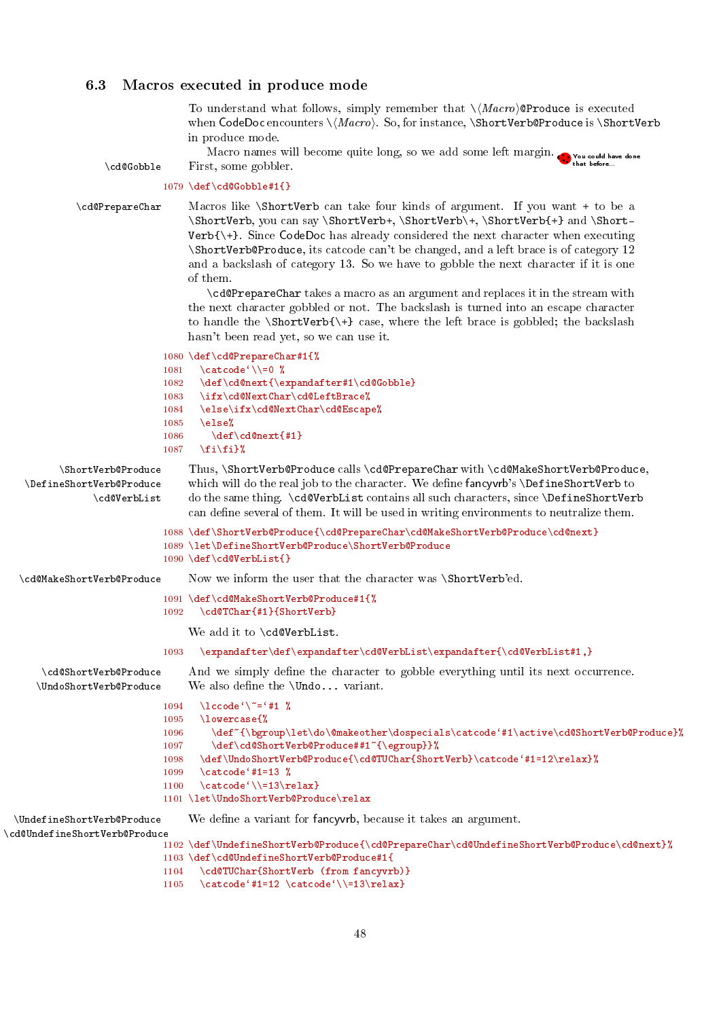# <span id="page-47-1"></span><span id="page-47-0"></span>6.3 Macros executed in produce mode

To understand what follows, simply remember that  $\langle \text{Macro} \rangle$  @Produce is executed when CodeDoc encounters  $\langle Macro \rangle$ . So, for instance,  $\S$ hortVerb@Produce is  $\S$ hortVerb in produce mode.

Macro names will become quite long, so we add some left margin.  $\bullet$  that some gobbler what before... The could have done could have done for the could have done for the could have done<br>\cd@Gobble First, some gobbler.

```
1079 \def\cd@Gobble#1{}
```
 $\ln\frac{1}{2}$ 

 $\ldots$ d@MakeShort

\cd@PrepareChar Macros like \ShortVerb can take four kinds of argument. If you want + to be a \ShortVerb, you can say \ShortVerb+, \ShortVerb\+, \ShortVerb{+} and \Short-Verb{\+}. Since CodeDoc has already considered the next character when executing \ShortVerb@Produce, its catcode can't be changed, and a left brace is of category 12 and a backslash of category 13. So we have to gobble the next character if it is one of them.

> \cd@PrepareChar takes a macro as an argument and replaces it in the stream with the next character gobbled or not. The backslash is turned into an escape character to handle the  $\ShortVerb{\+}$  case, where the left brace is gobbled; the backslash hasn't been read yet, so we can use it.

#### 1080 \def\cd@PrepareChar#1{%

| 1081               | $\text{categorical}$ $\setminus$ $=$ 0 $\%$                                                                                                                                                                                                                                                                                                                                                                                                                                                |
|--------------------|--------------------------------------------------------------------------------------------------------------------------------------------------------------------------------------------------------------------------------------------------------------------------------------------------------------------------------------------------------------------------------------------------------------------------------------------------------------------------------------------|
| 1082               | $\def\cdots\{ \expandafter\#1\cd$ Gobble}                                                                                                                                                                                                                                                                                                                                                                                                                                                  |
| 1083               | \ifx\cd@NextChar\cd@LeftBrace%                                                                                                                                                                                                                                                                                                                                                                                                                                                             |
| 1084               | \else\ifx\cd@NextChar\cd@Escape%                                                                                                                                                                                                                                                                                                                                                                                                                                                           |
| 1085               | else%\                                                                                                                                                                                                                                                                                                                                                                                                                                                                                     |
| 1086               |                                                                                                                                                                                                                                                                                                                                                                                                                                                                                            |
| 1087               | $\binom{f_i}{f_i}$                                                                                                                                                                                                                                                                                                                                                                                                                                                                         |
| \ShortVerb@Produce | Thus, \ShortVerb@Produce calls \cd@PrepareChar with \cd@MakeShortVerb@Produce.                                                                                                                                                                                                                                                                                                                                                                                                             |
| eShortVerb@Produce | which will do the real job to the character. We define fancyvrb's \DefineShortVerb to                                                                                                                                                                                                                                                                                                                                                                                                      |
| cd@VerbList)       | do the same thing. \cd@VerbList contains all such characters, since \DefineShortVerb<br>can define several of them. It will be used in writing environments to neutralize them.                                                                                                                                                                                                                                                                                                            |
|                    | 1088 \def\ShortVerb@Produce{\cd@PrepareChar\cd@MakeShortVerb@Produce\cd@next}                                                                                                                                                                                                                                                                                                                                                                                                              |
|                    | 1089 \let\DefineShortVerb@Produce\ShortVerb@Produce                                                                                                                                                                                                                                                                                                                                                                                                                                        |
|                    | $1090 \text{def}\cdots$                                                                                                                                                                                                                                                                                                                                                                                                                                                                    |
| eShortVerb@Produce | Now we inform the user that the character was <i>ShortVerb</i> 'ed.                                                                                                                                                                                                                                                                                                                                                                                                                        |
|                    | $1091 \text{ det} \cdot \text{d} \cdot \text{d} \cdot \text{shartVar} \cdot \text{d} \cdot \text{d} \cdot \text{d} \cdot \text{d} \cdot \text{d} \cdot \text{d} \cdot \text{d} \cdot \text{d} \cdot \text{d} \cdot \text{d} \cdot \text{d} \cdot \text{d} \cdot \text{d} \cdot \text{d} \cdot \text{d} \cdot \text{d} \cdot \text{d} \cdot \text{d} \cdot \text{d} \cdot \text{d} \cdot \text{d} \cdot \text{d} \cdot \text{d} \cdot \text{d} \cdot \text{d} \cdot \text{d} \cdot \text{d$ |

 $1@MakeShortVerb@Produce#1\{$ 1092 \cd@TChar{#1}{ShortVerb}

We add it to \cd@VerbList.

#### 1093 \expandafter\def\expandafter\cd@VerbList\expandafter{\cd@VerbList#1,}

\cd@ShortVerb@Produce And we simply define the character to gobble everything until its next occurrence. \UndoShortVerb@Produce We also define the \Undo... variant. 1094 \lccode<sup>{</sup>\<sup>~</sup>='#1 % 1095 \lowercase{% 1096 \def~{\bgroup\let\do\@makeother\dospecials\catcode'#1\active\cd@ShortVerb@Produce}% 1097 \def\cd@ShortVerb@Produce##1~{\egroup}}% 1098 \def\UndoShortVerb@Produce{\cd@TUChar{ShortVerb}\catcode`#1=12\relax}% 1099 \catcode<sup>'</sup>#1=13 % 1100 \catcode'\\=13\relax} 1101 \let\UndoShortVerb@Produce\relax \UndefineShortVerb@Produce We dene a variant for fancyvrb, because it takes an argument. \cd@UndefineShortVerb@Produce 1102 \def\UndefineShortVerb@Produce{\cd@PrepareChar\cd@UndefineShortVerb@Produce\cd@next}% 1103 \def\cd@UndefineShortVerb@Produce#1{ 1104 \cd@TUChar{ShortVerb (from fancyvrb)} 1105 \catcode'#1=12 \catcode'\\=13\relax}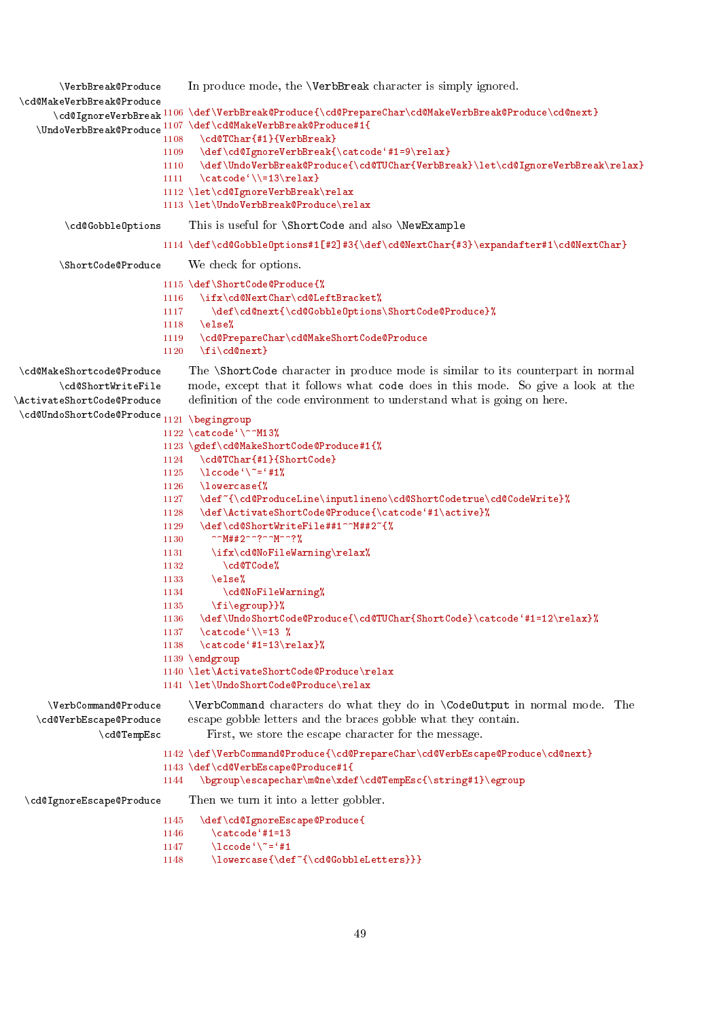```
\VerbBreak@Produce In produce mode, the \VerbBreak character is simply ignored.
\cd@MakeVerbBreak@Produce
       \cd@IgnoreVerbBreak
1106 \def\VerbBreak@Produce{\cd@PrepareChar\cd@MakeVerbBreak@Produce\cd@next}
    \UndoVerbBreak@Produce
1107 \def\cd@MakeVerbBreak@Produce#1{
                          1108 \cd@TChar{#1}{VerbBreak}
                          1109 \def\cd@IgnoreVerbBreak{\catcode'#1=9\relax}
                          1110 \def\UndoVerbBreak@Produce{\cd@TUChar{VerbBreak}\let\cd@IgnoreVerbBreak\relax}
                          1111 \catcode'\\=13\relax}
                          1112 \let\cd@IgnoreVerbBreak\relax
                          1113 \let\UndoVerbBreak@Produce\relax
         \cd@GobbleOptions This is useful for \ShortCode and also \NewExample
                          1114 \def\cd@GobbleOptions#1[#2]#3{\def\cd@NextChar{#3}\expandafter#1\cd@NextChar}
        \ShortCode@Produce We check for options.
                          1115 \def\ShortCode@Produce{%
                          1116 \ifx\cd@NextChar\cd@LeftBracket%
                          1117 \def\cd@next{\cd@GobbleOptions\ShortCode@Produce}%
                          1118 \else%
                          1119 \cd@PrepareChar\cd@MakeShortCode@Produce
                          1120 \fi\cd@next}
\cd@MakeShortcode@Produce The \ShortCode character in produce mode is similar to its counterpart in normal
        \cd@ShortWriteFile
\ActivateShortCode@Produce
 \cd@UndoShortCode@Produce
1121 \begingroup
                               mode, except that it follows what code does in this mode. So give a look at the
                               definition of the code environment to understand what is going on here.
                          1122 \catcode'\^^M13%
                          1123 \gdef\cd@MakeShortCode@Produce#1{%
                          1124 \cd@TChar{#1}{ShortCode}
                          1125 \lccode<sup>{</sup>\<sup>~</sup>='#1%
                          1126 \lowercase{%
                          1127 \def~{\cd@ProduceLine\inputlineno\cd@ShortCodetrue\cd@CodeWrite}%
                          1128 \def\ActivateShortCode@Produce{\catcode'#1\active}%
                          1129 \def\cd@ShortWriteFile##1^^M##2~{%
                          1130 ^^M##2^^?^^M^^?%
                          1131 \ifx\cd@NoFileWarning\relax%
                          1132 \cd@TCode%
                          1133 \else%
                          1134 \cd@NoFileWarning%
                          1135 \fi\egroup}}%
                          1136 \def\UndoShortCode@Produce{\cd@TUChar{ShortCode}\catcode'#1=12\relax}%
                          1137 \catcode<sup>\{\</sup> =13 %
                          1138 \text{ Catcode'+1=13\relax}1139 \endgroup
                          1140 \let\ActivateShortCode@Produce\relax
                          1141 \let\UndoShortCode@Produce\relax
      \VerbCommand@Produce \VerbCommand characters do what they do in \CodeOutput in normal mode. The
   \cd@VerbEscape@Produce
               \cd@TempEsc
                               escape gobble letters and the braces gobble what they contain.
                                  First, we store the escape character for the message.
                          1142 \def\VerbCommand@Produce{\cd@PrepareChar\cd@VerbEscape@Produce\cd@next}
                          1143 \def\cd@VerbEscape@Produce#1{
                          1144 \bgroup\escapechar\m@ne\xdef\cd@TempEsc{\string#1}\egroup
 \cd@IgnoreEscape@Produce Then we turn it into a letter gobbler.
                          1145 \def\cd@IgnoreEscape@Produce{
                          1146 \catcode<sup>'</sup>#1=13
                          1147 \operatorname{lccode} \left\{ \right\}^* = \{ \#1 \}1148 \lowercase{\def<sup>~{\cd@GobbleLetters}}}</sup>
```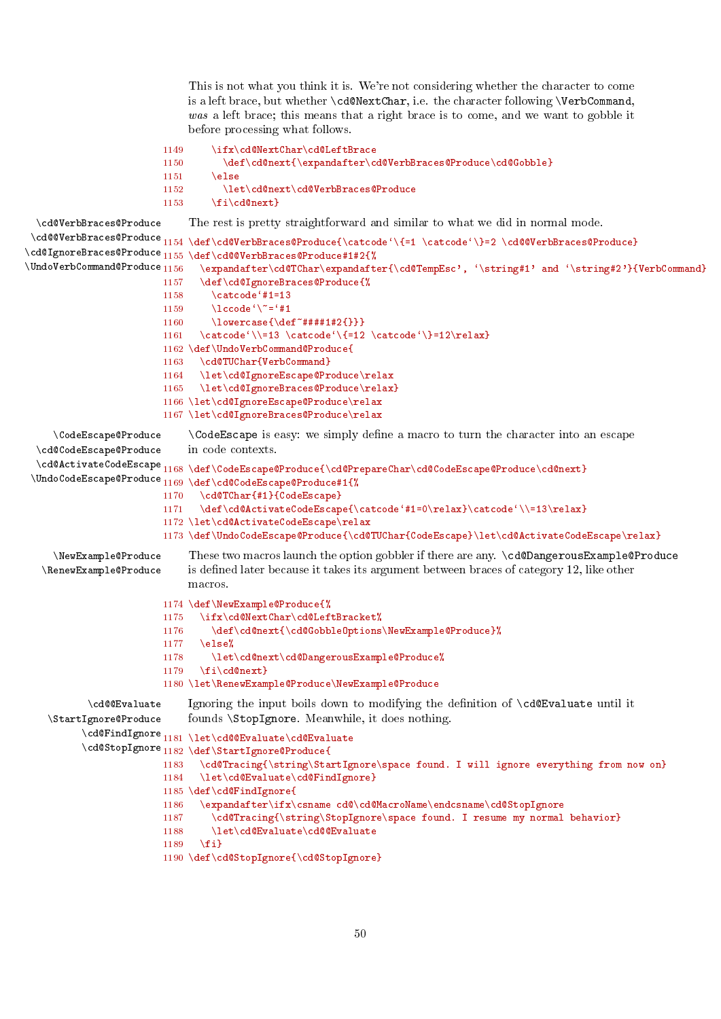<span id="page-49-0"></span>This is not what you think it is. We're not considering whether the character to come is a left brace, but whether \cd@NextChar, i.e. the character following \VerbCommand, was a left brace; this means that a right brace is to come, and we want to gobble it before processing what follows.

```
1149 \ifx\cd@NextChar\cd@LeftBrace
                           1150 \def\cd@next{\expandafter\cd@VerbBraces@Produce\cd@Gobble}
                           1151 \text{le}1152 \let\cd@next\cd@VerbBraces@Produce
                           1153 \qquad \text{if}\text{icd@next}\cd@VerbBraces@Produce The rest is pretty straightforward and similar to what we did in normal mode.
 \cd@@VerbBraces@Produce<sub>1154</sub> \def\cd@VerbBraces@Produce{\catcode'\{=1 \catcode'\}=2 \cd@@VerbBraces@Produce}
\backslashcd@IgnoreBraces@Produce_{1155}\backslashdef\backslashcd@@VerbBraces@Produce#1#2{%
\UndoVerbCommand@Produce<sub>1156</sub>
                                  \verb+\exp+ and after \cdots \exp+ and after \cdots \exp+ and after \cdots \exp+ and after \cdots).1157 \def\cd@IgnoreBraces@Produce{%
                           1158 \catcode<sup>'</sup>#1=13
                           1159 \operatorname{lccode} ' \tilde{\mathcal{I}} = '#11160 \lowercase{\def<sup>-*</sup>####1#2{}}}
                           1161 \catcode'\\=13 \catcode'\{=12 \catcode'\}=12\relax}
                           1162 \def\UndoVerbCommand@Produce{
                           1163 \cd@TUChar{VerbCommand}
                           1164 \let\cd@IgnoreEscape@Produce\relax
                           1165 \let\cd@IgnoreBraces@Produce\relax}
                           1166 \let\cd@IgnoreEscape@Produce\relax
                           1167 \let\cd@IgnoreBraces@Produce\relax
     \CodeEscape@Produce \CodeEscape is easy: we simply define a macro to turn the character into an escape
  \cd@CodeEscape@Produce
  \hspace{0.1cm}\displaystyle\hspace{0.1cm}\}cd@ActivateCodeEscape\hspace{0.1cm}1168\hspace{0.1cm}\displaystyle\hspace{0.1cm}\}CodeEscape@Produce\hspace{0.1cm}\displaystyle\hspace{0.1cm}\}Code\hspace{0.1cm}\displaystyle\hspace{0.1cm}\}Code\hspace{0.1cm}\displaystyle\hspace{0.1cm}\}Code\hspace{0.1cm}\displaystyle\hspace{0.1cm}\}Code\hspace{0.1cm}\displaystyle\\UndoCodeEscape@Produce
1169 \def\cd@CodeEscape@Produce#1{%
                                in code contexts.
                           1170 \cd@TChar{#1}{CodeEscape}
                           1171 \def\cd@ActivateCodeEscape{\catcode'#1=0\relax}\catcode'\\=13\relax}
                           1172 \let\cd@ActivateCodeEscape\relax
                           1173 \def\UndoCodeEscape@Produce{\cd@TUChar{CodeEscape}\let\cd@ActivateCodeEscape\relax}
     \NewExample@Produce These two macros launch the option gobbler if there are any. \cd@DangerousExample@Produce
   \RenewExample@Produce is dened later because it takes its argument between braces of category 12, like other
                                macros.
                           1174 \def\NewExample@Produce{%
                           1175 \ifx\cd@NextChar\cd@LeftBracket%
                           1176 \def\cd@next{\cd@GobbleOptions\NewExample@Produce}%
                           1177 \else%
                           1178 \let\cd@next\cd@DangerousExample@Produce%
                           1179 \fi\cd@next}
                           1180 \let\RenewExample@Produce\NewExample@Produce
            \cd@@Evaluate Ignoring the input boils down to modifying the denition of \cd@Evaluate until it
    \StartIgnore@Produce
           \cd@FindIgnore
1181 \let\cd@@Evaluate\cd@Evaluate
           \cd@StopIgnore
1182 \def\StartIgnore@Produce{
                                founds \StopIgnore. Meanwhile, it does nothing.
                           1183 \cd@Tracing{\string\StartIgnore\space found. I will ignore everything from now on}
                           1184 \let\cd@Evaluate\cd@FindIgnore}
                           1185 \def\cd@FindIgnore{
                           1186 \expandafter\ifx\csname cd@\cd@MacroName\endcsname\cd@StopIgnore
                           1187 \cd@Tracing{\string\StopIgnore\space found. I resume my normal behavior}
                           1188 \let\cd@Evaluate\cd@@Evaluate
                           1189 \fi}
                           1190 \def\cd@StopIgnore{\cd@StopIgnore}
```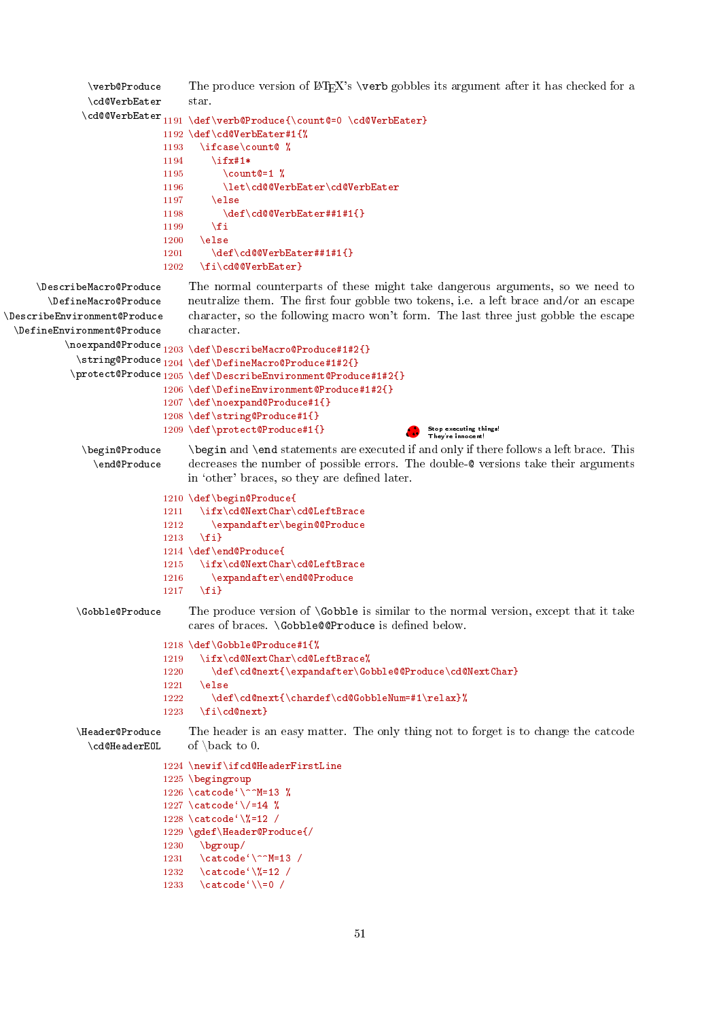```
\verbOProduce The produce version of LAT<sub>EX</sub>'s \verb gobbles its argument after it has checked for a
                \cd@VerbEater
               \cd@@VerbEater
1191 \def\verb@Produce{\count@=0 \cd@VerbEater}
                                   star.
                              1192 \def\cd@VerbEater#1{%
                              1193 \ifcase\count@ %
                              1194 \ifx#1*
                              1195 \count \epsilon = 1 %
                              1196 \let\cd@@VerbEater\cd@VerbEater
                              1197 \else
                              1198 \det\c{d@VerbEater#1#1{}}1199 \setminusfi
                              1200 \else
                              1201 \def\cd@@VerbEater##1#1{}
                              1202 \fi\cd@@VerbEater}
      \DescribeMacro@Produce The normal counterparts of these might take dangerous arguments, so we need to
        \DefineMacro@Produce
\DescribeEnvironment@Produce
  \DefineEnvironment@Produce
            \noexpand@Produce
1203 \def\DescribeMacro@Produce#1#2{}
              \string@Produce
1204 \def\DefineMacro@Produce#1#2{}
             \protect@Produce
1205 \def\DescribeEnvironment@Produce#1#2{}
                                   neutralize them. The first four gobble two tokens, i.e. a left brace and/or an escape
                                   character, so the following macro won't form. The last three just gobble the escape
                                   character.
                              1206 \def\DefineEnvironment@Produce#1#2{}
                              1207 \def\noexpand@Produce#1{}
                              1208 \def\string@Produce#1{}
                              1209 \def\protect@Produce#1{}
               \begin{bmatrix} \begin{array}{c} \begin{array}{c} \begin{array}{c} \end{array} \end{array} \end{bmatrix} if there follows a left brace. This
                                                                            Stop executing things!<br>They're innocent!
                 \end@Produce decreases the number of possible errors. The double-@ versions take their arguments
                                   in 'other' braces, so they are defined later.
                              1210 \def\begin@Produce{
                              1211 \ifx\cd@NextChar\cd@LeftBrace
                              1212 \expandafter\begin@@Produce
                              1213 \{f_i\}1214 \def\end@Produce{
                              1215 \ifx\cd@NextChar\cd@LeftBrace
                              1216 \expandafter\end@@Produce
                              1217 \fil
              \Gobble@Produce The produce version of \Gobble is similar to the normal version, except that it take
                                   cares of braces. \Gobble@@Produce is defined below.
                              1218 \def\Gobble@Produce#1{%
                              1219 \ifx\cd@NextChar\cd@LeftBrace%
                              1220 \def\cd@next{\expandafter\Gobble@@Produce\cd@NextChar}
                              1221 \else
                              1222 \def\cd@next{\chardef\cd@GobbleNum=#1\relax}%
                              1223 \quad \text{if}\text{d@next}\Header@Produce The header is an easy matter. The only thing not to forget is to change the catcode
                \cd@HeaderEOL of \back to 0.
                              1224 \newif\ifcd@HeaderFirstLine
                              1225 \begingroup
                              1226 \catcode`\^^M=13 %
                              1227 \catcode<sup>\sqrt{\frac{-14}{n}}</sup>
                              1228 \catcode`\%=12 /
                              1229 \gdef\Header@Produce{/
                              1230 \ \big\{\begin{array}{c}\end{array}1231 \catcode\degree\^^M=13 /
                              1232 \catcode\sqrt{2} = 12 /
                              1233 \catcode'\\=0 /
```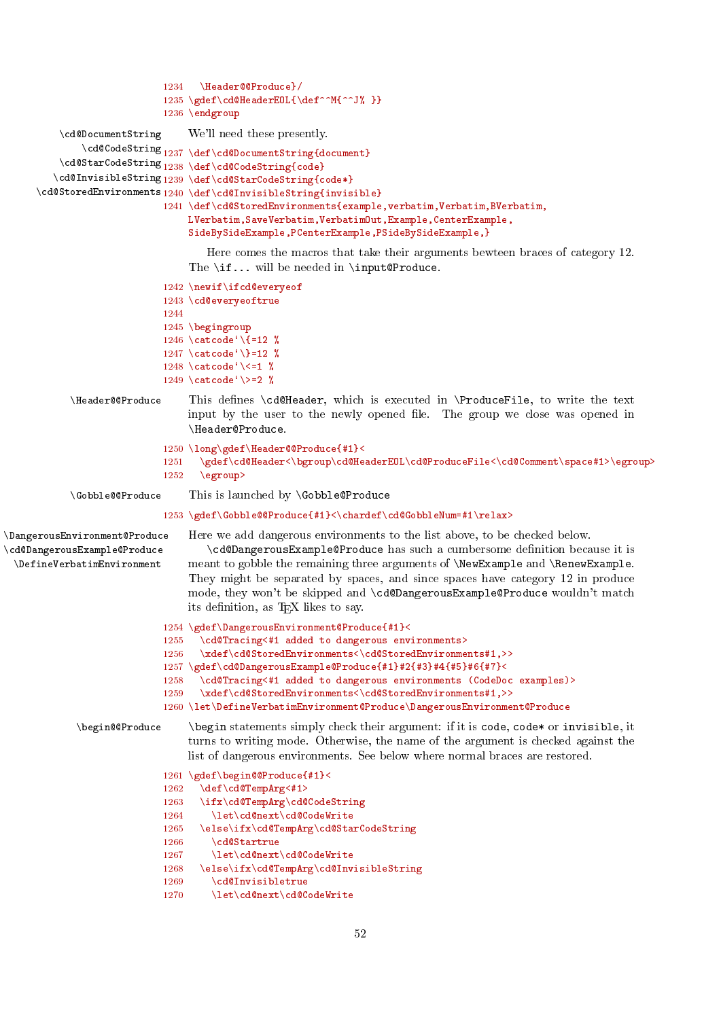```
1234 \Header@@Produce}/
                                 1235 \gdef\cd@HeaderEOL{\def^^M{^^J% }}
                                 1236 \endgroup
           \cd@DocumentString We'll need these presently.
                \cd@CodeString<sub>1237</sub> \def\cd@DocumentString{document}
            \hspace{1mm} \hspace{1mm} \begin{array}{l} \hspace{1mm} \hspace{1mm} \hspace{1mm} \hspace{1mm} \hspace{1mm} \hspace{1mm} \hspace{1mm} \hspace{1mm} \hspace{1mm} \hspace{1mm} \hspace{1mm} \hspace{1mm} \hspace{1mm} \hspace{1mm} \hspace{1mm} \hspace{1mm} \hspace{1mm} \hspace{1mm} \hspace{1mm} \hspace{1mm} \hspace{1mm} \hspace{1mm} \hspace{1mm} \hspace{1mm} \hspace{1mm} \hspace{1mm} \hspace{1mm} \hspace{1mm} \hspace\cd@InvisibleString<sub>1239</sub> \def\cd@StarCodeString{code*}
       \label{thm:logtore} \cd@StoredEnvironments 1240 \def\cd@InvisibleString{invisible}
                                 1241 \def\cd@StoredEnvironments{example,verbatim,Verbatim,BVerbatim,
                                      LVerbatim,SaveVerbatim,VerbatimOut,Example,CenterExample,
                                       SideBySideExample,PCenterExample,PSideBySideExample,}
                                          Here comes the macros that take their arguments bewteen braces of category 12.
                                      The \if... will be needed in \input@Produce.
                                 1242 \newif\ifcd@everyeof
                                 1243 \cd@everyeoftrue
                                 1244
                                 1245 \begingroup
                                 1246 \catcode<sup>\{\\12 %</sup>
                                 1247 \catcode<sup>\{\}=12 %</sup>
                                 1248 \catcode<sup>{</sup>\\leq 1 %
                                 1249 \catcode<sup>{</sup>\>=2 %
              \Header@@Produce This denes \cd@Header, which is executed in \ProduceFile, to write the text
                                      input by the user to the newly opened file. The group we close was opened in
                                       \Header@Produce.
                                 1250 \long\gdef\Header@@Produce{#1}<
                                 1251 \gdef\cd@Header<\bgroup\cd@HeaderEOL\cd@ProduceFile<\cd@Comment\space#1>\egroup>
                                 1252 \egroup>
              \Gobble@@Produce This is launched by \Gobble@Produce
                                 1253 \gdef\Gobble@@Produce{#1}<\chardef\cd@GobbleNum=#1\relax>
\DangerousEnvironment@Produce Here we add dangerous environments to the list above, to be checked below.
\cd@DangerousExample@Produce
  \DefineVerbatimEnvironment
                                           \cd@DangerousExample@Produce has such a cumbersome denition because it is
                                      meant to gobble the remaining three arguments of \NewExample and \RenewExample.
                                       They might be separated by spaces, and since spaces have category 12 in produce
                                       mode, they won't be skipped and \cd@DangerousExample@Produce wouldn't match
                                      its definition, as T<sub>E</sub>X likes to say.
                                 1254 \gdef\DangerousEnvironment@Produce{#1}<
                                 1255 \cd@Tracing<#1 added to dangerous environments>
                                 1256 \xdef\cd@StoredEnvironments<\cd@StoredEnvironments#1,>>
                                 1257 \gdef\cd@DangerousExample@Produce{#1}#2{#3}#4{#5}#6{#7}<<br>1258 \cd@Tracing<#1 added to dangerous environments (CodeDo)
                                         \cd@Tracing<#1 added to dangerous environments (CodeDoc examples)>
                                 1259 \xdef\cd@StoredEnvironments<\cd@StoredEnvironments#1,>>
                                 1260 \let\DefineVerbatimEnvironment@Produce\DangerousEnvironment@Produce
               \begin@@Produce \begin statements simply check their argument: if it is code, code* or invisible, it
                                       turns to writing mode. Otherwise, the name of the argument is checked against the
                                      list of dangerous environments. See below where normal braces are restored.
                                 1261 \gdef\begin@@Produce{#1}<
                                 1262 \def\cd@TempArg<#1>
                                 1263 \ifx\cd@TempArg\cd@CodeString
                                 1264 \let\cd@next\cd@CodeWrite
                                 1265 \else\ifx\cd@TempArg\cd@StarCodeString
                                 1266 \cd@Startrue
                                 1267 \let\cd@next\cd@CodeWrite
                                 1268 \else\ifx\cd@TempArg\cd@InvisibleString
                                 1269 \cd@Invisibletrue
                                 1270 \let\cd@next\cd@CodeWrite
```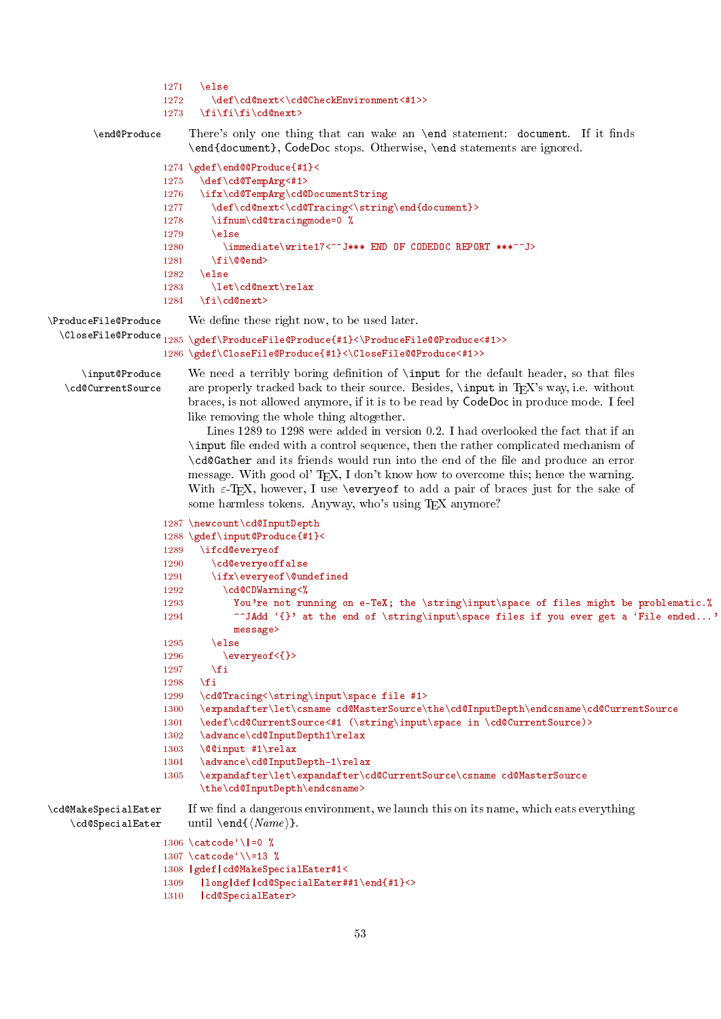```
1271 \quad \text{hs}1272 \def\cd@next<\cd@CheckEnvironment<#1>>
                     1273 \quad \{fi\}fi\fi\cd@next>
        \end@Produce There's only one thing that can wake an \end statement: document. If it finds
                         \end{document}, CodeDoc stops. Otherwise, \end statements are ignored.
                     1274 \gdef\end@@Produce{#1}<
                     1275 \def\cd@TempArg<#1>
                     1276 \ifx\cd@TempArg\cd@DocumentString
                     1277 \def\cd@next<\cd@Tracing<\string\end{document}>
                     1278 \ifnum\cd@tracingmode=0 %
                     1279 \else
                     1280 \immediate\write17<^^J*** END OF CODEDOC REPORT ***^^J>
                     1281 \fi\@@end>
                     1282 \else
                     1283 \let\cd@next\relax
                     1284 \fi\cd@next>
\ProduceFile@Produce We define these right now, to be used later.
 \CloseFile@Produce 1285 \gdef\ProduceFile@Produce{#1}<\ProduceFile@@Produce<#1>>
                     1286 \gdef\CloseFile@Produce{#1}<\CloseFile@@Produce<#1>>
      \input@Produce We need a terribly boring definition of \input for the default header, so that files
  \cd@CurrentSource are properly tracked back to their source. Besides, \input in TEX's way, i.e. without
                         braces, is not allowed anymore, if it is to be read by CodeDoc in produce mode. I feel
                         like removing the whole thing altogether.
                            Lines 1289 to 1298 were added in version 0.2. I had overlooked the fact that if an
                         \input le ended with a control sequence, then the rather complicated mechanism of
                         \cd@Gather and its friends would run into the end of the le and produce an error
                         message. With good ol' TEX, I don't know how to overcome this; hence the warning.
                         With \varepsilon-TeX, however, I use \everyeof to add a pair of braces just for the sake of
                         some harmless tokens. Anyway, who's using T<sub>E</sub>X anymore?
                     1287 \newcount\cd@InputDepth
                     1288 \gdef\input@Produce{#1}<
                     1289 \ifcd@everyeof
                     1290 \cd@everyeoffalse
                     1291 \ifx\everyeof\@undefined
                     1292 \cd@CDWarning<%
                     1293 You're not running on e-TeX; the \string\input\space of files might be problematic.%
                     1294 \qquad \qquad \qquad \qquad at the end of \string\input\space files if you ever get a 'File ended...'
                                 message>
                     1295 \else
                     1296 \everyeof<{}><br>1297 \fi
                     1297
                     1298 \fi
                     1299 \cd@Tracing<\string\input\space file #1>
                     1300 \expandafter\let\csname cd@MasterSource\the\cd@InputDepth\endcsname\cd@CurrentSource
                     1301 \edef\cd@CurrentSource<#1 (\string\input\space in \cd@CurrentSource)>
                     1302 \advance\cd@InputDepth1\relax
                     1303 \@@input #1\relax
                     1304 \advance\cd@InputDepth-1\relax<br>1305 \expandafter\let\expandafter\c
                           \expandafter\let\expandafter\cd@CurrentSource\csname cd@MasterSource
                           \the\cd@InputDepth\endcsname>
\cd@MakeSpecialEater If we find a dangerous environment, we launch this on its name, which eats everything
   \c{d@SpecialEater until \end{K}name}.
                     1306 \catcode<sup>\lceil</sup>
                     1307 \catcode<sup>\{\}\=13 %</sup>
                     1308 |gdef|cd@MakeSpecialEater#1<
                     1309 |long|def|cd@SpecialEater##1\end{#1}<>
                     1310 | cd@SpecialEater>
```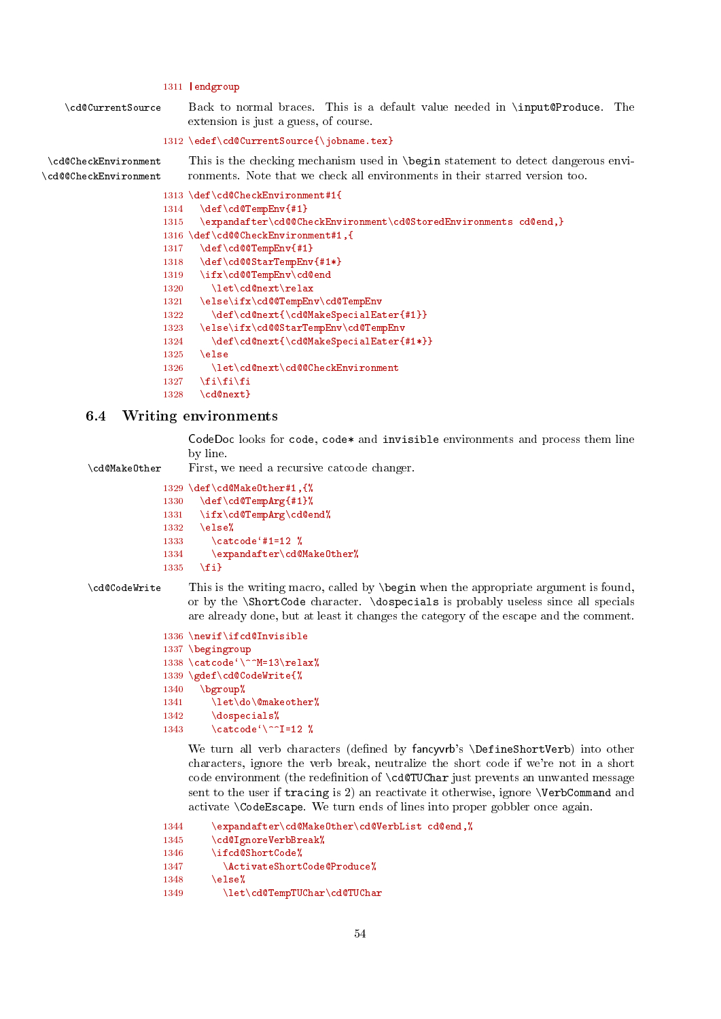# 1311 |endgroup

<span id="page-53-1"></span>\cd@CurrentSource Back to normal braces. This is a default value needed in \input@Produce. The extension is just a guess, of course.

```
1312 \edef\cd@CurrentSource{\iobname.tex}
```
\cd@CheckEnvironment This is the checking mechanism used in \begin statement to detect dangerous envi- \cd@@CheckEnvironment ronments. Note that we check all environments in their starred version too.

```
1313 \def\cd@CheckEnvironment#1{
1314 \def\cd@TempEnv{#1}
1315 \expandafter\cd@@CheckEnvironment\cd@StoredEnvironments cd@end,}
1316 \def\cd@@CheckEnvironment#1,{
1317 \def\cd@@TempEnv{#1}
1318 \def\cd@@StarTempEnv{#1*}
1319 \ifx\cd@@TempEnv\cd@end<br>1320 \let\cd@next\relax
        \let\cd@next\relax
1321 \else\ifx\cd@@TempEnv\cd@TempEnv
1322 \def\cd@next{\cd@MakeSpecialEater{#1}}
1323 \else\ifx\cd@@StarTempEnv\cd@TempEnv
1324 \def\cd@next{\cd@MakeSpecialEater{#1*}}
1325 \else
1326 \let\cd@next\cd@@CheckEnvironment
1327 \fi\fi\fi
1328 \cd@next}
```
# <span id="page-53-0"></span>6.4 Writing environments

CodeDoc looks for code, code\* and invisible environments and process them line by line.

\cd@MakeOther First, we need a recursive catcode changer.

```
1329 \def\cd@MakeOther#1,{%
1330 \def\cd@TempArg{#1}%
1331 \ifx\cd@TempArg\cd@end%
1332 \else%
1333 \setminus catcode '#1=12 %
1334 \expandafter\cd@MakeOther%
1335 \quad \text{If}i
```
\cd@CodeWrite This is the writing macro, called by \begin when the appropriate argument is found, or by the \ShortCode character. \dospecials is probably useless since all specials are already done, but at least it changes the category of the escape and the comment.

```
1336 \newif\ifcd@Invisible
1337 \begingroup
1338 \catcode'\^^M=13\relax%
1339 \gdef\cd@CodeWrite{%
1340 \ \ \ \ \ \1341 \let\do\@makeother%
1342 \dospecials%
1343 \catcode\degree\^^I=12 %
```
We turn all verb characters (defined by fancyvrb's \DefineShortVerb) into other characters, ignore the verb break, neutralize the short code if we're not in a short code environment (the redefinition of  $\c{deTUCHar}$  just prevents an unwanted message sent to the user if tracing is 2) an reactivate it otherwise, ignore \VerbCommand and activate \CodeEscape. We turn ends of lines into proper gobbler once again.

```
1344 \expandafter\cd@MakeOther\cd@VerbList cd@end,%<br>1345 \cd@IgnoreVerbBreak%
         \cd@IgnoreVerbBreak%
1346 \ifcd@ShortCode%
1347 \ActivateShortCode@Produce%
1348 \else%
1349 \let\cd@TempTUChar\cd@TUChar
```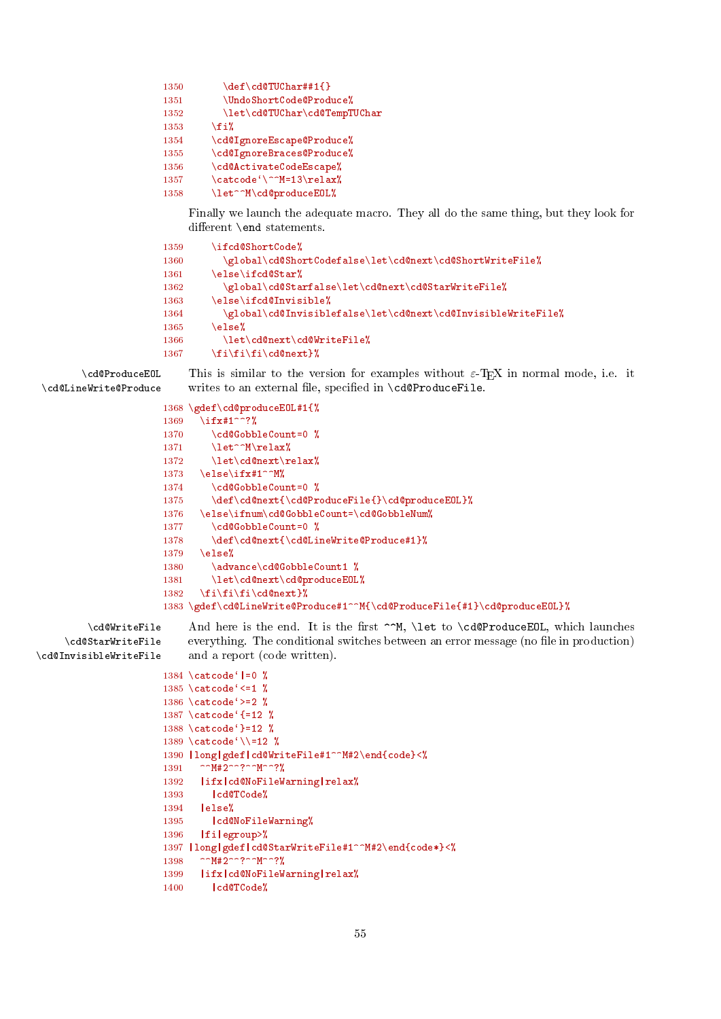```
1350 \qquad \qquad \text{def}\cdotp \text{cd@TUChar}#1{}
1351 \UndoShortCode@Produce%
1352 \let\cd@TUChar\cd@TempTUChar<br>1353 \fi%
         \ln 11354 \cd@IgnoreEscape@Produce%
1355 \cd@IgnoreBraces@Produce%
1356 \cd@ActivateCodeEscape%
1357 \catcode\degree\^^M=13\relax%
1358 \let^^M\cd@produceEOL%
```
Finally we launch the adequate macro. They all do the same thing, but they look for different \end statements.

```
1359 \ifcd@ShortCode%
1360 \global\cd@ShortCodefalse\let\cd@next\cd@ShortWriteFile%
1361 \else\ifcd@Star%
1362 \global\cd@Starfalse\let\cd@next\cd@StarWriteFile%
1363 \else\ifcd@Invisible%
1364 \global\cd@Invisiblefalse\let\cd@next\cd@InvisibleWriteFile%
1365 \text{le } \text{le }1366 \let\cd@next\cd@WriteFile%
1367 \{fi\}f\{fi\}cd@next}\
```
 $\c{d@ProductEOL}$  This is similar to the version for examples without  $\varepsilon$ -TEX in normal mode, i.e. it  $\c{d@LineWrite@Problem}$ writes to an external file, specified in \cd@ProduceFile.

```
1368 \gdef\cd@produceEOL#1{%
                      1369 \ifx#1^^?%
                      1370 \cd@GobbleCount=0 %
                      1371 \let^^M\relax%
                      1372 \let\cd@next\relax%
                      1373 \else\ifx#1^^M%
                      1374 \cd@GobbleCount=0 %
                      1375 \def\cd@next{\cd@ProduceFile{}\cd@produceEOL}%
                      1376 \else\ifnum\cd@GobbleCount=\cd@GobbleNum%
                      1377 \cd@GobbleCount=0 %
                      1378 \def\cd@next{\cd@LineWrite@Produce#1}%
                      1379 \else%
                      1380 \advance\cd@GobbleCount1 %
                      1381 \let\cd@next\cd@produceEOL%
                      1382 \fi\fi\fi\cd@next}%
                      1383 \gdef\cd@LineWrite@Produce#1^^M{\cd@ProduceFile{#1}\cd@produceEOL}%
         \cd@WriteFile And here is the end. It is the first ^^M, \let to \cd@ProduceEOL, which launches
    \cd@StarWriteFile
\cd@InvisibleWriteFile
                          everything. The conditional switches between an error message (no file in production)
                          and a report (code written).
                      1384 \catcode<sup>\ell</sup> =0 \%1385 \catcode ' <=1 \%1386 \catcode`>=2 %
                      1387 \catcode`{=12 %
                      1388 \catcode`}=12 %
                      1389 \catcode`\\=12 %
                      1390 |long|gdef|cd@WriteFile#1^^M#2\end{code}<%
                      1391 ^^M#2^^?^^M^^?%
                      1392 | ifx| cd@NoFileWarning| relax%
                      1393 | cd@TCode%
```

```
1394 |else%
```

```
1395 | cd@NoFileWarning%
1396 |fi|egroup>%
```

```
1397 |long|gdef|cd@StarWriteFile#1^^M#2\end{code*}<%
```

```
1398 ^^M#2^^?^^M^^?%
```

```
1399 | ifx| cd@NoFileWarning| relax%
```

```
1400 | cd@TCode%
```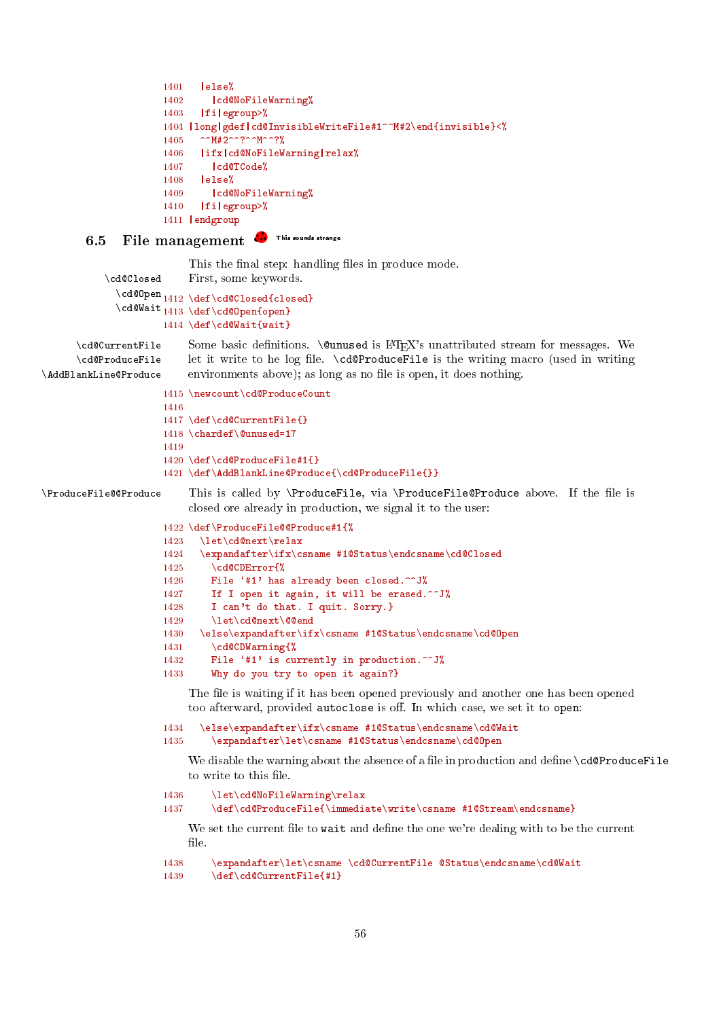```
1401 \text{le} \text{le} \text{le}1402 | cd@NoFileWarning%
1403 |fi|egroup>%
1404 |long|gdef|cd@InvisibleWriteFile#1^^M#2\end{invisible}<%
1405 ^^M#2^^?^^M^^?%
1406 | ifx| cd@NoFileWarning| relax%
1407 | cd@TCode%
1408 |else%
1409 | cd@NoFileWarning%
1410 | fi|egroup>%
1411 |endgroup
```
# <span id="page-55-0"></span>6.5 File management **&** This sounds strange

This the final step: handling files in produce mode.

```
\cd@Closed First, some keywords.
  \cd@Open<sub>1412</sub> \def\cd@Closed{closed}
  \cd@Wait<sub>1413</sub> \def\cd@Open{open}
            1414 \def\cd@Wait{wait}
```

```
\cd@ProduceFile
\AddBlankLine@Produce
```
\cd@CurrentFile Some basic definitions. \@unused is LATEX's unattributed stream for messages. We let it write to he log file.  $\c{ed}\$ ProduceFile is the writing macro (used in writing environments above); as long as no file is open, it does nothing.

```
1415 \newcount\cd@ProduceCount
1416
1417 \def\cd@CurrentFile{}
1418 \chardef\@unused=17
1419
1420 \def\cd@ProduceFile#1{}
1421 \def\AddBlankLine@Produce{\cd@ProduceFile{}}
```
\ProduceFile@@Produce This is called by \ProduceFile, via \ProduceFile@Produce above. If the le is closed ore already in production, we signal it to the user:

```
1422 \def\ProduceFile@@Produce#1{%
1423 \let\cd@next\relax
1424 \expandafter\ifx\csname #1@Status\endcsname\cd@Closed
1425 \cd@CDError{%
1426 File '#1' has already been closed.^^J%
1427 If I open it again, it will be erased.^^J%
1428 I can't do that. I quit. Sorry.}
1429 \let\cd@next\@@end
1430 \else\expandafter\ifx\csname #1@Status\endcsname\cd@Open
1431 \cd@CDWarning{%
1432 File '#1' is currently in production.^^J%
1433 Why do you try to open it again?}
```
The file is waiting if it has been opened previously and another one has been opened too afterward, provided autoclose is off. In which case, we set it to open:

```
1434 \else\expandafter\ifx\csname #1@Status\endcsname\cd@Wait
1435 \expandafter\let\csname #1@Status\endcsname\cd@Open
```
We disable the warning about the absence of a file in production and define  $\c{cdeProductFile}$ to write to this file.

```
1436 \let\cd@NoFileWarning\relax
1437 \def\cd@ProduceFile{\immediate\write\csname #1@Stream\endcsname}
```
We set the current file to wait and define the one we're dealing with to be the current file.

```
1438 \expandafter\let\csname \cd@CurrentFile @Status\endcsname\cd@Wait
1439 \def\cd@CurrentFile{#1}
```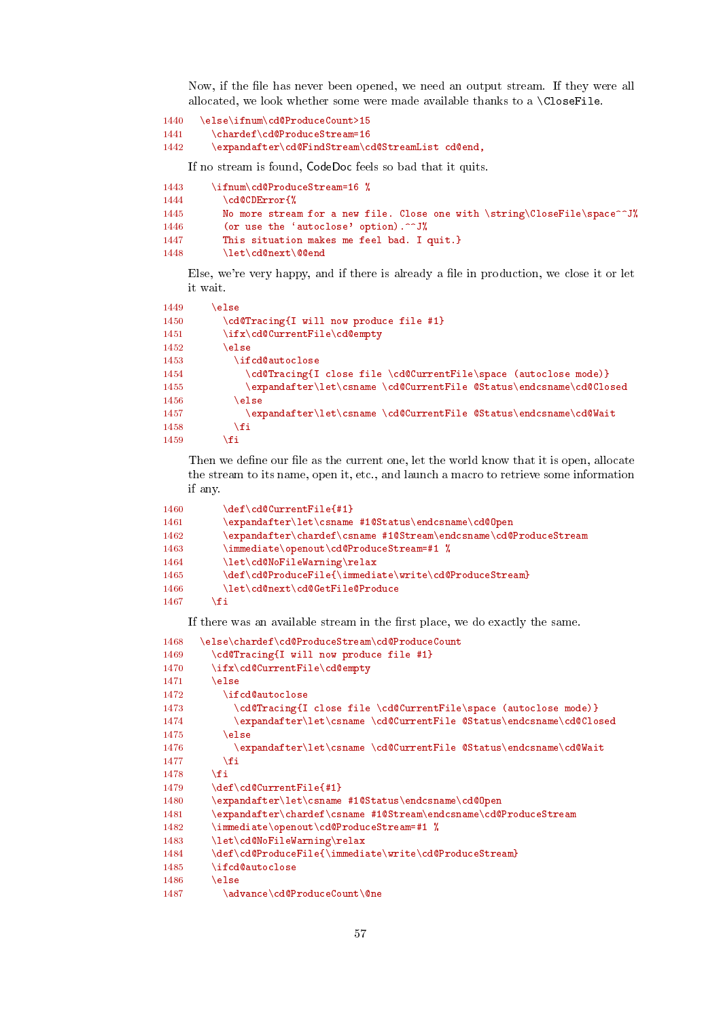Now, if the file has never been opened, we need an output stream. If they were all allocated, we look whether some were made available thanks to a \CloseFile.

```
1440 \else\ifnum\cd@ProduceCount>15
```

```
1441 \chardef\cd@ProduceStream=16
```
1442 \expandafter\cd@FindStream\cd@StreamList cd@end,

If no stream is found, CodeDoc feels so bad that it quits.

```
1443 \ifnum\cd@ProduceStream=16 %
1444 \cd@CDError{%
1445 No more stream for a new file. Close one with \string\CloseFile\space^^J%
1446 (or use the 'autoclose' option).^^J%
1447 This situation makes me feel bad. I quit.}
1448 \let\cd@next\@@end
```
Else, we're very happy, and if there is already a file in production, we close it or let it wait.

| 1449 | else                                                                |
|------|---------------------------------------------------------------------|
| 1450 | \cd@Tracing{I will now produce file #1}                             |
| 1451 | \ifx\cd@CurrentFile\cd@empty                                        |
| 1452 | \else                                                               |
| 1453 | <b>\ifcd@autoclose</b>                                              |
| 1454 | \cd@Tracing{I close file \cd@CurrentFile\space (autoclose mode)}    |
| 1455 | \expandafter\let\csname \cd@CurrentFile @Status\endcsname\cd@Closed |
| 1456 | <b>\else</b>                                                        |
| 1457 | \expandafter\let\csname \cd@CurrentFile @Status\endcsname\cd@Wait   |
| 1458 | ∖fi                                                                 |
| 1459 | .fi                                                                 |

Then we define our file as the current one, let the world know that it is open, allocate the stream to its name, open it, etc., and launch a macro to retrieve some information if any.

| 1460 | \def\cd@CurrentFile{#1}                                             |
|------|---------------------------------------------------------------------|
| 1461 | \expandafter\let\csname #1@Status\endcsname\cd@Open                 |
| 1462 | \expandafter\chardef\csname #1@Stream\endcsname\cd@ProduceStream    |
| 1463 | $\mathcal{L}$ immediate \openout \cd@ProduceStream=#1 $\mathcal{L}$ |
| 1464 | \let\cd@NoFileWarning\relax                                         |
| 1465 | \def\cd@ProduceFile{\immediate\write\cd@ProduceStream}              |
| 1466 | \let\cd@next\cd@GetFile@Produce                                     |
| 1467 | \fi                                                                 |

If there was an available stream in the first place, we do exactly the same.

```
1468 \else\chardef\cd@ProduceStream\cd@ProduceCount
1469 \cd@Tracing{I will now produce file #1}
1470 \ifx\cd@CurrentFile\cd@empty
1471 \else
1472 \ifcd@autoclose
1473 \cd@Tracing{I close file \cd@CurrentFile\space (autoclose mode)}
1474 \expandafter\let\csname \cd@CurrentFile @Status\endcsname\cd@Closed
1475 \else
1476 \expandafter\let\csname \cd@CurrentFile @Status\endcsname\cd@Wait<br>1477 \fi
1477
1478 \fi
1479 \def\cd@CurrentFile{#1}
1480 \expandafter\let\csname #1@Status\endcsname\cd@Open
1481 \expandafter\chardef\csname #1@Stream\endcsname\cd@ProduceStream
1482 \immediate\openout\cd@ProduceStream=#1 %
1483 \let\cd@NoFileWarning\relax
1484 \def\cd@ProduceFile{\immediate\write\cd@ProduceStream}
1485 \ifcd@autoclose
1486 \else
1487 \advance\cd@ProduceCount\@ne
```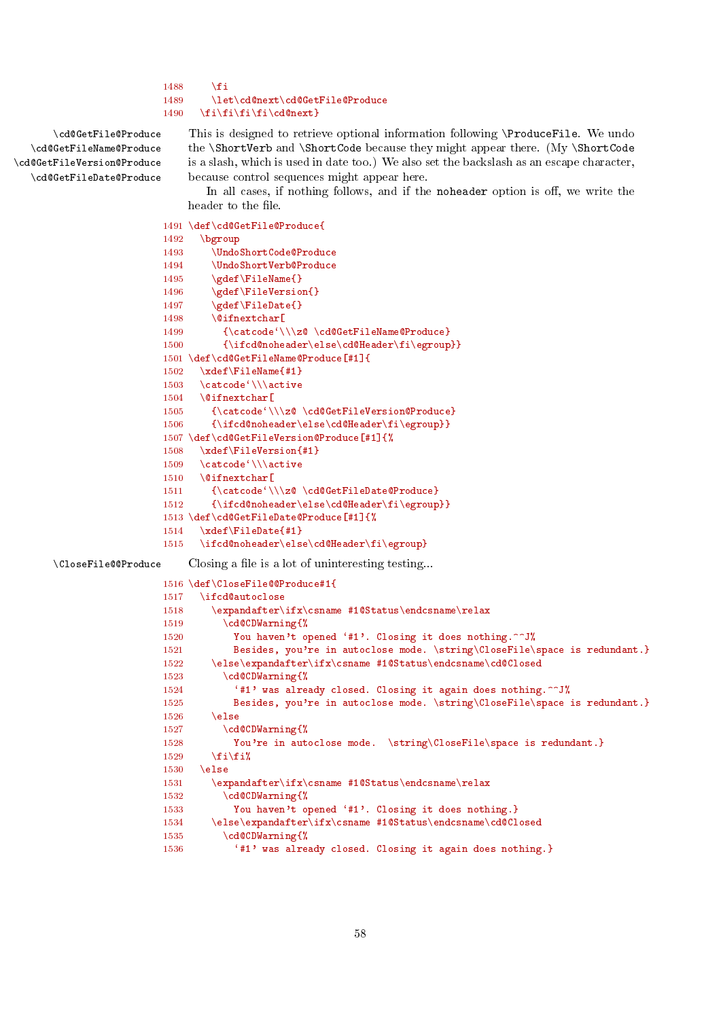```
1488 \fi
1489 \let\cd@next\cd@GetFile@Produce
1490 \fi\fi\fi\fi\cd@next}
```
\cd@GetFileName@Produce \cd@GetFileVersion@Produce \cd@GetFileDate@Produce

\cd@GetFile@Produce This is designed to retrieve optional information following \ProduceFile. We undo the \ShortVerb and \ShortCode because they might appear there. (My \ShortCode is a slash, which is used in date too.) We also set the backslash as an escape character, because control sequences might appear here.

> In all cases, if nothing follows, and if the noheader option is off, we write the header to the file.

```
1491 \def\cd@GetFile@Produce{
                      1492 \bgroup
                      1493 \UndoShortCode@Produce
                      1494 \UndoShortVerb@Produce
                      1495 \gdef\FileName{}
                      1496 \gdef\FileVersion{}
                      1497 \gdef\FileDate{}
                      1498 \@ifnextchar[
                      1499 {\catcode'}\zeta \cdots1500 {\ifcd@noheader\else\cd@Header\fi\egroup}}
                      1501 \def\cd@GetFileName@Produce[#1]{
                      1502 \xdef\FileName{#1}
                      1503 \catcode'\\\active<br>1504 \@ifnextchar[
                             \@ifnextchar[
                      1505 {\catcode`\\\z@ \cd@GetFileVersion@Produce}
                      1506 {\ifcd@noheader\else\cd@Header\fi\egroup}}
                      1507 \def\cd@GetFileVersion@Produce[#1]{%
                      1508 \xdef\FileVersion{#1}
                      1509 \catcode'\\\active
                      1510 \@ifnextchar[
                      1511 {\catcode'\\\z@ \cd@GetFileDate@Produce}
                      1512 {\ifcd@noheader\else\cd@Header\fi\egroup}}
                      1513 \def\cd@GetFileDate@Produce[#1]{%
                      1514 \xdef\FileDate{#1}
                      1515 \ifcd@noheader\else\cd@Header\fi\egroup}
\CloseFile@@Produce Closing a file is a lot of uninteresting testing...
                      1516 \def\CloseFile@@Produce#1{
                      1517 \ifcd@autoclose
                      1518 \expandafter\ifx\csname #1@Status\endcsname\relax
                      1519 \cd@CDWarning{%
                      1520 You haven't opened '#1'. Closing it does nothing. ^^ J%
                      1521 Besides, you're in autoclose mode. \string\CloseFile\space is redundant.}
                      1522 \else\expandafter\ifx\csname #1@Status\endcsname\cd@Closed
                      1523 \cd@CDWarning{%
                      1524 '#1' was already closed. Closing it again does nothing.^^J%
                      1525 Besides, you're in autoclose mode. \string\CloseFile\space is redundant.}
                      1526 \else
                      1527 \cd@CDWarning{%
                      1528 You're in autoclose mode. \string\CloseFile\space is redundant.}
                      1529 \ifmmode \text{if} \text{if } x \in \mathbb{Z} \text{ if } x \in \mathbb{Z} \text{ if } x \neq 0 \text{ if } x \neq 0 \text{ if } x \neq 0 \text{ if } x \neq 0 \text{ if } x \neq 0 \text{ if } x \neq 0 \text{ if } x \neq 0 \text{ if } x \neq 0 \text{ if } x \neq 0 \text{ if } x \neq 0 \text{ if } x \neq 0 \text{ if } x \neq 0 \text{ if } x \neq 0 \text{ if } x \neq 0 \text{ if } x \neq 0 \text{ if } x \neq 0 \text1530 \else
                      1531 \expandafter\ifx\csname #1@Status\endcsname\relax
                      1532 \cd@CDWarning{%
                      1533 You haven't opened '#1'. Closing it does nothing.}
                      1534 \else\expandafter\ifx\csname #1@Status\endcsname\cd@Closed
                      1535 \cd@CDWarning{%
                      1536 '#1' was already closed. Closing it again does nothing.}
```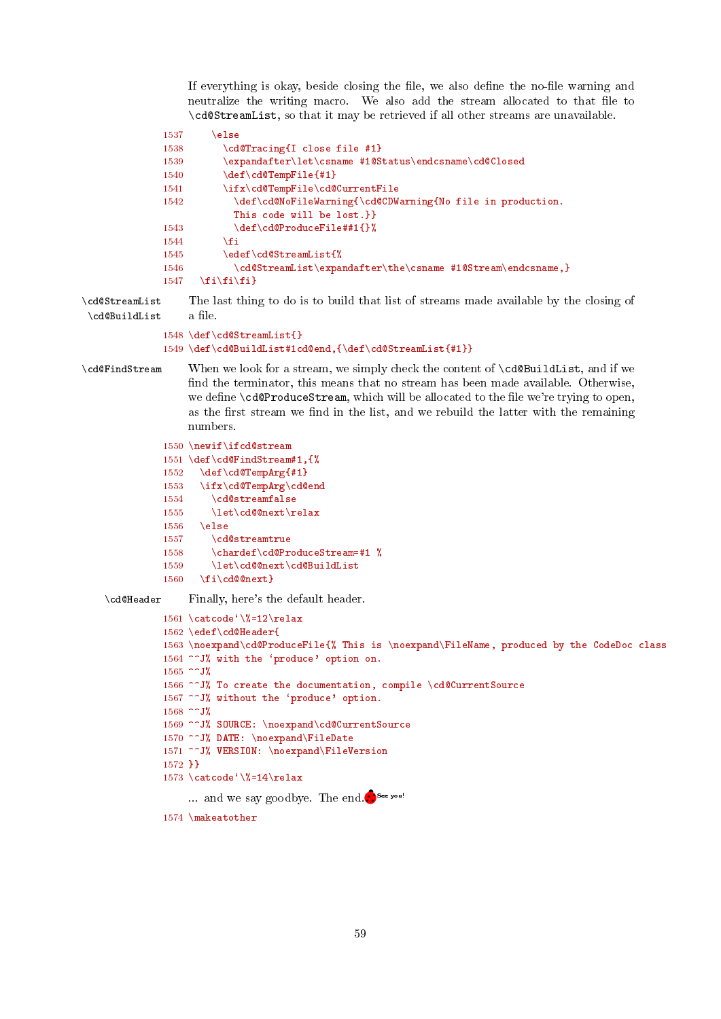<span id="page-58-0"></span>If everything is okay, beside closing the file, we also define the no-file warning and neutralize the writing macro. We also add the stream allocated to that file to \cd@StreamList, so that it may be retrieved if all other streams are unavailable.

```
1537 \else
1538 \cdots \cd@Tracing{I close file #1}
1539 \expandafter\let\csname #1@Status\endcsname\cd@Closed
1540 \def\cd@TempFile{#1}
1541 \ifx\cd@TempFile\cd@CurrentFile
1542 \def\cd@NoFileWarning{\cd@CDWarning{No file in production.
           This code will be lost.}}
1543 \def\cd@ProduceFile##1{}%
1544 \fi
1545 \edef\cd@StreamList{%
1546 \cd@StreamList\expandafter\the\csname #1@Stream\endcsname,}
1547 \fi\fi\fi}
```
\cd@StreamList The last thing to do is to build that list of streams made available by the closing of  $\c{c}$ d@BuildList a file.

### 1548 \def\cd@StreamList{} 1549 \def\cd@BuildList#1cd@end,{\def\cd@StreamList{#1}}

\cd@FindStream When we look for a stream, we simply check the content of \cd@BuildList, and if we find the terminator, this means that no stream has been made available. Otherwise, we define \cd@ProduceStream, which will be allocated to the file we're trying to open. as the first stream we find in the list, and we rebuild the latter with the remaining numbers.

```
1550 \newif\ifcd@stream
1551 \def\cd@FindStream#1,{%
1552 \def\cd@TempArg{#1}
1553 \ifx\cd@TempArg\cd@end
1554 \cd@streamfalse
1555 \let\cd@@next\relax
1556 \else
1557 \cd@streamtrue
1558 \chardef\cd@ProduceStream=#1 %
1559 \let\cd@@next\cd@BuildList
1560 \{fi\cdot\cdots\}
```
\cd@Header Finally, here's the default header.

```
1561 \catcode`\%=12\relax
1562 \edef\cd@Header{
1563 \noexpand\cd@ProduceFile{% This is \noexpand\FileName, produced by the CodeDoc class
1564 ^^J% with the 'produce' option on.
1565 ^^J%
1566 ^^ J% To create the documentation, compile \cd@CurrentSource
1567 ^^J% without the 'produce' option.
1568 ^^J%
1569 ^^J% SOURCE: \noexpand\cd@CurrentSource
1570 ^^J% DATE: \noexpand\FileDate
1571 ^^J% VERSION: \noexpand\FileVersion
1572 }}
1573 \catcode`\%=14\relax
     \catcode'\%=14\relax<br>... and we say goodbye. The end.<sup>••••</sup>
1574 \makeatother
```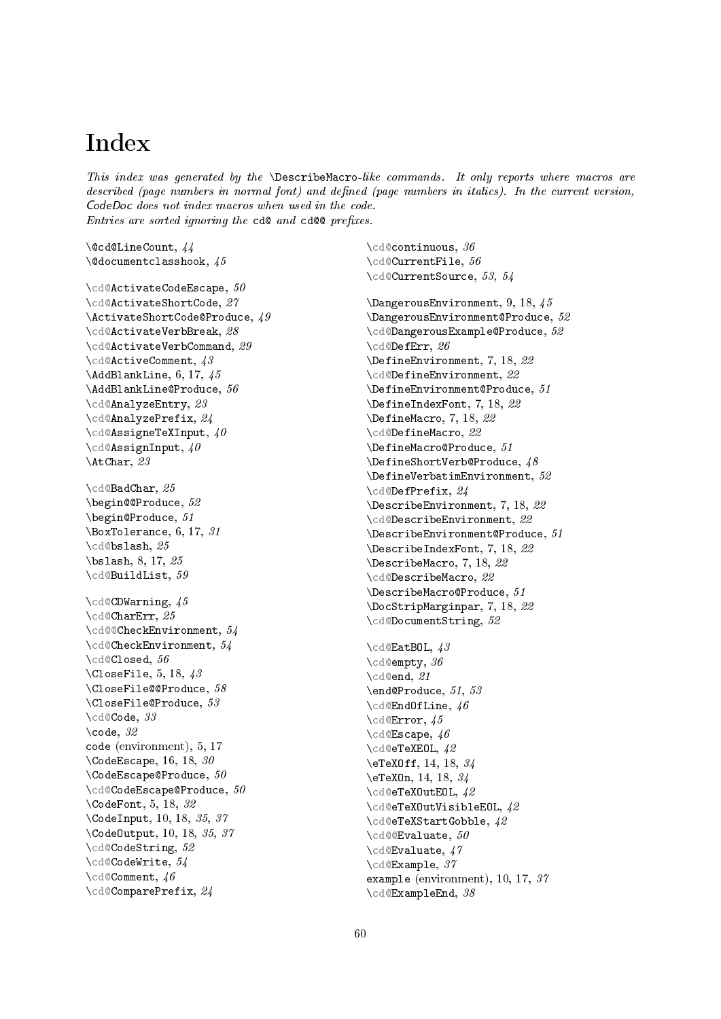# <span id="page-59-0"></span>Index

This index was generated by the  $\Delta$  bescribeMacro-like commands. It only reports where macros are described (page numbers in normal font) and defined (page numbers in italics). In the current version, CodeDoc does not index macros when used in the code.  $Entries$  are sorted ignoring the  $\texttt{c}d@$  and  $\texttt{c}d@@$  prefixes.

\@cd@LineCount, [44](#page-43-0) \@documentclasshook, [45](#page-44-3)

```
50
27
\lambda49
28
29
\cd@ActiveComment, 43
\lambda 6, 17,45
56
23
24
\cd@AssigneTeXInput, 40
\cd@AssignInput, 40
\AtChar, 23
\cd@BadChar, 25
52
\begin@Produce, 51
\Delta 6, 17,31
\cd@bslash, 25
\bslash, 8, 17, 25
\cd@BuildList, 59
\cd@CDWarning, 45
\cd@CharErr, 25
\cd@@CheckEnvironment, 54
\cd@CheckEnvironment, 54
\cd@Closed, 56
\setminus 5, 18,43
\CloseFile@@Produce, 58
\CloseFile@Produce, 53
\cd@Code, 33
\setminuscode, 32code (environment), 5, 17
\setminus 16, 18,30
\setminusCodeEscape@Produce, 50\cd@CodeEscape@Produce, 50
\CodeFont, 5, 18, 32
\CodeInput, 10, 18, 35, 37
\CodeOutput, 10, 18, 35, 37
\cd@CodeString, 52
\cd@CodeWrite, 54
\cd@Comment, 46
\cd@ComparePrefix, 24
```
\cd@continuous, [36](#page-35-0) \cd@CurrentFile, [56](#page-55-1) \cd@CurrentSource, [53,](#page-52-0) [54](#page-53-1)

\DangerousEnvironment, [9,](#page-8-3) [18,](#page-17-0) [45](#page-44-3) \DangerousEnvironment@Produce, [52](#page-51-0) \cd@DangerousExample@Produce, [52](#page-51-0) \cd@DefErr, [26](#page-25-0) \DefineEnvironment, [7,](#page-6-3) [18,](#page-17-0) [22](#page-21-2) \cd@DefineEnvironment, [22](#page-21-2) \DefineEnvironment@Produce, [51](#page-50-0) \DefineIndexFont, [7,](#page-6-3) [18,](#page-17-0) [22](#page-21-2) \DefineMacro, [7,](#page-6-3) [18,](#page-17-0) [22](#page-21-2) \cd@DefineMacro, [22](#page-21-2) \DefineMacro@Produce, [51](#page-50-0) \DefineShortVerb@Produce, [48](#page-47-1) \DefineVerbatimEnvironment, [52](#page-51-0) \cd@DefPrefix, [24](#page-23-0) \DescribeEnvironment, [7,](#page-6-3) [18,](#page-17-0) [22](#page-21-2) \cd@DescribeEnvironment, [22](#page-21-2) \DescribeEnvironment@Produce, [51](#page-50-0) \DescribeIndexFont, [7,](#page-6-3) [18,](#page-17-0) [22](#page-21-2) \DescribeMacro, [7,](#page-6-3) [18,](#page-17-0) [22](#page-21-2) \cd@DescribeMacro, [22](#page-21-2) \DescribeMacro@Produce, [51](#page-50-0) \DocStripMarginpar, [7,](#page-6-3) [18,](#page-17-0) [22](#page-21-2) \cd@DocumentString, [52](#page-51-0)

\cd@EatBOL, [43](#page-42-1) \cd@empty, [36](#page-35-0) \cd@end, [21](#page-20-2) \end@Produce, [51,](#page-50-0) [53](#page-52-0) \cd@EndOfLine, [46](#page-45-0) \cd@Error, [45](#page-44-3) \cd@Escape, [46](#page-45-0) \cd@eTeXEOL, [42](#page-41-0) \eTeXOff, [14,](#page-13-1) [18,](#page-17-0) [34](#page-33-1) \eTeXOn, [14,](#page-13-1) [18,](#page-17-0) [34](#page-33-1) \cd@eTeXOutEOL, [42](#page-41-0) \cd@eTeXOutVisibleEOL, [42](#page-41-0) \cd@eTeXStartGobble, [42](#page-41-0) \cd@@Evaluate, [50](#page-49-0) \cd@Evaluate, [47](#page-46-0) \cd@Example, [37](#page-36-0) example (environment), [10,](#page-9-2) [17,](#page-16-4) [37](#page-36-0) \cd@ExampleEnd, [38](#page-37-0)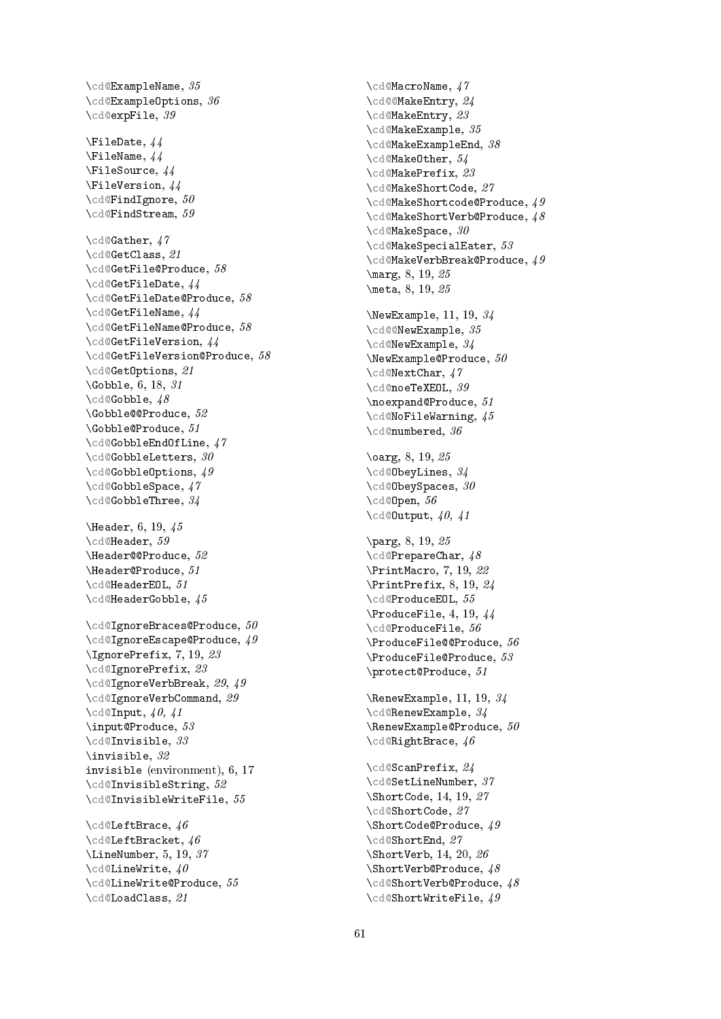```
\cd@ExampleName
, 35
\cd@ExampleOptions
, 36
\cd@expFile
, 39
\FileDate
, 44
\FileName
, 44
\FileSource
, 44
\FileVersion
, 44
\cd@FindIgnore
, 50
\cd@FindStream
, 59
\cd@Gather
, 47
\cd@GetClass
, 21
\cd@GetFile@Produce
, 58
\cd@GetFileDate
, 44
\cd@GetFileDate@Produce
, 58
\cd@GetFileName
, 44
\cd@GetFileName@Produce
, 58
\cd@GetFileVersion
, 44
\cd@GetFileVersion@Produce
, 58
\cd@GetOptions
, 21
\Gobble, 6, 18, 31 \cd@Gobble, 48
\Gobble@@Produce
, 52
\Gobble@Produce
, 51
\cd@GobbleEndOfLine
, 47
\cd@GobbleLetters
, 30
\cd@GobbleOptions
, 49
\cd@GobbleSpace
, 47
\cd@GobbleThree
, 34
\Header, 6, 19, 45 \cd@Header, 59
\Header@@Produce
, 52
\Header@Produce
, 51
\cd@HeaderEOL
, 51
\cd@HeaderGobble
, 45
50\cd@IgnoreEscape@Produce
, 49
\IgnorePrefix, 7, 19, 23 \cd@IgnorePrefix, 23 \cd@IgnoreVerbBreak, 29
, 49
29
\cd@Input
, 40, 41
53
\cd@Invisible
, 33
\invisible
, 32
invisible (environment), 6, 17 \cd@InvisibleString, 52 \cd@InvisibleWriteFile, 55 \cd@LeftBrace, 46 46
\LineNumber, 5, 19, 37 40
\cd@LineWrite@Produce
, 55
\cd@LoadClass
, 21
```
\cd@MacroName , [47](#page-46-0) \cd@@MakeEntry , [24](#page-23-0) \cd@MakeEntry, [23](#page-22-0) \cd@MakeExample , [35](#page-34-0) \cd@MakeExampleEnd, [38](#page-37-0) \cd@MakeOther , [54](#page-53-1) \cd@MakePrefix, [23](#page-22-0) \cd@MakeShortCode , [27](#page-26-0)  $\setminus$ cd@MakeShortcode@Produce,  $49$ \cd@MakeShortVerb@Produce, [48](#page-47-1) \cd@MakeSpace , [30](#page-29-1) \cd@MakeSpecialEater, [53](#page-52-0)  $\backslash$ cd@MakeVerbBreak@Produce,  $49$ \marg, [8,](#page-7-0) [19,](#page-18-0) [25](#page-24-1) \meta, [8,](#page-7-0) [19,](#page-18-0) [25](#page-24-1)  $\NewExample, 11, 19, 34$  $\NewExample, 11, 19, 34$  $\NewExample, 11, 19, 34$  $\NewExample, 11, 19, 34$  $\NewExample, 11, 19, 34$ \cd@@NewExample, [35](#page-34-0) \cd@NewExample, [34](#page-33-1)  $\text{NewExample@Produce}, 50$  $\text{NewExample@Produce}, 50$ \cd@NextChar , [47](#page-46-0) \cd@noeTeXEOL , [39](#page-38-1) \noexpand@Produce , [51](#page-50-0) \cd@NoFileWarning , [45](#page-44-3) \cd@numbered , [36](#page-35-0) \oarg, [8,](#page-7-0) [19,](#page-18-0) [25](#page-24-1) \cd@ObeyLines, [34](#page-33-1) \cd@ObeySpaces, [30](#page-29-1) \cd@Open, [56](#page-55-1) \cd@Output, [40,](#page-39-1) [41](#page-40-0) \parg, [8,](#page-7-0) [19,](#page-18-0) [25](#page-24-1) \cd@PrepareChar , [48](#page-47-1) \PrintMacro, [7,](#page-6-3) [19,](#page-18-0) [22](#page-21-2) \PrintPrefix, [8,](#page-7-0) [19,](#page-18-0) [24](#page-23-0) \cd@ProduceEOL, [55](#page-54-0) \ProduceFile, [4,](#page-3-3) [19,](#page-18-0) [44](#page-43-0) \cd@ProduceFile, [56](#page-55-1) \ProduceFile@@Produce , [56](#page-55-1)  $\text{Product}$ ile@Produce,  $55$ \protect@Produce , [51](#page-50-0)  $\Lambda$ 1, [19,](#page-18-0) [34](#page-33-1) \cd@RenewExample,  $3/4$ \RenewExample@Produce,  $50$ \cd@RightBrace , [46](#page-45-0) \cd@ScanPrefix , [24](#page-23-0) \cd@SetLineNumber , [37](#page-36-0) \ShortCode, [14,](#page-13-1) [19,](#page-18-0) [27](#page-26-0) \cd@ShortCode, [27](#page-26-0) \ShortCode@Produce , [49](#page-48-0) \cd@ShortEnd , [27](#page-26-0) \ShortVerb, [14,](#page-13-1) [20,](#page-19-0) [26](#page-25-0) \ShortVerb@Produce , [48](#page-47-1) \cd@ShortVerb@Produce, [48](#page-47-1) \cd@ShortWriteFile , [49](#page-48-0)